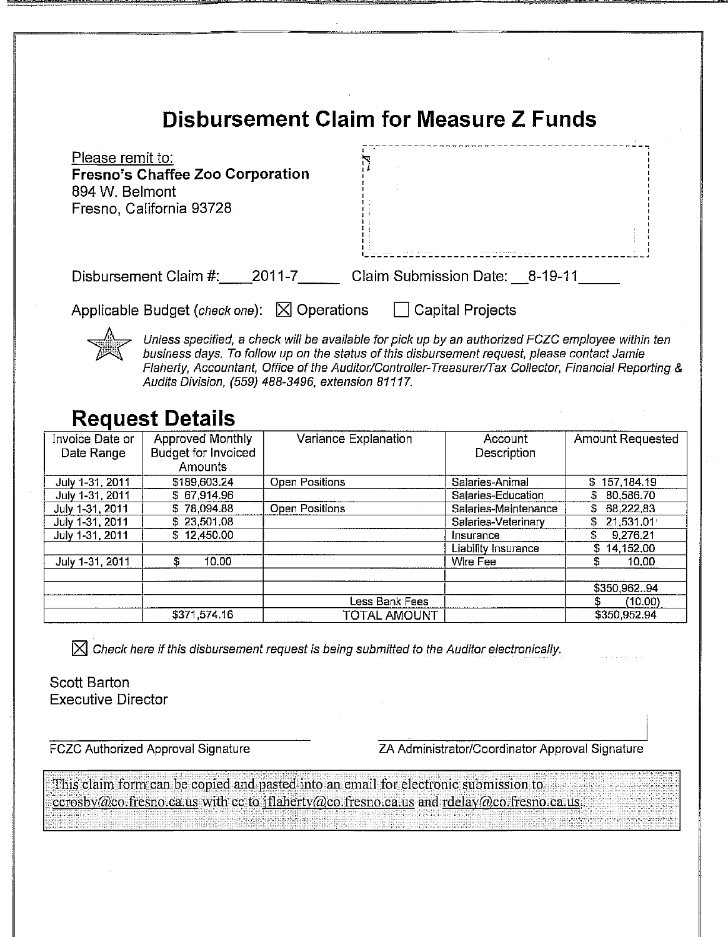# **Disbursement Claim for Measure Z Funds**

| Please remit to:<br><b>Fresno's Chaffee Zoo Corporation</b><br>894 W. Belmont<br>Fresno, California 93728 |                                |  |
|-----------------------------------------------------------------------------------------------------------|--------------------------------|--|
| Disbursement Claim #:<br>2011-7                                                                           | Claim Submission Date: 8-19-11 |  |
| Applicable Budget (check one): $\boxtimes$ Operations                                                     | <b>Capital Projects</b>        |  |

Unless specified, a check will be available for pick up by an authorized FCZC employee within ten business days. To follow up on the status of this disbursement request, please contact Jamie Flaherty, Accountant, Office of the Auditor/Controller-Treasurer/Tax Collector, Financial Reporting & Audits Division, (559) 488-3496, extension 81117.

# **Request Details**

| Invoice Date or<br>Date Range | Approved Monthly<br><b>Budget for Invoiced</b> | Variance Explanation  | Account<br>Description | <b>Amount Requested</b> |
|-------------------------------|------------------------------------------------|-----------------------|------------------------|-------------------------|
|                               | <b>Amounts</b>                                 |                       |                        |                         |
| July 1-31, 2011               | \$189,603.24                                   | Open Positions        | Salaries-Animal        | \$157,184.19            |
| July 1-31, 2011               | \$67,914.96                                    |                       | Salaries-Education     | \$80,586.70             |
| July 1-31, 2011               | \$78.094.88                                    | <b>Open Positions</b> | Salaries-Maintenance   | \$68,222.83             |
| July 1-31, 2011               | \$23,501.08                                    |                       | Salaries-Veterinary    | 21,531.014              |
| July 1-31, 2011               | \$12,450.00                                    |                       | Insurance              | 9,276.21<br>S.          |
|                               |                                                |                       | Liability Insurance    | 14,152.00<br>S.         |
| July 1-31, 2011               | \$<br>10.00                                    |                       | Wire Fee               | S<br>10.00              |
|                               |                                                |                       |                        |                         |
|                               |                                                |                       |                        | \$350,96294             |
|                               |                                                | Less Bank Fees        |                        | \$.<br>(10.00)          |
|                               | \$371,574.16                                   | <b>TOTAL AMOUNT</b>   |                        | \$350.952.94            |

 $\boxtimes$  Check here if this disbursement request is being submitted to the Auditor electronically.

Scott Barton **Executive Director** 

**FCZC Authorized Approval Signature** 

ZA Administrator/Coordinator Approval Signature

This claim form can be copied and pasted into an email for electronic submission to ecrosby@co.fresno.ca.us with cc to jflaherty@co.fresno.ca.us and rdelay@co.fresno.ca.us.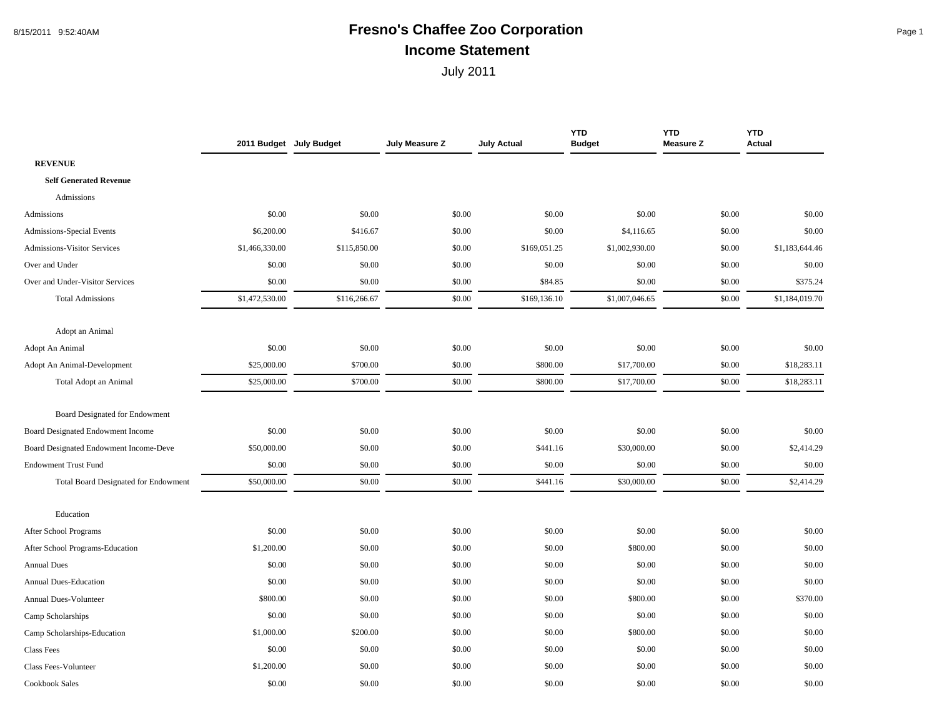#### 8/15/2011 9:52:40AM **Fresno's Chaffee Zoo Corporation** Page 1 **Income Statement**

|                                             | 2011 Budget July Budget |              | July Measure Z | <b>July Actual</b> | <b>YTD</b><br><b>Budget</b> | <b>YTD</b><br><b>Measure Z</b> | <b>YTD</b><br><b>Actual</b> |
|---------------------------------------------|-------------------------|--------------|----------------|--------------------|-----------------------------|--------------------------------|-----------------------------|
| <b>REVENUE</b>                              |                         |              |                |                    |                             |                                |                             |
| <b>Self Generated Revenue</b>               |                         |              |                |                    |                             |                                |                             |
| Admissions                                  |                         |              |                |                    |                             |                                |                             |
| Admissions                                  | \$0.00                  | \$0.00       | \$0.00         | \$0.00             | \$0.00                      | \$0.00                         | \$0.00                      |
| Admissions-Special Events                   | \$6,200.00              | \$416.67     | \$0.00         | \$0.00             | \$4,116.65                  | \$0.00                         | \$0.00                      |
| <b>Admissions-Visitor Services</b>          | \$1,466,330.00          | \$115,850.00 | \$0.00         | \$169,051.25       | \$1,002,930.00              | \$0.00                         | \$1,183,644.46              |
| Over and Under                              | \$0.00                  | \$0.00       | \$0.00         | \$0.00             | \$0.00                      | \$0.00                         | \$0.00                      |
| Over and Under-Visitor Services             | \$0.00                  | \$0.00       | \$0.00         | \$84.85            | \$0.00                      | \$0.00                         | \$375.24                    |
| <b>Total Admissions</b>                     | \$1,472,530.00          | \$116,266.67 | \$0.00         | \$169,136.10       | \$1,007,046.65              | \$0.00                         | \$1,184,019.70              |
| Adopt an Animal                             |                         |              |                |                    |                             |                                |                             |
| Adopt An Animal                             | \$0.00                  | \$0.00       | \$0.00         | \$0.00             | \$0.00                      | \$0.00                         | \$0.00                      |
| Adopt An Animal-Development                 | \$25,000.00             | \$700.00     | \$0.00         | \$800.00           | \$17,700.00                 | \$0.00                         | \$18,283.11                 |
| Total Adopt an Animal                       | \$25,000.00             | \$700.00     | \$0.00         | \$800.00           | \$17,700.00                 | \$0.00                         | \$18,283.11                 |
| Board Designated for Endowment              |                         |              |                |                    |                             |                                |                             |
| Board Designated Endowment Income           | \$0.00                  | \$0.00       | \$0.00         | \$0.00             | \$0.00                      | \$0.00                         | \$0.00                      |
| Board Designated Endowment Income-Deve      | \$50,000.00             | \$0.00       | \$0.00         | \$441.16           | \$30,000.00                 | \$0.00                         | \$2,414.29                  |
| <b>Endowment Trust Fund</b>                 | \$0.00                  | \$0.00       | \$0.00         | \$0.00             | \$0.00                      | \$0.00                         | \$0.00                      |
| <b>Total Board Designated for Endowment</b> | \$50,000.00             | \$0.00       | \$0.00         | \$441.16           | \$30,000.00                 | \$0.00                         | \$2,414.29                  |
| Education                                   |                         |              |                |                    |                             |                                |                             |
| After School Programs                       | \$0.00                  | \$0.00       | \$0.00         | \$0.00             | \$0.00                      | \$0.00                         | \$0.00                      |
| After School Programs-Education             | \$1,200.00              | \$0.00       | \$0.00         | \$0.00             | \$800.00                    | \$0.00                         | \$0.00                      |
| <b>Annual Dues</b>                          | \$0.00                  | \$0.00       | \$0.00         | \$0.00             | \$0.00                      | \$0.00                         | \$0.00                      |
| Annual Dues-Education                       | \$0.00                  | \$0.00       | \$0.00         | \$0.00             | \$0.00                      | \$0.00                         | \$0.00                      |
| <b>Annual Dues-Volunteer</b>                | \$800.00                | \$0.00       | \$0.00         | \$0.00             | \$800.00                    | \$0.00                         | \$370.00                    |
| Camp Scholarships                           | \$0.00                  | \$0.00       | \$0.00         | \$0.00             | \$0.00                      | \$0.00                         | \$0.00                      |
| Camp Scholarships-Education                 | \$1,000.00              | \$200.00     | \$0.00         | \$0.00             | \$800.00                    | \$0.00                         | \$0.00                      |
| <b>Class Fees</b>                           | \$0.00                  | \$0.00       | \$0.00         | \$0.00             | \$0.00                      | \$0.00                         | \$0.00                      |
| Class Fees-Volunteer                        | \$1,200.00              | \$0.00       | \$0.00         | \$0.00             | \$0.00                      | \$0.00                         | \$0.00                      |
| Cookbook Sales                              | \$0.00                  | \$0.00       | \$0.00         | \$0.00             | \$0.00                      | \$0.00                         | \$0.00                      |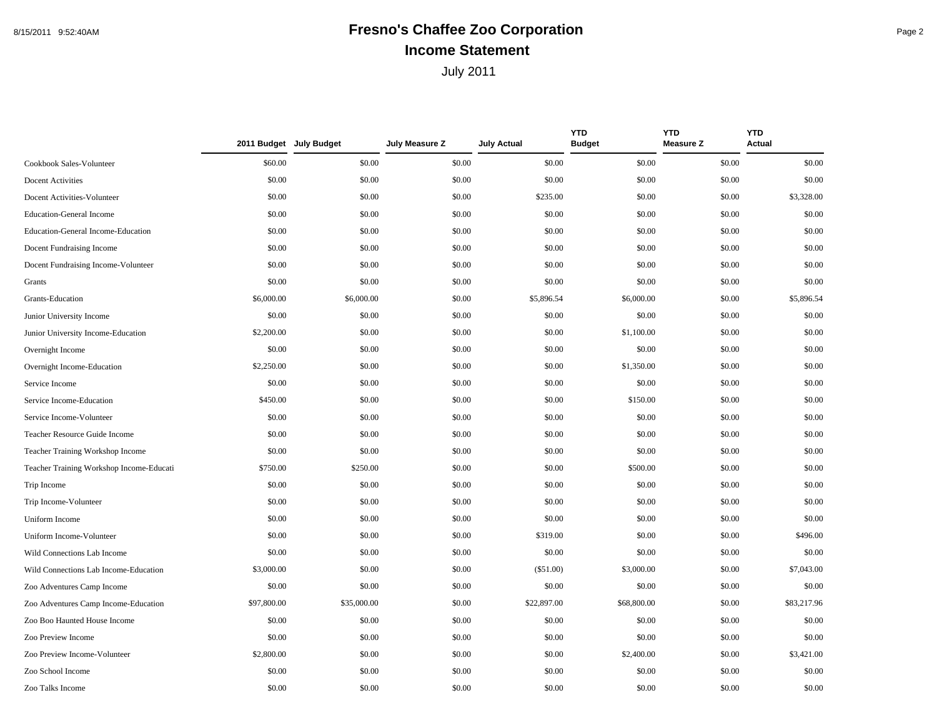## 8/15/2011 9:52:40AM **Fresno's Chaffee Zoo Corporation** Page 2 **Income Statement**

|                                          |             | 2011 Budget July Budget | July Measure Z | <b>July Actual</b> | <b>YTD</b><br><b>Budget</b> | <b>YTD</b><br><b>Measure Z</b> | <b>YTD</b><br><b>Actual</b> |
|------------------------------------------|-------------|-------------------------|----------------|--------------------|-----------------------------|--------------------------------|-----------------------------|
| Cookbook Sales-Volunteer                 | \$60.00     | \$0.00                  | \$0.00         | \$0.00             | \$0.00                      | \$0.00                         | \$0.00                      |
| Docent Activities                        | \$0.00      | \$0.00                  | \$0.00         | \$0.00             | \$0.00                      | \$0.00                         | \$0.00                      |
| Docent Activities-Volunteer              | \$0.00      | \$0.00                  | \$0.00         | \$235.00           | \$0.00                      | \$0.00                         | \$3,328.00                  |
| <b>Education-General Income</b>          | \$0.00      | \$0.00                  | \$0.00         | \$0.00             | \$0.00                      | \$0.00                         | \$0.00                      |
| Education-General Income-Education       | \$0.00      | \$0.00                  | \$0.00         | \$0.00             | \$0.00                      | \$0.00                         | \$0.00                      |
| Docent Fundraising Income                | \$0.00      | \$0.00                  | \$0.00         | \$0.00             | \$0.00                      | \$0.00                         | \$0.00                      |
| Docent Fundraising Income-Volunteer      | \$0.00      | \$0.00                  | \$0.00         | \$0.00             | \$0.00                      | \$0.00                         | \$0.00                      |
| Grants                                   | \$0.00      | \$0.00                  | \$0.00         | \$0.00             | \$0.00                      | \$0.00                         | \$0.00                      |
| Grants-Education                         | \$6,000.00  | \$6,000.00              | \$0.00         | \$5,896.54         | \$6,000.00                  | \$0.00                         | \$5,896.54                  |
| Junior University Income                 | \$0.00      | \$0.00                  | \$0.00         | \$0.00             | \$0.00                      | \$0.00                         | \$0.00                      |
| Junior University Income-Education       | \$2,200.00  | \$0.00                  | \$0.00         | \$0.00             | \$1,100.00                  | \$0.00                         | \$0.00                      |
| Overnight Income                         | \$0.00      | \$0.00                  | \$0.00         | \$0.00             | \$0.00                      | \$0.00                         | \$0.00                      |
| Overnight Income-Education               | \$2,250.00  | \$0.00                  | \$0.00         | \$0.00             | \$1,350.00                  | \$0.00                         | \$0.00                      |
| Service Income                           | \$0.00      | \$0.00                  | \$0.00         | \$0.00             | \$0.00                      | \$0.00                         | \$0.00                      |
| Service Income-Education                 | \$450.00    | \$0.00                  | \$0.00         | \$0.00             | \$150.00                    | \$0.00                         | \$0.00                      |
| Service Income-Volunteer                 | \$0.00      | \$0.00                  | \$0.00         | \$0.00             | \$0.00                      | \$0.00                         | \$0.00                      |
| Teacher Resource Guide Income            | \$0.00      | \$0.00                  | \$0.00         | \$0.00             | \$0.00                      | \$0.00                         | \$0.00                      |
| Teacher Training Workshop Income         | \$0.00      | \$0.00                  | \$0.00         | \$0.00             | \$0.00                      | \$0.00                         | \$0.00                      |
| Teacher Training Workshop Income-Educati | \$750.00    | \$250.00                | \$0.00         | \$0.00             | \$500.00                    | \$0.00                         | \$0.00                      |
| Trip Income                              | \$0.00      | \$0.00                  | \$0.00         | \$0.00             | \$0.00                      | \$0.00                         | \$0.00                      |
| Trip Income-Volunteer                    | \$0.00      | \$0.00                  | \$0.00         | \$0.00             | \$0.00                      | \$0.00                         | \$0.00                      |
| Uniform Income                           | \$0.00      | \$0.00                  | \$0.00         | \$0.00             | \$0.00                      | \$0.00                         | \$0.00                      |
| Uniform Income-Volunteer                 | \$0.00      | \$0.00                  | \$0.00         | \$319.00           | \$0.00                      | \$0.00                         | \$496.00                    |
| Wild Connections Lab Income              | \$0.00      | \$0.00                  | \$0.00         | \$0.00             | \$0.00                      | \$0.00                         | \$0.00                      |
| Wild Connections Lab Income-Education    | \$3,000.00  | \$0.00                  | \$0.00         | $(\$51.00)$        | \$3,000.00                  | \$0.00                         | \$7,043.00                  |
| Zoo Adventures Camp Income               | \$0.00      | \$0.00                  | \$0.00         | \$0.00             | \$0.00                      | \$0.00                         | \$0.00                      |
| Zoo Adventures Camp Income-Education     | \$97,800.00 | \$35,000.00             | \$0.00         | \$22,897.00        | \$68,800.00                 | \$0.00                         | \$83,217.96                 |
| Zoo Boo Haunted House Income             | \$0.00      | \$0.00                  | \$0.00         | \$0.00             | \$0.00                      | \$0.00                         | \$0.00                      |
| Zoo Preview Income                       | \$0.00      | \$0.00                  | \$0.00         | \$0.00             | \$0.00                      | \$0.00                         | \$0.00                      |
| Zoo Preview Income-Volunteer             | \$2,800.00  | \$0.00                  | \$0.00         | \$0.00             | \$2,400.00                  | \$0.00                         | \$3,421.00                  |
| Zoo School Income                        | \$0.00      | \$0.00                  | \$0.00         | \$0.00             | \$0.00                      | \$0.00                         | \$0.00                      |
| Zoo Talks Income                         | \$0.00      | \$0.00                  | \$0.00         | \$0.00             | \$0.00                      | \$0.00                         | \$0.00                      |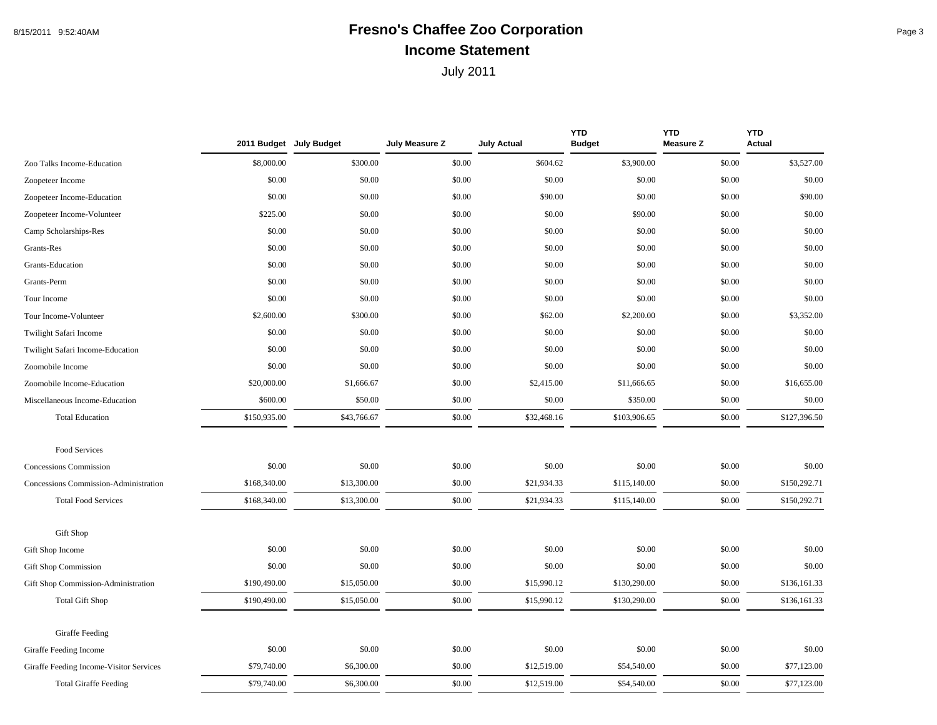### 8/15/2011 9:52:40AM **Fresno's Chaffee Zoo Corporation** Page 3 **Income Statement**

|                                         |              | 2011 Budget July Budget | July Measure Z | <b>July Actual</b> | <b>YTD</b><br><b>Budget</b> | <b>YTD</b><br><b>Measure Z</b> | <b>YTD</b><br>Actual |
|-----------------------------------------|--------------|-------------------------|----------------|--------------------|-----------------------------|--------------------------------|----------------------|
| Zoo Talks Income-Education              | \$8,000.00   | \$300.00                | \$0.00         | \$604.62           | \$3,900.00                  | \$0.00                         | \$3,527.00           |
| Zoopeteer Income                        | \$0.00       | \$0.00                  | \$0.00         | \$0.00             | \$0.00                      | \$0.00                         | \$0.00               |
| Zoopeteer Income-Education              | \$0.00       | \$0.00                  | \$0.00         | \$90.00            | \$0.00                      | \$0.00                         | \$90.00              |
| Zoopeteer Income-Volunteer              | \$225.00     | \$0.00                  | \$0.00         | \$0.00             | \$90.00                     | \$0.00                         | \$0.00               |
| Camp Scholarships-Res                   | \$0.00       | \$0.00                  | \$0.00         | \$0.00             | \$0.00                      | \$0.00                         | \$0.00               |
| Grants-Res                              | \$0.00       | \$0.00                  | \$0.00         | \$0.00             | \$0.00                      | \$0.00                         | \$0.00               |
| Grants-Education                        | \$0.00       | \$0.00                  | \$0.00         | \$0.00             | \$0.00                      | \$0.00                         | \$0.00               |
| Grants-Perm                             | \$0.00       | \$0.00                  | \$0.00         | \$0.00             | \$0.00                      | \$0.00                         | \$0.00               |
| Tour Income                             | \$0.00       | \$0.00                  | \$0.00         | \$0.00             | \$0.00                      | \$0.00                         | \$0.00               |
| Tour Income-Volunteer                   | \$2,600.00   | \$300.00                | \$0.00         | \$62.00            | \$2,200.00                  | \$0.00                         | \$3,352.00           |
| Twilight Safari Income                  | \$0.00       | \$0.00                  | \$0.00         | \$0.00             | \$0.00                      | \$0.00                         | \$0.00               |
| Twilight Safari Income-Education        | \$0.00       | \$0.00                  | \$0.00         | \$0.00             | \$0.00                      | \$0.00                         | \$0.00               |
| Zoomobile Income                        | \$0.00       | \$0.00                  | \$0.00         | \$0.00             | \$0.00                      | \$0.00                         | \$0.00               |
| Zoomobile Income-Education              | \$20,000.00  | \$1,666.67              | \$0.00         | \$2,415.00         | \$11,666.65                 | \$0.00                         | \$16,655.00          |
| Miscellaneous Income-Education          | \$600.00     | \$50.00                 | \$0.00         | \$0.00             | \$350.00                    | \$0.00                         | \$0.00               |
| <b>Total Education</b>                  | \$150,935.00 | \$43,766.67             | \$0.00         | \$32,468.16        | \$103,906.65                | \$0.00                         | \$127,396.50         |
| Food Services                           |              |                         |                |                    |                             |                                |                      |
| Concessions Commission                  | \$0.00       | \$0.00                  | \$0.00         | \$0.00             | \$0.00                      | \$0.00                         | \$0.00               |
| Concessions Commission-Administration   | \$168,340.00 | \$13,300.00             | \$0.00         | \$21,934.33        | \$115,140.00                | \$0.00                         | \$150,292.71         |
| <b>Total Food Services</b>              | \$168,340.00 | \$13,300.00             | \$0.00         | \$21,934.33        | \$115,140.00                | \$0.00                         | \$150,292.71         |
| Gift Shop                               |              |                         |                |                    |                             |                                |                      |
| Gift Shop Income                        | \$0.00       | \$0.00                  | \$0.00         | \$0.00             | \$0.00                      | \$0.00                         | \$0.00               |
| <b>Gift Shop Commission</b>             | \$0.00       | \$0.00                  | \$0.00         | \$0.00             | \$0.00                      | \$0.00                         | \$0.00               |
| Gift Shop Commission-Administration     | \$190,490.00 | \$15,050.00             | \$0.00         | \$15,990.12        | \$130,290.00                | \$0.00                         | \$136,161.33         |
| <b>Total Gift Shop</b>                  | \$190,490.00 | \$15,050.00             | \$0.00         | \$15,990.12        | \$130,290.00                | \$0.00                         | \$136,161.33         |
| Giraffe Feeding                         |              |                         |                |                    |                             |                                |                      |
| Giraffe Feeding Income                  | \$0.00       | \$0.00                  | \$0.00         | \$0.00             | \$0.00                      | \$0.00                         | \$0.00               |
| Giraffe Feeding Income-Visitor Services | \$79,740.00  | \$6,300.00              | \$0.00         | \$12,519.00        | \$54,540.00                 | \$0.00                         | \$77,123.00          |
| <b>Total Giraffe Feeding</b>            | \$79,740.00  | \$6,300.00              | \$0.00         | \$12,519.00        | \$54,540.00                 | \$0.00                         | \$77,123.00          |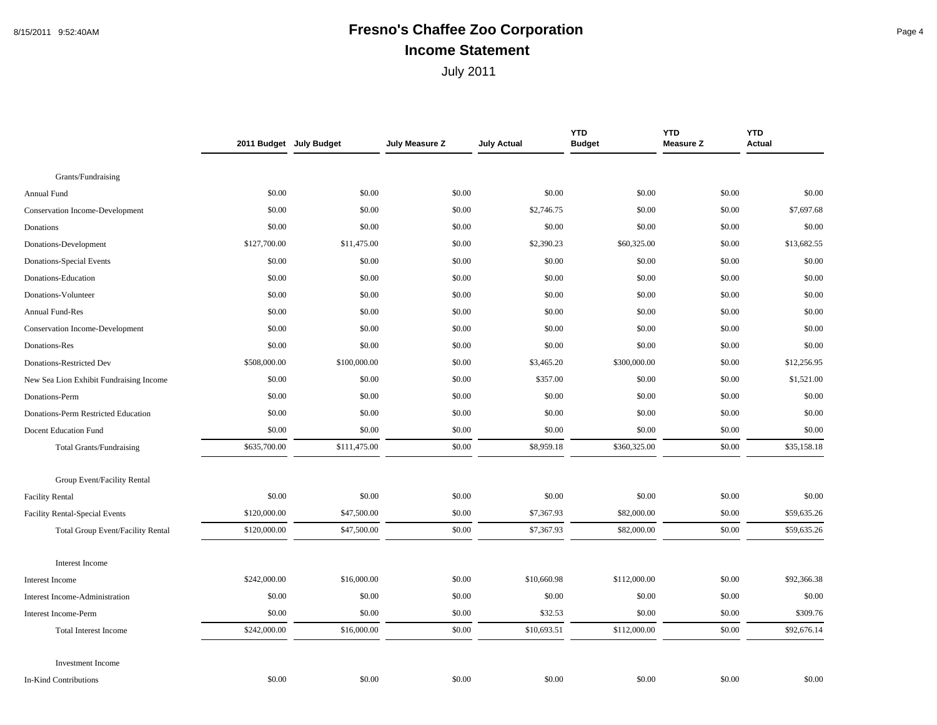#### 8/15/2011 9:52:40AM **Fresno's Chaffee Zoo Corporation** Page 4 **Income Statement**

|                                          |              | 2011 Budget July Budget | July Measure Z | <b>July Actual</b> | <b>YTD</b><br><b>Budget</b> | <b>YTD</b><br><b>Measure Z</b> | <b>YTD</b><br><b>Actual</b> |
|------------------------------------------|--------------|-------------------------|----------------|--------------------|-----------------------------|--------------------------------|-----------------------------|
|                                          |              |                         |                |                    |                             |                                |                             |
| Grants/Fundraising                       |              |                         |                |                    |                             |                                |                             |
| Annual Fund                              | \$0.00       | \$0.00                  | \$0.00         | \$0.00             | \$0.00                      | \$0.00                         | \$0.00                      |
| Conservation Income-Development          | \$0.00       | \$0.00                  | \$0.00         | \$2,746.75         | \$0.00                      | \$0.00                         | \$7,697.68                  |
| Donations                                | \$0.00       | \$0.00                  | \$0.00         | \$0.00             | \$0.00                      | \$0.00                         | \$0.00                      |
| Donations-Development                    | \$127,700.00 | \$11,475.00             | \$0.00         | \$2,390.23         | \$60,325.00                 | \$0.00                         | \$13,682.55                 |
| Donations-Special Events                 | \$0.00       | \$0.00                  | \$0.00         | \$0.00             | \$0.00                      | \$0.00                         | \$0.00                      |
| Donations-Education                      | \$0.00       | \$0.00                  | \$0.00         | \$0.00             | \$0.00                      | \$0.00                         | \$0.00                      |
| Donations-Volunteer                      | \$0.00       | \$0.00                  | \$0.00         | \$0.00             | \$0.00                      | \$0.00                         | \$0.00                      |
| <b>Annual Fund-Res</b>                   | \$0.00       | \$0.00                  | \$0.00         | \$0.00             | \$0.00                      | \$0.00                         | \$0.00                      |
| Conservation Income-Development          | \$0.00       | \$0.00                  | \$0.00         | \$0.00             | \$0.00                      | \$0.00                         | \$0.00                      |
| Donations-Res                            | \$0.00       | \$0.00                  | \$0.00         | \$0.00             | \$0.00                      | \$0.00                         | \$0.00                      |
| Donations-Restricted Dev                 | \$508,000.00 | \$100,000.00            | \$0.00         | \$3,465.20         | \$300,000.00                | \$0.00                         | \$12,256.95                 |
| New Sea Lion Exhibit Fundraising Income  | \$0.00       | \$0.00                  | \$0.00         | \$357.00           | \$0.00                      | \$0.00                         | \$1,521.00                  |
| Donations-Perm                           | \$0.00       | \$0.00                  | \$0.00         | \$0.00             | \$0.00                      | \$0.00                         | \$0.00                      |
| Donations-Perm Restricted Education      | \$0.00       | \$0.00                  | \$0.00         | \$0.00             | \$0.00                      | \$0.00                         | \$0.00                      |
| Docent Education Fund                    | \$0.00       | \$0.00                  | \$0.00         | \$0.00             | \$0.00                      | \$0.00                         | \$0.00                      |
| <b>Total Grants/Fundraising</b>          | \$635,700.00 | \$111,475.00            | \$0.00         | \$8,959.18         | \$360,325.00                | \$0.00                         | \$35,158.18                 |
| Group Event/Facility Rental              |              |                         |                |                    |                             |                                |                             |
| <b>Facility Rental</b>                   | \$0.00       | \$0.00                  | \$0.00         | \$0.00             | \$0.00                      | \$0.00                         | \$0.00                      |
| <b>Facility Rental-Special Events</b>    | \$120,000.00 | \$47,500.00             | \$0.00         | \$7,367.93         | \$82,000.00                 | \$0.00                         | \$59,635.26                 |
| <b>Total Group Event/Facility Rental</b> | \$120,000.00 | \$47,500.00             | \$0.00         | \$7,367.93         | \$82,000.00                 | \$0.00                         | \$59,635.26                 |
| <b>Interest Income</b>                   |              |                         |                |                    |                             |                                |                             |
| Interest Income                          | \$242,000.00 | \$16,000.00             | \$0.00         | \$10,660.98        | \$112,000.00                | \$0.00                         | \$92,366.38                 |
| Interest Income-Administration           | \$0.00       | \$0.00                  | \$0.00         | \$0.00             | \$0.00                      | \$0.00                         | \$0.00                      |
| Interest Income-Perm                     | \$0.00       | \$0.00                  | \$0.00         | \$32.53            | \$0.00                      | \$0.00                         | \$309.76                    |
| <b>Total Interest Income</b>             | \$242,000.00 | \$16,000.00             | \$0.00         | \$10,693.51        | \$112,000.00                | \$0.00                         | \$92,676.14                 |
| <b>Investment</b> Income                 |              |                         |                |                    |                             |                                |                             |
| <b>In-Kind Contributions</b>             | \$0.00       | \$0.00                  | \$0.00         | \$0.00             | \$0.00                      | \$0.00                         | \$0.00                      |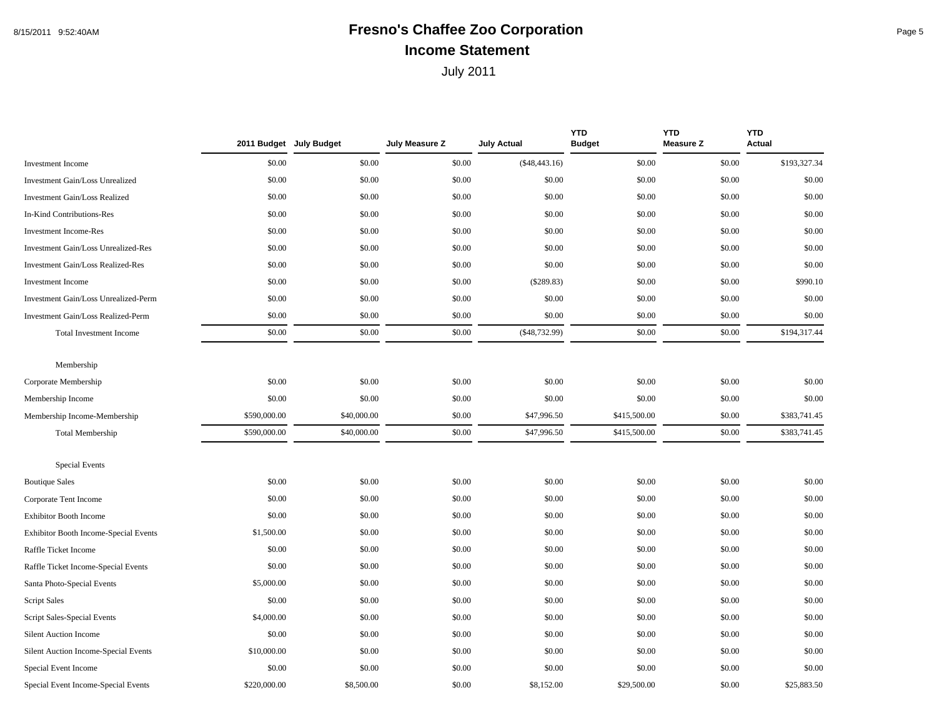## 8/15/2011 9:52:40AM **Fresno's Chaffee Zoo Corporation** Page 5 **Income Statement**

|                                          |              | 2011 Budget July Budget | July Measure Z | <b>July Actual</b> | <b>YTD</b><br><b>Budget</b> | <b>YTD</b><br><b>Measure Z</b> | <b>YTD</b><br><b>Actual</b> |
|------------------------------------------|--------------|-------------------------|----------------|--------------------|-----------------------------|--------------------------------|-----------------------------|
| Investment Income                        | \$0.00       | \$0.00                  | \$0.00         | $(\$48,443.16)$    | \$0.00                      | \$0.00                         | \$193,327.34                |
| Investment Gain/Loss Unrealized          | \$0.00       | \$0.00                  | \$0.00         | \$0.00             | \$0.00                      | \$0.00                         | \$0.00                      |
| <b>Investment Gain/Loss Realized</b>     | \$0.00       | \$0.00                  | \$0.00         | \$0.00             | \$0.00                      | \$0.00                         | \$0.00                      |
| In-Kind Contributions-Res                | \$0.00       | \$0.00                  | \$0.00         | \$0.00             | \$0.00                      | \$0.00                         | \$0.00                      |
| <b>Investment Income-Res</b>             | \$0.00       | \$0.00                  | \$0.00         | \$0.00             | \$0.00                      | \$0.00                         | \$0.00                      |
| Investment Gain/Loss Unrealized-Res      | \$0.00       | \$0.00                  | \$0.00         | \$0.00             | \$0.00                      | \$0.00                         | \$0.00                      |
| <b>Investment Gain/Loss Realized-Res</b> | \$0.00       | \$0.00                  | \$0.00         | \$0.00             | \$0.00                      | \$0.00                         | \$0.00                      |
| <b>Investment Income</b>                 | \$0.00       | \$0.00                  | \$0.00         | $(\$289.83)$       | \$0.00                      | \$0.00                         | \$990.10                    |
| Investment Gain/Loss Unrealized-Perm     | \$0.00       | \$0.00                  | \$0.00         | \$0.00             | \$0.00                      | \$0.00                         | \$0.00                      |
| Investment Gain/Loss Realized-Perm       | \$0.00       | \$0.00                  | \$0.00         | \$0.00             | \$0.00                      | \$0.00                         | \$0.00                      |
| <b>Total Investment Income</b>           | \$0.00       | \$0.00                  | \$0.00         | $(\$48,732.99)$    | \$0.00                      | \$0.00                         | \$194,317.44                |
|                                          |              |                         |                |                    |                             |                                |                             |
| Membership                               |              |                         |                |                    |                             |                                |                             |
| Corporate Membership                     | \$0.00       | \$0.00                  | \$0.00         | \$0.00             | \$0.00                      | \$0.00                         | \$0.00                      |
| Membership Income                        | \$0.00       | \$0.00                  | \$0.00         | \$0.00             | \$0.00                      | \$0.00                         | \$0.00                      |
| Membership Income-Membership             | \$590,000.00 | \$40,000.00             | \$0.00         | \$47,996.50        | \$415,500.00                | \$0.00                         | \$383,741.45                |
| <b>Total Membership</b>                  | \$590,000.00 | \$40,000.00             | \$0.00         | \$47,996.50        | \$415,500.00                | \$0.00                         | \$383,741.45                |
|                                          |              |                         |                |                    |                             |                                |                             |
| <b>Special Events</b>                    |              |                         |                |                    |                             |                                |                             |
| <b>Boutique Sales</b>                    | \$0.00       | \$0.00                  | \$0.00         | \$0.00             | \$0.00                      | \$0.00                         | \$0.00                      |
| Corporate Tent Income                    | \$0.00       | \$0.00                  | \$0.00         | \$0.00             | \$0.00                      | \$0.00                         | \$0.00                      |
| <b>Exhibitor Booth Income</b>            | \$0.00       | \$0.00                  | \$0.00         | \$0.00             | \$0.00                      | \$0.00                         | \$0.00                      |
| Exhibitor Booth Income-Special Events    | \$1,500.00   | \$0.00                  | \$0.00         | \$0.00             | \$0.00                      | \$0.00                         | \$0.00                      |
| Raffle Ticket Income                     | \$0.00       | \$0.00                  | \$0.00         | \$0.00             | \$0.00                      | \$0.00                         | \$0.00                      |
| Raffle Ticket Income-Special Events      | \$0.00       | \$0.00                  | \$0.00         | \$0.00             | \$0.00                      | \$0.00                         | \$0.00                      |
| Santa Photo-Special Events               | \$5,000.00   | \$0.00                  | \$0.00         | \$0.00             | \$0.00                      | \$0.00                         | \$0.00                      |
| <b>Script Sales</b>                      | \$0.00       | \$0.00                  | \$0.00         | \$0.00             | \$0.00                      | \$0.00                         | \$0.00                      |
| Script Sales-Special Events              | \$4,000.00   | \$0.00                  | \$0.00         | \$0.00             | \$0.00                      | \$0.00                         | \$0.00                      |
| <b>Silent Auction Income</b>             | \$0.00       | \$0.00                  | \$0.00         | \$0.00             | \$0.00                      | \$0.00                         | \$0.00                      |
| Silent Auction Income-Special Events     | \$10,000.00  | \$0.00                  | \$0.00         | \$0.00             | \$0.00                      | \$0.00                         | \$0.00                      |
| Special Event Income                     | \$0.00       | \$0.00                  | \$0.00         | \$0.00             | \$0.00                      | \$0.00                         | \$0.00                      |
| Special Event Income-Special Events      | \$220,000.00 | \$8,500,00              | \$0.00         | \$8,152.00         | \$29,500.00                 | \$0.00                         | \$25,883.50                 |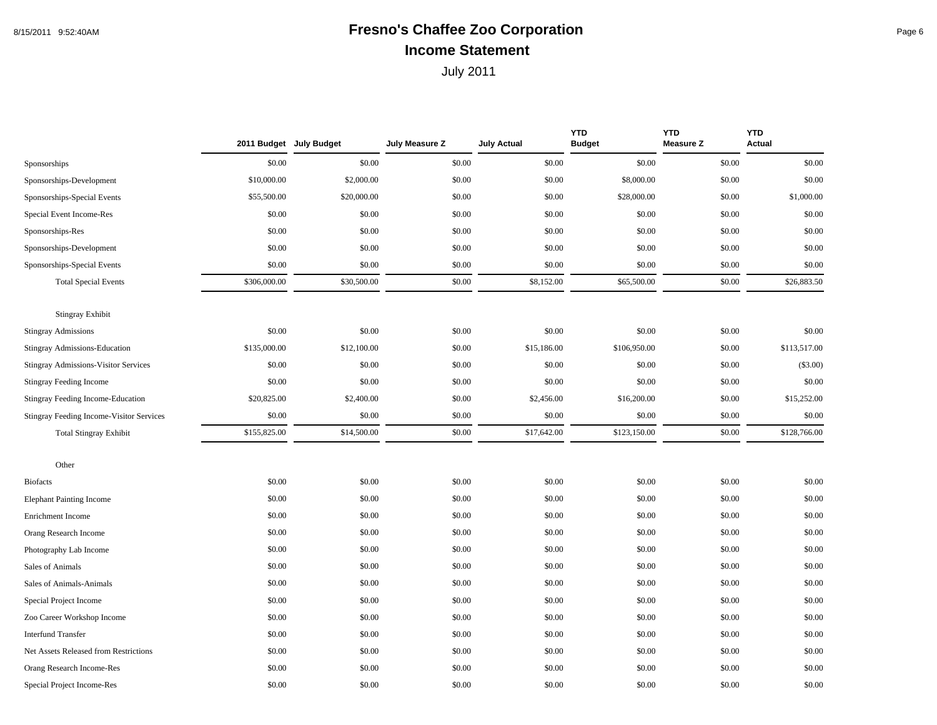#### 8/15/2011 9:52:40AM **Fresno's Chaffee Zoo Corporation** Page 6 **Income Statement**

|                                                 |              | 2011 Budget July Budget | July Measure Z | <b>July Actual</b> | <b>YTD</b><br><b>Budget</b> | <b>YTD</b><br><b>Measure Z</b> | <b>YTD</b><br>Actual |
|-------------------------------------------------|--------------|-------------------------|----------------|--------------------|-----------------------------|--------------------------------|----------------------|
| Sponsorships                                    | \$0.00       | \$0.00                  | \$0.00         | \$0.00             | \$0.00                      | \$0.00                         | \$0.00               |
| Sponsorships-Development                        | \$10,000.00  | \$2,000.00              | \$0.00         | \$0.00             | \$8,000.00                  | \$0.00                         | \$0.00               |
| Sponsorships-Special Events                     | \$55,500.00  | \$20,000.00             | \$0.00         | \$0.00             | \$28,000.00                 | \$0.00                         | \$1,000.00           |
| Special Event Income-Res                        | \$0.00       | \$0.00                  | \$0.00         | \$0.00             | \$0.00                      | \$0.00                         | \$0.00               |
| Sponsorships-Res                                | \$0.00       | \$0.00                  | \$0.00         | \$0.00             | \$0.00                      | \$0.00                         | \$0.00               |
| Sponsorships-Development                        | \$0.00       | \$0.00                  | \$0.00         | \$0.00             | \$0.00                      | \$0.00                         | \$0.00               |
| Sponsorships-Special Events                     | \$0.00       | \$0.00                  | \$0.00         | \$0.00             | \$0.00                      | \$0.00                         | \$0.00               |
| <b>Total Special Events</b>                     | \$306,000.00 | \$30,500.00             | \$0.00         | \$8,152.00         | \$65,500.00                 | \$0.00                         | \$26,883.50          |
| <b>Stingray Exhibit</b>                         |              |                         |                |                    |                             |                                |                      |
| <b>Stingray Admissions</b>                      | \$0.00       | \$0.00                  | \$0.00         | \$0.00             | \$0.00                      | \$0.00                         | \$0.00               |
| Stingray Admissions-Education                   | \$135,000.00 | \$12,100.00             | \$0.00         | \$15,186.00        | \$106,950.00                | \$0.00                         | \$113,517.00         |
| Stingray Admissions-Visitor Services            | \$0.00       | \$0.00                  | \$0.00         | \$0.00             | \$0.00                      | \$0.00                         | $(\$3.00)$           |
| <b>Stingray Feeding Income</b>                  | \$0.00       | \$0.00                  | \$0.00         | \$0.00             | \$0.00                      | \$0.00                         | \$0.00               |
| Stingray Feeding Income-Education               | \$20,825.00  | \$2,400.00              | \$0.00         | \$2,456.00         | \$16,200.00                 | \$0.00                         | \$15,252.00          |
| <b>Stingray Feeding Income-Visitor Services</b> | \$0.00       | \$0.00                  | \$0.00         | \$0.00             | \$0.00                      | \$0.00                         | \$0.00               |
| <b>Total Stingray Exhibit</b>                   | \$155,825.00 | \$14,500.00             | \$0.00         | \$17,642.00        | \$123,150.00                | \$0.00                         | \$128,766.00         |
| Other                                           |              |                         |                |                    |                             |                                |                      |
| <b>Biofacts</b>                                 | \$0.00       | \$0.00                  | \$0.00         | \$0.00             | \$0.00                      | \$0.00                         | \$0.00               |
| <b>Elephant Painting Income</b>                 | \$0.00       | \$0.00                  | \$0.00         | \$0.00             | \$0.00                      | \$0.00                         | \$0.00               |
| Enrichment Income                               | \$0.00       | \$0.00                  | \$0.00         | \$0.00             | \$0.00                      | \$0.00                         | \$0.00               |
| Orang Research Income                           | \$0.00       | \$0.00                  | \$0.00         | \$0.00             | \$0.00                      | \$0.00                         | \$0.00               |
| Photography Lab Income                          | \$0.00       | \$0.00                  | \$0.00         | \$0.00             | \$0.00                      | \$0.00                         | \$0.00               |
| Sales of Animals                                | \$0.00       | \$0.00                  | \$0.00         | \$0.00             | \$0.00                      | \$0.00                         | \$0.00               |
| Sales of Animals-Animals                        | \$0.00       | \$0.00                  | \$0.00         | \$0.00             | \$0.00                      | \$0.00                         | \$0.00               |
| Special Project Income                          | \$0.00       | \$0.00                  | \$0.00         | \$0.00             | \$0.00                      | \$0.00                         | \$0.00               |
| Zoo Career Workshop Income                      | \$0.00       | \$0.00                  | \$0.00         | \$0.00             | \$0.00                      | \$0.00                         | \$0.00               |
| <b>Interfund Transfer</b>                       | \$0.00       | \$0.00                  | \$0.00         | \$0.00             | \$0.00                      | \$0.00                         | \$0.00               |
| Net Assets Released from Restrictions           | \$0.00       | \$0.00                  | \$0.00         | \$0.00             | \$0.00                      | \$0.00                         | \$0.00               |
| Orang Research Income-Res                       | \$0.00       | \$0.00                  | \$0.00         | \$0.00             | \$0.00                      | \$0.00                         | \$0.00               |
| Special Project Income-Res                      | \$0.00       | \$0.00                  | \$0.00         | \$0.00             | \$0.00                      | \$0.00                         | \$0.00               |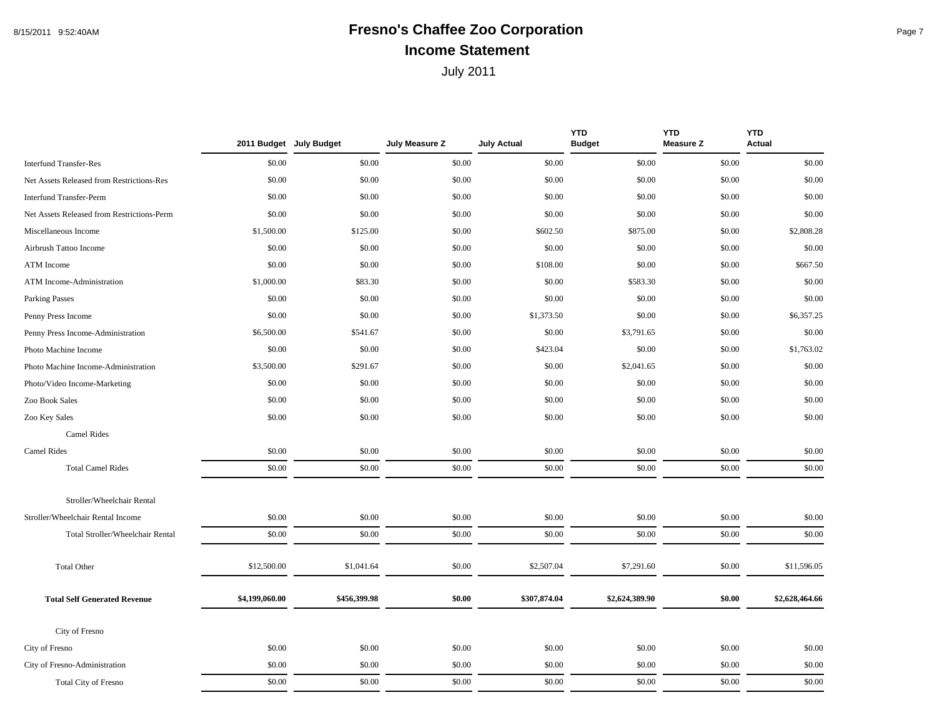## 8/15/2011 9:52:40AM **Fresno's Chaffee Zoo Corporation** Page 7 **Income Statement**

|                                            | 2011 Budget July Budget |              | July Measure Z | <b>July Actual</b> | <b>YTD</b><br><b>Budget</b> | <b>YTD</b><br><b>Measure Z</b> | <b>YTD</b><br><b>Actual</b> |
|--------------------------------------------|-------------------------|--------------|----------------|--------------------|-----------------------------|--------------------------------|-----------------------------|
| <b>Interfund Transfer-Res</b>              | \$0.00                  | \$0.00       | \$0.00         | \$0.00             | \$0.00                      | \$0.00                         | \$0.00                      |
| Net Assets Released from Restrictions-Res  | \$0.00                  | \$0.00       | \$0.00         | \$0.00             | \$0.00                      | \$0.00                         | \$0.00                      |
| <b>Interfund Transfer-Perm</b>             | \$0.00                  | \$0.00       | \$0.00         | \$0.00             | \$0.00                      | \$0.00                         | \$0.00                      |
| Net Assets Released from Restrictions-Perm | \$0.00                  | \$0.00       | \$0.00         | \$0.00             | \$0.00                      | \$0.00                         | \$0.00                      |
| Miscellaneous Income                       | \$1,500.00              | \$125.00     | \$0.00         | \$602.50           | \$875.00                    | \$0.00                         | \$2,808.28                  |
| Airbrush Tattoo Income                     | \$0.00                  | \$0.00       | \$0.00         | \$0.00             | \$0.00                      | \$0.00                         | \$0.00                      |
| ATM Income                                 | \$0.00                  | \$0.00       | \$0.00         | \$108.00           | \$0.00                      | \$0.00                         | \$667.50                    |
| ATM Income-Administration                  | \$1,000.00              | \$83.30      | \$0.00         | \$0.00             | \$583.30                    | \$0.00                         | \$0.00                      |
| <b>Parking Passes</b>                      | \$0.00                  | \$0.00       | \$0.00         | \$0.00             | \$0.00                      | \$0.00                         | \$0.00                      |
| Penny Press Income                         | \$0.00                  | \$0.00       | \$0.00         | \$1,373.50         | \$0.00                      | \$0.00                         | \$6,357.25                  |
| Penny Press Income-Administration          | \$6,500.00              | \$541.67     | \$0.00         | \$0.00             | \$3,791.65                  | \$0.00                         | \$0.00                      |
| Photo Machine Income                       | \$0.00                  | \$0.00       | \$0.00         | \$423.04           | \$0.00                      | \$0.00                         | \$1,763.02                  |
| Photo Machine Income-Administration        | \$3,500.00              | \$291.67     | \$0.00         | \$0.00             | \$2,041.65                  | \$0.00                         | \$0.00                      |
| Photo/Video Income-Marketing               | \$0.00                  | \$0.00       | \$0.00         | \$0.00             | \$0.00                      | \$0.00                         | \$0.00                      |
| Zoo Book Sales                             | \$0.00                  | \$0.00       | \$0.00         | \$0.00             | \$0.00                      | \$0.00                         | \$0.00                      |
| Zoo Key Sales                              | \$0.00                  | \$0.00       | \$0.00         | \$0.00             | \$0.00                      | \$0.00                         | \$0.00                      |
| Camel Rides                                |                         |              |                |                    |                             |                                |                             |
| Camel Rides                                | \$0.00                  | \$0.00       | \$0.00         | \$0.00             | \$0.00                      | \$0.00                         | \$0.00                      |
| <b>Total Camel Rides</b>                   | \$0.00                  | \$0.00       | \$0.00         | \$0.00             | \$0.00                      | \$0.00                         | \$0.00                      |
| Stroller/Wheelchair Rental                 |                         |              |                |                    |                             |                                |                             |
| Stroller/Wheelchair Rental Income          | \$0.00                  | \$0.00       | \$0.00         | \$0.00             | \$0.00                      | \$0.00                         | \$0.00                      |
| Total Stroller/Wheelchair Rental           | \$0.00                  | \$0.00       | \$0.00         | \$0.00             | \$0.00                      | \$0.00                         | \$0.00                      |
| <b>Total Other</b>                         | \$12,500.00             | \$1,041.64   | \$0.00         | \$2,507.04         | \$7,291.60                  | \$0.00                         | \$11,596.05                 |
| <b>Total Self Generated Revenue</b>        | \$4,199,060.00          | \$456,399.98 | \$0.00         | \$307,874.04       | \$2,624,389.90              | \$0.00                         | \$2,628,464.66              |
| City of Fresno                             |                         |              |                |                    |                             |                                |                             |
| City of Fresno                             | \$0.00                  | \$0.00       | \$0.00         | \$0.00             | \$0.00                      | \$0.00                         | \$0.00                      |
| City of Fresno-Administration              | \$0.00                  | \$0.00       | \$0.00         | \$0.00             | \$0.00                      | \$0.00                         | \$0.00                      |
| Total City of Fresno                       | \$0.00                  | \$0.00       | \$0.00         | \$0.00             | \$0.00                      | \$0.00                         | \$0.00                      |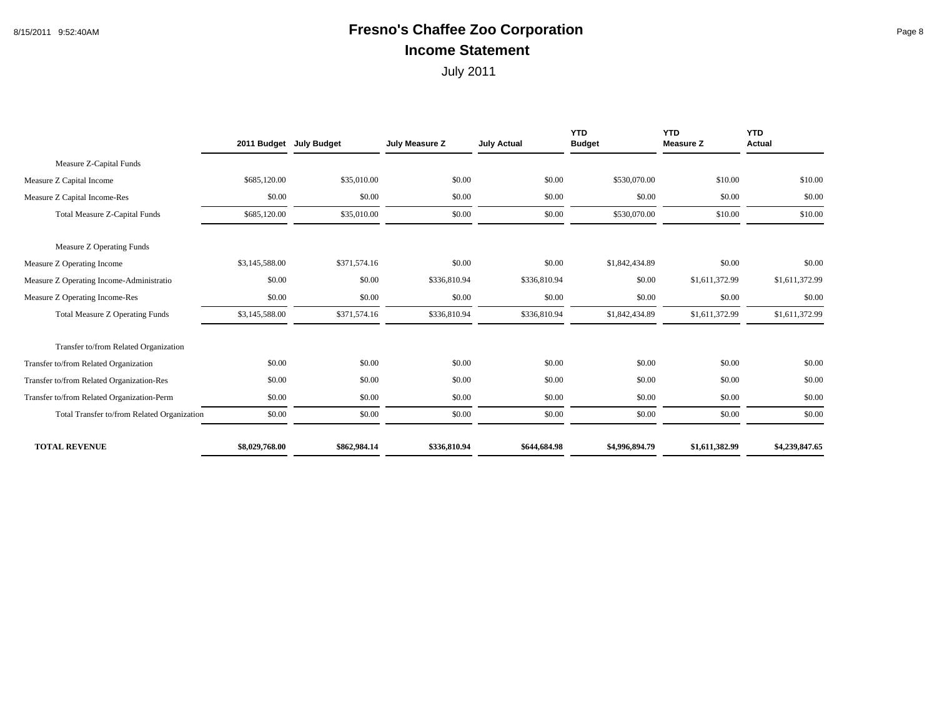#### 8/15/2011 9:52:40AM **Fresno's Chaffee Zoo Corporation** Page 8 **Income Statement**

|                                             |                | 2011 Budget July Budget | July Measure Z | <b>July Actual</b> | <b>YTD</b><br><b>Budget</b> | <b>YTD</b><br><b>Measure Z</b> | <b>YTD</b><br><b>Actual</b> |
|---------------------------------------------|----------------|-------------------------|----------------|--------------------|-----------------------------|--------------------------------|-----------------------------|
| Measure Z-Capital Funds                     |                |                         |                |                    |                             |                                |                             |
| Measure Z Capital Income                    | \$685,120.00   | \$35,010.00             | \$0.00         | \$0.00             | \$530,070.00                | \$10.00                        | \$10.00                     |
| Measure Z Capital Income-Res                | \$0.00         | \$0.00                  | \$0.00         | \$0.00             | \$0.00                      | \$0.00                         | \$0.00                      |
| <b>Total Measure Z-Capital Funds</b>        | \$685,120.00   | \$35,010.00             | \$0.00         | \$0.00             | \$530,070.00                | \$10.00                        | \$10.00                     |
| Measure Z Operating Funds                   |                |                         |                |                    |                             |                                |                             |
| Measure Z Operating Income                  | \$3,145,588.00 | \$371,574.16            | \$0.00         | \$0.00             | \$1,842,434.89              | \$0.00                         | \$0.00                      |
| Measure Z Operating Income-Administratio    | \$0.00         | \$0.00                  | \$336,810.94   | \$336,810.94       | \$0.00                      | \$1,611,372.99                 | \$1,611,372.99              |
| Measure Z Operating Income-Res              | \$0.00         | \$0.00                  | \$0.00         | \$0.00             | \$0.00                      | \$0.00                         | \$0.00                      |
| <b>Total Measure Z Operating Funds</b>      | \$3,145,588.00 | \$371,574.16            | \$336,810.94   | \$336,810.94       | \$1,842,434.89              | \$1,611,372.99                 | \$1,611,372.99              |
| Transfer to/from Related Organization       |                |                         |                |                    |                             |                                |                             |
| Transfer to/from Related Organization       | \$0.00         | \$0.00                  | \$0.00         | \$0.00             | \$0.00                      | \$0.00                         | \$0.00                      |
| Transfer to/from Related Organization-Res   | \$0.00         | \$0.00                  | \$0.00         | \$0.00             | \$0.00                      | \$0.00                         | \$0.00                      |
| Transfer to/from Related Organization-Perm  | \$0.00         | \$0.00                  | \$0.00         | \$0.00             | \$0.00                      | \$0.00                         | \$0.00                      |
| Total Transfer to/from Related Organization | \$0.00         | \$0.00                  | \$0.00         | \$0.00             | \$0.00                      | \$0.00                         | \$0.00                      |
| <b>TOTAL REVENUE</b>                        | \$8,029,768.00 | \$862,984.14            | \$336,810.94   | \$644,684.98       | \$4,996,894.79              | \$1,611,382.99                 | \$4,239,847.65              |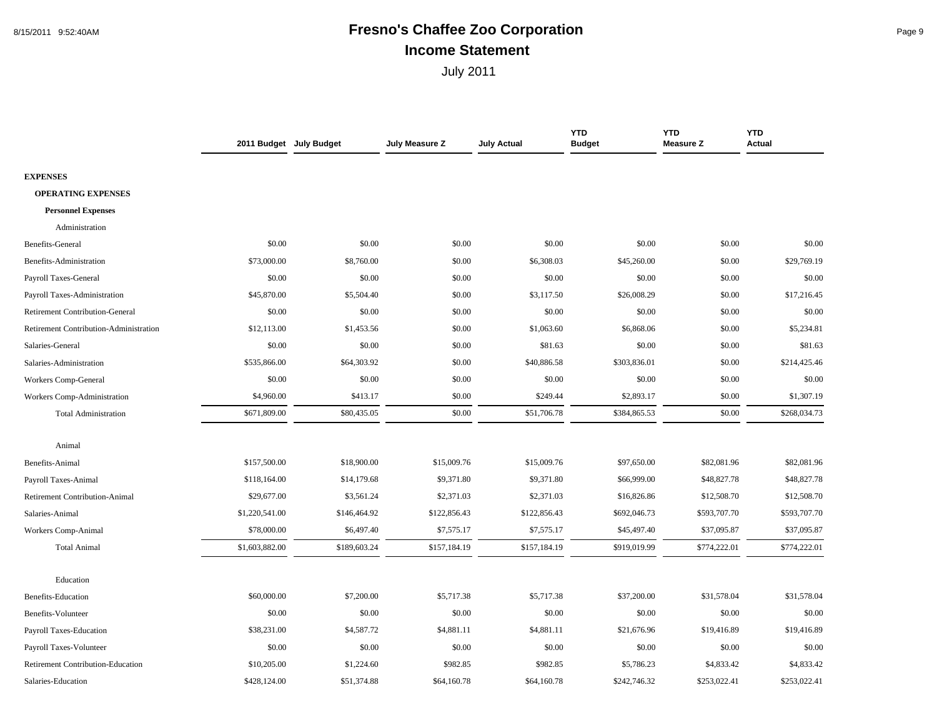#### 8/15/2011 9:52:40AM **Fresno's Chaffee Zoo Corporation** Page 9 **Income Statement**

|                                        | 2011 Budget July Budget |              | July Measure Z | <b>July Actual</b> | <b>YTD</b><br><b>Budget</b> | <b>YTD</b><br><b>Measure Z</b> | <b>YTD</b><br><b>Actual</b> |
|----------------------------------------|-------------------------|--------------|----------------|--------------------|-----------------------------|--------------------------------|-----------------------------|
|                                        |                         |              |                |                    |                             |                                |                             |
| <b>EXPENSES</b>                        |                         |              |                |                    |                             |                                |                             |
| <b>OPERATING EXPENSES</b>              |                         |              |                |                    |                             |                                |                             |
| <b>Personnel Expenses</b>              |                         |              |                |                    |                             |                                |                             |
| Administration                         |                         |              |                |                    |                             |                                |                             |
| Benefits-General                       | \$0.00                  | \$0.00       | \$0.00         | \$0.00             | \$0.00                      | \$0.00                         | \$0.00                      |
| Benefits-Administration                | \$73,000.00             | \$8,760.00   | \$0.00         | \$6,308.03         | \$45,260.00                 | \$0.00                         | \$29,769.19                 |
| Payroll Taxes-General                  | \$0.00                  | \$0.00       | \$0.00         | \$0.00             | \$0.00                      | \$0.00                         | \$0.00                      |
| Payroll Taxes-Administration           | \$45,870.00             | \$5,504.40   | \$0.00         | \$3,117.50         | \$26,008.29                 | \$0.00                         | \$17,216.45                 |
| <b>Retirement Contribution-General</b> | \$0.00                  | \$0.00       | \$0.00         | \$0.00             | \$0.00                      | \$0.00                         | \$0.00                      |
| Retirement Contribution-Administration | \$12,113.00             | \$1,453.56   | \$0.00         | \$1,063.60         | \$6,868.06                  | \$0.00                         | \$5,234.81                  |
| Salaries-General                       | \$0.00                  | \$0.00       | \$0.00         | \$81.63            | \$0.00                      | \$0.00                         | \$81.63                     |
| Salaries-Administration                | \$535,866.00            | \$64,303.92  | \$0.00         | \$40,886.58        | \$303,836.01                | \$0.00                         | \$214,425.46                |
| Workers Comp-General                   | \$0.00                  | \$0.00       | \$0.00         | \$0.00             | \$0.00                      | \$0.00                         | \$0.00                      |
| Workers Comp-Administration            | \$4,960.00              | \$413.17     | \$0.00         | \$249.44           | \$2,893.17                  | \$0.00                         | \$1,307.19                  |
| <b>Total Administration</b>            | \$671,809.00            | \$80,435.05  | \$0.00         | \$51,706.78        | \$384,865.53                | \$0.00                         | \$268,034.73                |
|                                        |                         |              |                |                    |                             |                                |                             |
| Animal                                 |                         |              |                |                    |                             |                                |                             |
| Benefits-Animal                        | \$157,500.00            | \$18,900.00  | \$15,009.76    | \$15,009.76        | \$97,650.00                 | \$82,081.96                    | \$82,081.96                 |
| Payroll Taxes-Animal                   | \$118,164.00            | \$14,179.68  | \$9,371.80     | \$9,371.80         | \$66,999.00                 | \$48,827.78                    | \$48,827.78                 |
| <b>Retirement Contribution-Animal</b>  | \$29,677.00             | \$3,561.24   | \$2,371.03     | \$2,371.03         | \$16,826.86                 | \$12,508.70                    | \$12,508.70                 |
| Salaries-Animal                        | \$1,220,541.00          | \$146,464.92 | \$122,856.43   | \$122,856.43       | \$692,046.73                | \$593,707.70                   | \$593,707.70                |
| Workers Comp-Animal                    | \$78,000.00             | \$6,497.40   | \$7,575.17     | \$7,575.17         | \$45,497.40                 | \$37,095.87                    | \$37,095.87                 |
| <b>Total Animal</b>                    | \$1,603,882.00          | \$189,603.24 | \$157,184.19   | \$157,184.19       | \$919,019.99                | \$774,222.01                   | \$774,222.01                |
|                                        |                         |              |                |                    |                             |                                |                             |
| Education                              |                         |              |                |                    |                             |                                |                             |
| <b>Benefits-Education</b>              | \$60,000.00             | \$7,200.00   | \$5,717.38     | \$5,717.38         | \$37,200.00                 | \$31,578.04                    | \$31,578.04                 |
| Benefits-Volunteer                     | \$0.00                  | \$0.00       | \$0.00         | \$0.00             | \$0.00                      | \$0.00                         | \$0.00                      |
| Payroll Taxes-Education                | \$38,231.00             | \$4,587.72   | \$4,881.11     | \$4,881.11         | \$21,676.96                 | \$19,416.89                    | \$19,416.89                 |
| Payroll Taxes-Volunteer                | \$0.00                  | \$0.00       | \$0.00         | \$0.00             | \$0.00                      | \$0.00                         | \$0.00                      |
| Retirement Contribution-Education      | \$10,205.00             | \$1,224.60   | \$982.85       | \$982.85           | \$5,786.23                  | \$4,833.42                     | \$4,833.42                  |
| Salaries-Education                     | \$428,124.00            | \$51,374.88  | \$64,160.78    | \$64,160.78        | \$242,746.32                | \$253,022.41                   | \$253,022.41                |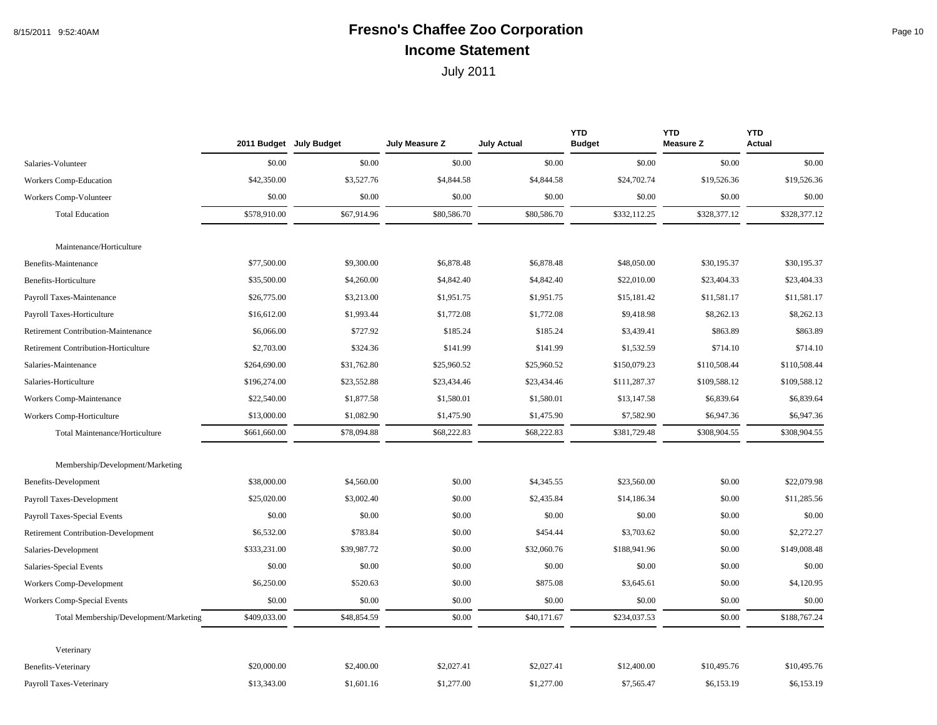## 8/15/2011 9:52:40AM **Fresno's Chaffee Zoo Corporation Fresno's Chaffee 200 Fresno's** Page 10 **Income Statement**

|                                            |              | 2011 Budget July Budget | July Measure Z | <b>July Actual</b> | <b>YTD</b><br><b>Budget</b> | <b>YTD</b><br><b>Measure Z</b> | <b>YTD</b><br><b>Actual</b> |
|--------------------------------------------|--------------|-------------------------|----------------|--------------------|-----------------------------|--------------------------------|-----------------------------|
| Salaries-Volunteer                         | \$0.00       | \$0.00                  | \$0.00         | \$0.00             | \$0.00                      | \$0.00                         | \$0.00                      |
| Workers Comp-Education                     | \$42,350.00  | \$3,527.76              | \$4,844.58     | \$4,844.58         | \$24,702.74                 | \$19,526.36                    | \$19,526.36                 |
| Workers Comp-Volunteer                     | \$0.00       | \$0.00                  | \$0.00         | \$0.00             | \$0.00                      | \$0.00                         | \$0.00                      |
| <b>Total Education</b>                     | \$578,910.00 | \$67,914.96             | \$80,586.70    | \$80,586.70        | \$332,112.25                | \$328,377.12                   | \$328,377.12                |
| Maintenance/Horticulture                   |              |                         |                |                    |                             |                                |                             |
| Benefits-Maintenance                       | \$77,500.00  | \$9,300.00              | \$6,878.48     | \$6,878.48         | \$48,050.00                 | \$30,195.37                    | \$30,195.37                 |
| Benefits-Horticulture                      | \$35,500.00  | \$4,260.00              | \$4,842.40     | \$4,842.40         | \$22,010.00                 | \$23,404.33                    | \$23,404.33                 |
| Payroll Taxes-Maintenance                  | \$26,775.00  | \$3,213.00              | \$1,951.75     | \$1,951.75         | \$15,181.42                 | \$11,581.17                    | \$11,581.17                 |
| Payroll Taxes-Horticulture                 | \$16,612.00  | \$1,993.44              | \$1,772.08     | \$1,772.08         | \$9,418.98                  | \$8,262.13                     | \$8,262.13                  |
| Retirement Contribution-Maintenance        | \$6,066.00   | \$727.92                | \$185.24       | \$185.24           | \$3,439.41                  | \$863.89                       | \$863.89                    |
| Retirement Contribution-Horticulture       | \$2,703.00   | \$324.36                | \$141.99       | \$141.99           | \$1,532.59                  | \$714.10                       | \$714.10                    |
| Salaries-Maintenance                       | \$264,690.00 | \$31,762.80             | \$25,960.52    | \$25,960.52        | \$150,079.23                | \$110,508.44                   | \$110,508.44                |
| Salaries-Horticulture                      | \$196,274.00 | \$23,552.88             | \$23,434.46    | \$23,434.46        | \$111,287.37                | \$109,588.12                   | \$109,588.12                |
| Workers Comp-Maintenance                   | \$22,540.00  | \$1,877.58              | \$1,580.01     | \$1,580.01         | \$13,147.58                 | \$6,839.64                     | \$6,839.64                  |
| Workers Comp-Horticulture                  | \$13,000.00  | \$1,082.90              | \$1,475.90     | \$1,475.90         | \$7,582.90                  | \$6,947.36                     | \$6,947.36                  |
| Total Maintenance/Horticulture             | \$661,660.00 | \$78,094.88             | \$68,222.83    | \$68,222.83        | \$381,729.48                | \$308,904.55                   | \$308,904.55                |
| Membership/Development/Marketing           |              |                         |                |                    |                             |                                |                             |
| Benefits-Development                       | \$38,000.00  | \$4,560.00              | \$0.00         | \$4,345.55         | \$23,560.00                 | \$0.00                         | \$22,079.98                 |
| Payroll Taxes-Development                  | \$25,020.00  | \$3,002.40              | \$0.00         | \$2,435.84         | \$14,186.34                 | \$0.00                         | \$11,285.56                 |
| Payroll Taxes-Special Events               | \$0.00       | \$0.00                  | \$0.00         | \$0.00             | \$0.00                      | \$0.00                         | \$0.00                      |
| <b>Retirement Contribution-Development</b> | \$6,532.00   | \$783.84                | \$0.00         | \$454.44           | \$3,703.62                  | \$0.00                         | \$2,272.27                  |
| Salaries-Development                       | \$333,231.00 | \$39,987.72             | \$0.00         | \$32,060.76        | \$188,941.96                | \$0.00                         | \$149,008.48                |
| Salaries-Special Events                    | \$0.00       | \$0.00                  | \$0.00         | \$0.00             | \$0.00                      | \$0.00                         | \$0.00                      |
| Workers Comp-Development                   | \$6,250.00   | \$520.63                | \$0.00         | \$875.08           | \$3,645.61                  | \$0.00                         | \$4,120.95                  |
| Workers Comp-Special Events                | \$0.00       | \$0.00                  | \$0.00         | \$0.00             | \$0.00                      | \$0.00                         | \$0.00                      |
| Total Membership/Development/Marketing     | \$409,033.00 | \$48,854.59             | \$0.00         | \$40,171.67        | \$234,037.53                | \$0.00                         | \$188,767.24                |
| Veterinary                                 |              |                         |                |                    |                             |                                |                             |
| <b>Benefits-Veterinary</b>                 | \$20,000.00  | \$2,400.00              | \$2,027.41     | \$2,027.41         | \$12,400.00                 | \$10,495.76                    | \$10,495.76                 |
| Payroll Taxes-Veterinary                   | \$13,343.00  | \$1,601.16              | \$1,277.00     | \$1,277.00         | \$7,565.47                  | \$6,153.19                     | \$6,153.19                  |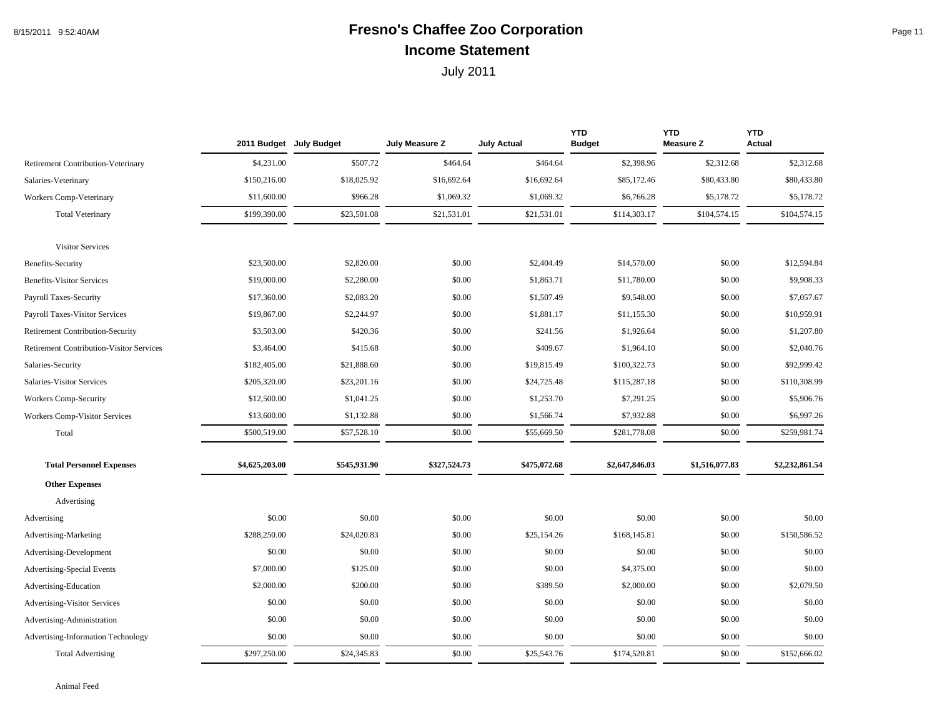## 8/15/2011 9:52:40AM **Fresno's Chaffee Zoo Corporation** Page 11 **Income Statement**

|                                                 |                | 2011 Budget July Budget | July Measure Z | <b>July Actual</b> | <b>YTD</b><br><b>Budget</b> | <b>YTD</b><br><b>Measure Z</b> | <b>YTD</b><br><b>Actual</b> |
|-------------------------------------------------|----------------|-------------------------|----------------|--------------------|-----------------------------|--------------------------------|-----------------------------|
| <b>Retirement Contribution-Veterinary</b>       | \$4,231.00     | \$507.72                | \$464.64       | \$464.64           | \$2,398.96                  | \$2,312.68                     | \$2,312.68                  |
| Salaries-Veterinary                             | \$150,216.00   | \$18,025.92             | \$16,692.64    | \$16,692.64        | \$85,172.46                 | \$80,433.80                    | \$80,433.80                 |
| Workers Comp-Veterinary                         | \$11,600.00    | \$966.28                | \$1,069.32     | \$1,069.32         | \$6,766.28                  | \$5,178.72                     | \$5,178.72                  |
| <b>Total Veterinary</b>                         | \$199,390.00   | \$23,501.08             | \$21,531.01    | \$21,531.01        | \$114,303.17                | \$104,574.15                   | \$104,574.15                |
| <b>Visitor Services</b>                         |                |                         |                |                    |                             |                                |                             |
| Benefits-Security                               | \$23,500.00    | \$2,820.00              | \$0.00         | \$2,404.49         | \$14,570.00                 | \$0.00                         | \$12,594.84                 |
| <b>Benefits-Visitor Services</b>                | \$19,000.00    | \$2,280.00              | \$0.00         | \$1,863.71         | \$11,780.00                 | \$0.00                         | \$9,908.33                  |
| Payroll Taxes-Security                          | \$17,360.00    | \$2,083.20              | \$0.00         | \$1,507.49         | \$9,548.00                  | \$0.00                         | \$7,057.67                  |
| <b>Payroll Taxes-Visitor Services</b>           | \$19,867.00    | \$2,244.97              | \$0.00         | \$1,881.17         | \$11,155.30                 | \$0.00                         | \$10,959.91                 |
| <b>Retirement Contribution-Security</b>         | \$3,503.00     | \$420.36                | \$0.00         | \$241.56           | \$1,926.64                  | \$0.00                         | \$1,207.80                  |
| <b>Retirement Contribution-Visitor Services</b> | \$3,464.00     | \$415.68                | \$0.00         | \$409.67           | \$1,964.10                  | \$0.00                         | \$2,040.76                  |
| Salaries-Security                               | \$182,405.00   | \$21,888.60             | \$0.00         | \$19,815.49        | \$100,322.73                | \$0.00                         | \$92,999.42                 |
| Salaries-Visitor Services                       | \$205,320.00   | \$23,201.16             | \$0.00         | \$24,725.48        | \$115,287.18                | \$0.00                         | \$110,308.99                |
| Workers Comp-Security                           | \$12,500.00    | \$1,041.25              | \$0.00         | \$1,253.70         | \$7,291.25                  | \$0.00                         | \$5,906.76                  |
| Workers Comp-Visitor Services                   | \$13,600.00    | \$1,132.88              | \$0.00         | \$1,566.74         | \$7,932.88                  | \$0.00                         | \$6,997.26                  |
| Total                                           | \$500,519.00   | \$57,528.10             | \$0.00         | \$55,669.50        | \$281,778.08                | \$0.00                         | \$259,981.74                |
| <b>Total Personnel Expenses</b>                 | \$4,625,203.00 | \$545,931.90            | \$327,524.73   | \$475,072.68       | \$2,647,846.03              | \$1,516,077.83                 | \$2,232,861.54              |
| <b>Other Expenses</b>                           |                |                         |                |                    |                             |                                |                             |
| Advertising                                     |                |                         |                |                    |                             |                                |                             |
| Advertising                                     | \$0.00         | \$0.00                  | \$0.00         | \$0.00             | \$0.00                      | \$0.00                         | \$0.00                      |
| Advertising-Marketing                           | \$288,250.00   | \$24,020.83             | \$0.00         | \$25,154.26        | \$168,145.81                | \$0.00                         | \$150,586.52                |
| Advertising-Development                         | \$0.00         | \$0.00                  | \$0.00         | \$0.00             | \$0.00                      | \$0.00                         | \$0.00                      |
| Advertising-Special Events                      | \$7,000.00     | \$125.00                | \$0.00         | \$0.00             | \$4,375.00                  | \$0.00                         | \$0.00                      |
| Advertising-Education                           | \$2,000.00     | \$200.00                | \$0.00         | \$389.50           | \$2,000.00                  | \$0.00                         | \$2,079.50                  |
| <b>Advertising-Visitor Services</b>             | \$0.00         | \$0.00                  | \$0.00         | \$0.00             | \$0.00                      | \$0.00                         | \$0.00                      |
| Advertising-Administration                      | \$0.00         | \$0.00                  | \$0.00         | \$0.00             | \$0.00                      | \$0.00                         | \$0.00                      |
| Advertising-Information Technology              | \$0.00         | \$0.00                  | \$0.00         | \$0.00             | \$0.00                      | \$0.00                         | \$0.00                      |
| <b>Total Advertising</b>                        | \$297,250.00   | \$24,345.83             | \$0.00         | \$25,543.76        | \$174,520.81                | \$0.00                         | \$152,666.02                |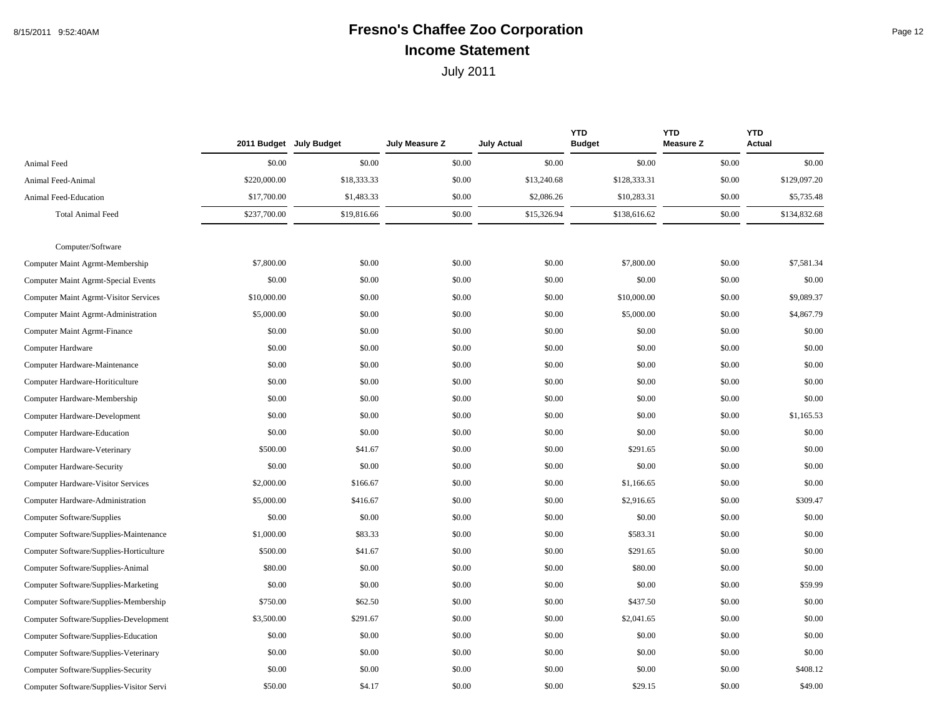## 8/15/2011 9:52:40AM **Fresno's Chaffee Zoo Corporation** Page 12 **Income Statement**

|                                              |              | 2011 Budget July Budget | July Measure Z | <b>July Actual</b> | <b>YTD</b><br><b>Budget</b> | <b>YTD</b><br><b>Measure Z</b> | <b>YTD</b><br><b>Actual</b> |
|----------------------------------------------|--------------|-------------------------|----------------|--------------------|-----------------------------|--------------------------------|-----------------------------|
| Animal Feed                                  | \$0.00       | \$0.00                  | \$0.00         | \$0.00             | \$0.00                      | \$0.00                         | \$0.00                      |
| Animal Feed-Animal                           | \$220,000.00 | \$18,333.33             | \$0.00         | \$13,240.68        | \$128,333.31                | \$0.00                         | \$129,097.20                |
| Animal Feed-Education                        | \$17,700.00  | \$1,483.33              | \$0.00         | \$2,086.26         | \$10,283.31                 | \$0.00                         | \$5,735.48                  |
| <b>Total Animal Feed</b>                     | \$237,700.00 | \$19,816.66             | \$0.00         | \$15,326.94        | \$138,616.62                | \$0.00                         | \$134,832.68                |
|                                              |              |                         |                |                    |                             |                                |                             |
| Computer/Software                            |              |                         |                |                    |                             |                                |                             |
| Computer Maint Agrmt-Membership              | \$7,800.00   | \$0.00                  | \$0.00         | \$0.00             | \$7,800.00                  | \$0.00                         | \$7,581.34                  |
| Computer Maint Agrmt-Special Events          | \$0.00       | \$0.00                  | \$0.00         | \$0.00             | \$0.00                      | \$0.00                         | \$0.00                      |
| <b>Computer Maint Agrmt-Visitor Services</b> | \$10,000.00  | \$0.00                  | \$0.00         | \$0.00             | \$10,000.00                 | \$0.00                         | \$9,089.37                  |
| Computer Maint Agrmt-Administration          | \$5,000.00   | \$0.00                  | \$0.00         | \$0.00             | \$5,000.00                  | \$0.00                         | \$4,867.79                  |
| Computer Maint Agrmt-Finance                 | \$0.00       | \$0.00                  | \$0.00         | \$0.00             | \$0.00                      | \$0.00                         | \$0.00                      |
| Computer Hardware                            | \$0.00       | \$0.00                  | \$0.00         | \$0.00             | \$0.00                      | \$0.00                         | \$0.00                      |
| Computer Hardware-Maintenance                | \$0.00       | \$0.00                  | \$0.00         | \$0.00             | \$0.00                      | \$0.00                         | \$0.00                      |
| Computer Hardware-Horiticulture              | \$0.00       | \$0.00                  | \$0.00         | \$0.00             | \$0.00                      | \$0.00                         | \$0.00                      |
| Computer Hardware-Membership                 | \$0.00       | \$0.00                  | \$0.00         | \$0.00             | \$0.00                      | \$0.00                         | \$0.00                      |
| Computer Hardware-Development                | \$0.00       | \$0.00                  | \$0.00         | \$0.00             | \$0.00                      | \$0.00                         | \$1,165.53                  |
| Computer Hardware-Education                  | \$0.00       | \$0.00                  | \$0.00         | \$0.00             | \$0.00                      | \$0.00                         | \$0.00                      |
| Computer Hardware-Veterinary                 | \$500.00     | \$41.67                 | \$0.00         | \$0.00             | \$291.65                    | \$0.00                         | \$0.00                      |
| <b>Computer Hardware-Security</b>            | \$0.00       | \$0.00                  | \$0.00         | \$0.00             | \$0.00                      | \$0.00                         | \$0.00                      |
| <b>Computer Hardware-Visitor Services</b>    | \$2,000.00   | \$166.67                | \$0.00         | \$0.00             | \$1,166.65                  | \$0.00                         | \$0.00                      |
| Computer Hardware-Administration             | \$5,000.00   | \$416.67                | \$0.00         | \$0.00             | \$2,916.65                  | \$0.00                         | \$309.47                    |
| Computer Software/Supplies                   | \$0.00       | \$0.00                  | \$0.00         | \$0.00             | \$0.00                      | \$0.00                         | \$0.00                      |
| Computer Software/Supplies-Maintenance       | \$1,000.00   | \$83.33                 | \$0.00         | \$0.00             | \$583.31                    | \$0.00                         | \$0.00                      |
| Computer Software/Supplies-Horticulture      | \$500.00     | \$41.67                 | \$0.00         | \$0.00             | \$291.65                    | \$0.00                         | \$0.00                      |
| Computer Software/Supplies-Animal            | \$80.00      | \$0.00                  | \$0.00         | \$0.00             | \$80.00                     | \$0.00                         | \$0.00                      |
| Computer Software/Supplies-Marketing         | \$0.00       | \$0.00                  | \$0.00         | \$0.00             | \$0.00                      | \$0.00                         | \$59.99                     |
| Computer Software/Supplies-Membership        | \$750.00     | \$62.50                 | \$0.00         | \$0.00             | \$437.50                    | \$0.00                         | \$0.00                      |
| Computer Software/Supplies-Development       | \$3,500.00   | \$291.67                | \$0.00         | \$0.00             | \$2,041.65                  | \$0.00                         | \$0.00                      |
| Computer Software/Supplies-Education         | \$0.00       | \$0.00                  | \$0.00         | \$0.00             | \$0.00                      | \$0.00                         | \$0.00                      |
| Computer Software/Supplies-Veterinary        | \$0.00       | \$0.00                  | \$0.00         | \$0.00             | \$0.00                      | \$0.00                         | \$0.00                      |
| Computer Software/Supplies-Security          | \$0.00       | \$0.00                  | \$0.00         | \$0.00             | \$0.00                      | \$0.00                         | \$408.12                    |
| Computer Software/Supplies-Visitor Servi     | \$50.00      | \$4.17                  | \$0.00         | \$0.00             | \$29.15                     | \$0.00                         | \$49.00                     |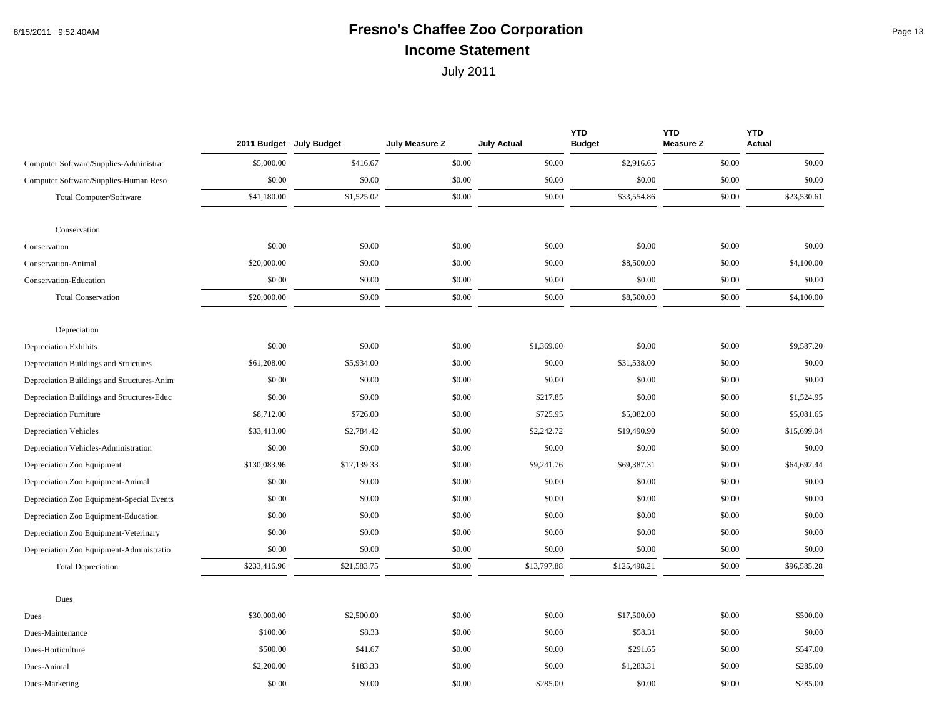## 8/15/2011 9:52:40AM **Fresno's Chaffee Zoo Corporation Fresno's Chaffee 200 Fresno's** Page 13 **Income Statement**

|                                            |              | 2011 Budget July Budget | July Measure Z | <b>July Actual</b> | <b>YTD</b><br><b>Budget</b> | <b>YTD</b><br><b>Measure Z</b> | <b>YTD</b><br>Actual |
|--------------------------------------------|--------------|-------------------------|----------------|--------------------|-----------------------------|--------------------------------|----------------------|
| Computer Software/Supplies-Administrat     | \$5,000.00   | \$416.67                | \$0.00         | \$0.00             | \$2,916.65                  | \$0.00                         | \$0.00               |
| Computer Software/Supplies-Human Reso      | \$0.00       | \$0.00                  | \$0.00         | \$0.00             | \$0.00                      | \$0.00                         | \$0.00               |
| Total Computer/Software                    | \$41,180.00  | \$1,525.02              | \$0.00         | \$0.00             | \$33,554.86                 | \$0.00                         | \$23,530.61          |
| Conservation                               |              |                         |                |                    |                             |                                |                      |
| Conservation                               | \$0.00       | \$0.00                  | \$0.00         | \$0.00             | \$0.00                      | \$0.00                         | \$0.00               |
| Conservation-Animal                        | \$20,000.00  | \$0.00                  | \$0.00         | \$0.00             | \$8,500.00                  | \$0.00                         | \$4,100.00           |
| Conservation-Education                     | \$0.00       | \$0.00                  | \$0.00         | \$0.00             | \$0.00                      | \$0.00                         | \$0.00               |
| <b>Total Conservation</b>                  | \$20,000.00  | \$0.00                  | \$0.00         | \$0.00             | \$8,500.00                  | \$0.00                         | \$4,100.00           |
| Depreciation                               |              |                         |                |                    |                             |                                |                      |
| <b>Depreciation Exhibits</b>               | \$0.00       | \$0.00                  | \$0.00         | \$1,369.60         | \$0.00                      | \$0.00                         | \$9,587.20           |
| Depreciation Buildings and Structures      | \$61,208.00  | \$5,934.00              | \$0.00         | \$0.00             | \$31,538.00                 | \$0.00                         | \$0.00               |
| Depreciation Buildings and Structures-Anim | \$0.00       | \$0.00                  | \$0.00         | \$0.00             | \$0.00                      | \$0.00                         | \$0.00               |
| Depreciation Buildings and Structures-Educ | \$0.00       | \$0.00                  | \$0.00         | \$217.85           | \$0.00                      | \$0.00                         | \$1,524.95           |
| <b>Depreciation Furniture</b>              | \$8,712.00   | \$726.00                | \$0.00         | \$725.95           | \$5,082.00                  | \$0.00                         | \$5,081.65           |
| <b>Depreciation Vehicles</b>               | \$33,413.00  | \$2,784.42              | \$0.00         | \$2,242.72         | \$19,490.90                 | \$0.00                         | \$15,699.04          |
| Depreciation Vehicles-Administration       | \$0.00       | \$0.00                  | \$0.00         | \$0.00             | \$0.00                      | \$0.00                         | \$0.00               |
| Depreciation Zoo Equipment                 | \$130,083.96 | \$12,139.33             | \$0.00         | \$9,241.76         | \$69,387.31                 | \$0.00                         | \$64,692.44          |
| Depreciation Zoo Equipment-Animal          | \$0.00       | \$0.00                  | \$0.00         | \$0.00             | \$0.00                      | \$0.00                         | \$0.00               |
| Depreciation Zoo Equipment-Special Events  | \$0.00       | \$0.00                  | \$0.00         | \$0.00             | \$0.00                      | \$0.00                         | \$0.00               |
| Depreciation Zoo Equipment-Education       | \$0.00       | \$0.00                  | \$0.00         | \$0.00             | \$0.00                      | \$0.00                         | \$0.00               |
| Depreciation Zoo Equipment-Veterinary      | \$0.00       | \$0.00                  | \$0.00         | \$0.00             | \$0.00                      | \$0.00                         | \$0.00               |
| Depreciation Zoo Equipment-Administratio   | \$0.00       | \$0.00                  | \$0.00         | \$0.00             | \$0.00                      | \$0.00                         | \$0.00               |
| <b>Total Depreciation</b>                  | \$233,416.96 | \$21,583.75             | \$0.00         | \$13,797.88        | \$125,498.21                | \$0.00                         | \$96,585.28          |
| Dues                                       |              |                         |                |                    |                             |                                |                      |
| Dues                                       | \$30,000.00  | \$2,500.00              | \$0.00         | \$0.00             | \$17,500.00                 | \$0.00                         | \$500.00             |
| Dues-Maintenance                           | \$100.00     | \$8.33                  | \$0.00         | \$0.00             | \$58.31                     | \$0.00                         | \$0.00               |
| Dues-Horticulture                          | \$500.00     | \$41.67                 | \$0.00         | \$0.00             | \$291.65                    | \$0.00                         | \$547.00             |
| Dues-Animal                                | \$2,200.00   | \$183.33                | \$0.00         | \$0.00             | \$1,283.31                  | \$0.00                         | \$285.00             |
| Dues-Marketing                             | \$0.00       | \$0.00                  | \$0.00         | \$285.00           | \$0.00                      | \$0.00                         | \$285.00             |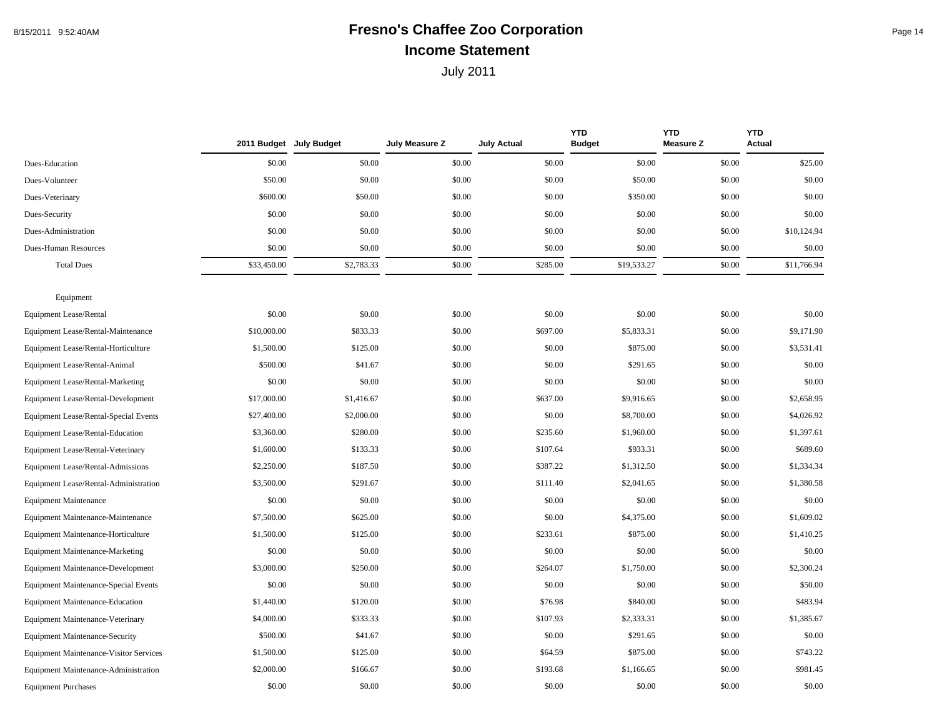#### 8/15/2011 9:52:40AM **Fresno's Chaffee Zoo Corporation** Page 14 **Income Statement**

|                                               |             | 2011 Budget July Budget | July Measure Z | <b>July Actual</b> | <b>YTD</b><br><b>Budget</b> | <b>YTD</b><br><b>Measure Z</b> | <b>YTD</b><br><b>Actual</b> |
|-----------------------------------------------|-------------|-------------------------|----------------|--------------------|-----------------------------|--------------------------------|-----------------------------|
| Dues-Education                                | \$0.00      | \$0.00                  | \$0.00         | \$0.00             | \$0.00                      | \$0.00                         | \$25.00                     |
| Dues-Volunteer                                | \$50.00     | \$0.00                  | \$0.00         | \$0.00             | \$50.00                     | \$0.00                         | \$0.00                      |
| Dues-Veterinary                               | \$600.00    | \$50.00                 | \$0.00         | \$0.00             | \$350.00                    | \$0.00                         | \$0.00                      |
| Dues-Security                                 | \$0.00      | \$0.00                  | \$0.00         | \$0.00             | \$0.00                      | \$0.00                         | \$0.00                      |
| Dues-Administration                           | \$0.00      | \$0.00                  | \$0.00         | \$0.00             | \$0.00                      | \$0.00                         | \$10,124.94                 |
| Dues-Human Resources                          | \$0.00      | \$0.00                  | \$0.00         | \$0.00             | \$0.00                      | \$0.00                         | \$0.00                      |
| <b>Total Dues</b>                             | \$33,450.00 | \$2,783.33              | \$0.00         | \$285.00           | \$19,533.27                 | \$0.00                         | \$11,766.94                 |
| Equipment                                     |             |                         |                |                    |                             |                                |                             |
| <b>Equipment Lease/Rental</b>                 | \$0.00      | \$0.00                  | \$0.00         | \$0.00             | \$0.00                      | \$0.00                         | \$0.00                      |
| Equipment Lease/Rental-Maintenance            | \$10,000.00 | \$833.33                | \$0.00         | \$697.00           | \$5,833.31                  | \$0.00                         | \$9,171.90                  |
| Equipment Lease/Rental-Horticulture           | \$1,500.00  | \$125.00                | \$0.00         | \$0.00             | \$875.00                    | \$0.00                         | \$3,531.41                  |
| Equipment Lease/Rental-Animal                 | \$500.00    | \$41.67                 | \$0.00         | \$0.00             | \$291.65                    | \$0.00                         | \$0.00                      |
| Equipment Lease/Rental-Marketing              | \$0.00      | \$0.00                  | \$0.00         | \$0.00             | \$0.00                      | \$0.00                         | \$0.00                      |
| Equipment Lease/Rental-Development            | \$17,000.00 | \$1,416.67              | \$0.00         | \$637.00           | \$9,916.65                  | \$0.00                         | \$2,658.95                  |
| Equipment Lease/Rental-Special Events         | \$27,400.00 | \$2,000.00              | \$0.00         | \$0.00             | \$8,700.00                  | \$0.00                         | \$4,026.92                  |
| Equipment Lease/Rental-Education              | \$3,360.00  | \$280.00                | \$0.00         | \$235.60           | \$1,960.00                  | \$0.00                         | \$1,397.61                  |
| Equipment Lease/Rental-Veterinary             | \$1,600.00  | \$133.33                | \$0.00         | \$107.64           | \$933.31                    | \$0.00                         | \$689.60                    |
| <b>Equipment Lease/Rental-Admissions</b>      | \$2,250.00  | \$187.50                | \$0.00         | \$387.22           | \$1,312.50                  | \$0.00                         | \$1,334.34                  |
| Equipment Lease/Rental-Administration         | \$3,500.00  | \$291.67                | \$0.00         | \$111.40           | \$2,041.65                  | \$0.00                         | \$1,380.58                  |
| <b>Equipment Maintenance</b>                  | \$0.00      | \$0.00                  | \$0.00         | \$0.00             | \$0.00                      | \$0.00                         | \$0.00                      |
| <b>Equipment Maintenance-Maintenance</b>      | \$7,500.00  | \$625.00                | \$0.00         | \$0.00             | \$4,375.00                  | \$0.00                         | \$1,609.02                  |
| Equipment Maintenance-Horticulture            | \$1,500.00  | \$125.00                | \$0.00         | \$233.61           | \$875.00                    | \$0.00                         | \$1,410.25                  |
| <b>Equipment Maintenance-Marketing</b>        | \$0.00      | \$0.00                  | \$0.00         | \$0.00             | \$0.00                      | \$0.00                         | \$0.00                      |
| <b>Equipment Maintenance-Development</b>      | \$3,000.00  | \$250.00                | \$0.00         | \$264.07           | \$1,750.00                  | \$0.00                         | \$2,300.24                  |
| <b>Equipment Maintenance-Special Events</b>   | \$0.00      | \$0.00                  | \$0.00         | \$0.00             | \$0.00                      | \$0.00                         | \$50.00                     |
| <b>Equipment Maintenance-Education</b>        | \$1,440.00  | \$120.00                | \$0.00         | \$76.98            | \$840.00                    | \$0.00                         | \$483.94                    |
| Equipment Maintenance-Veterinary              | \$4,000.00  | \$333.33                | \$0.00         | \$107.93           | \$2,333.31                  | \$0.00                         | \$1,385.67                  |
| <b>Equipment Maintenance-Security</b>         | \$500.00    | \$41.67                 | \$0.00         | \$0.00             | \$291.65                    | \$0.00                         | \$0.00                      |
| <b>Equipment Maintenance-Visitor Services</b> | \$1,500.00  | \$125.00                | \$0.00         | \$64.59            | \$875.00                    | \$0.00                         | \$743.22                    |
| Equipment Maintenance-Administration          | \$2,000.00  | \$166.67                | \$0.00         | \$193.68           | \$1,166.65                  | \$0.00                         | \$981.45                    |
| <b>Equipment Purchases</b>                    | \$0.00      | \$0.00                  | \$0.00         | \$0.00             | \$0.00                      | \$0.00                         | \$0.00                      |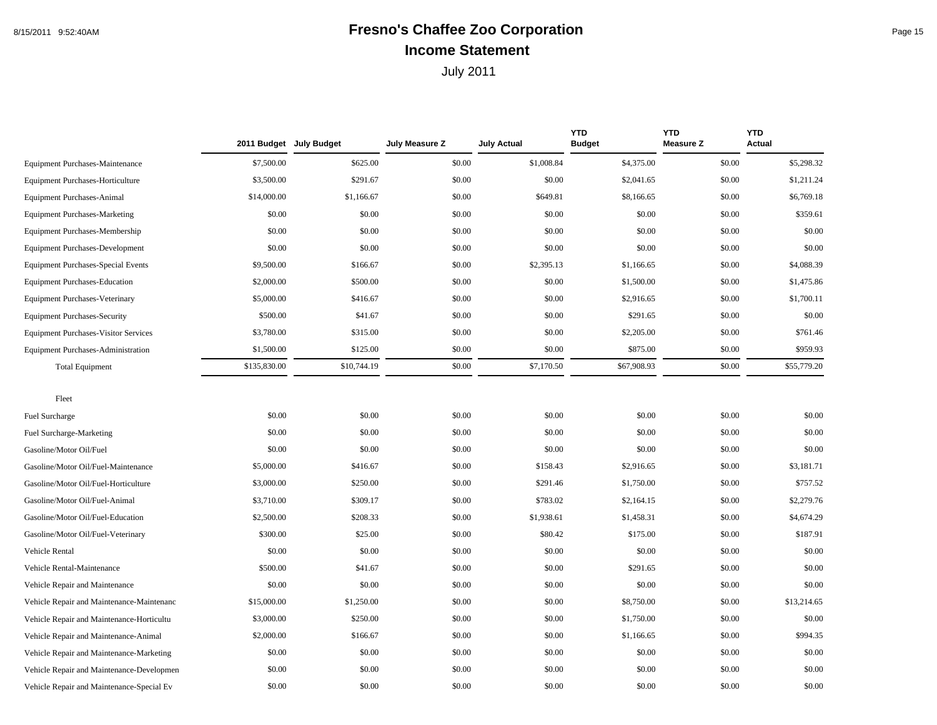## 8/15/2011 9:52:40AM **Fresno's Chaffee Zoo Corporation** Page 15 **Income Statement**

|                                             |              | 2011 Budget July Budget | July Measure Z | <b>July Actual</b> | <b>YTD</b><br><b>Budget</b> | <b>YTD</b><br><b>Measure Z</b> | <b>YTD</b><br><b>Actual</b> |
|---------------------------------------------|--------------|-------------------------|----------------|--------------------|-----------------------------|--------------------------------|-----------------------------|
| <b>Equipment Purchases-Maintenance</b>      | \$7,500.00   | \$625.00                | \$0.00         | \$1,008.84         | \$4,375.00                  | \$0.00                         | \$5,298.32                  |
| Equipment Purchases-Horticulture            | \$3,500.00   | \$291.67                | \$0.00         | \$0.00             | \$2,041.65                  | \$0.00                         | \$1,211.24                  |
| <b>Equipment Purchases-Animal</b>           | \$14,000.00  | \$1,166.67              | \$0.00         | \$649.81           | \$8,166.65                  | \$0.00                         | \$6,769.18                  |
| <b>Equipment Purchases-Marketing</b>        | \$0.00       | \$0.00                  | \$0.00         | \$0.00             | \$0.00                      | \$0.00                         | \$359.61                    |
| <b>Equipment Purchases-Membership</b>       | \$0.00       | \$0.00                  | \$0.00         | \$0.00             | \$0.00                      | \$0.00                         | \$0.00                      |
| <b>Equipment Purchases-Development</b>      | \$0.00       | \$0.00                  | \$0.00         | \$0.00             | \$0.00                      | \$0.00                         | \$0.00                      |
| <b>Equipment Purchases-Special Events</b>   | \$9,500.00   | \$166.67                | \$0.00         | \$2,395.13         | \$1,166.65                  | \$0.00                         | \$4,088.39                  |
| <b>Equipment Purchases-Education</b>        | \$2,000.00   | \$500.00                | \$0.00         | \$0.00             | \$1,500.00                  | \$0.00                         | \$1,475.86                  |
| <b>Equipment Purchases-Veterinary</b>       | \$5,000.00   | \$416.67                | \$0.00         | \$0.00             | \$2,916.65                  | \$0.00                         | \$1,700.11                  |
| <b>Equipment Purchases-Security</b>         | \$500.00     | \$41.67                 | \$0.00         | \$0.00             | \$291.65                    | \$0.00                         | \$0.00                      |
| <b>Equipment Purchases-Visitor Services</b> | \$3,780.00   | \$315.00                | \$0.00         | \$0.00             | \$2,205.00                  | \$0.00                         | \$761.46                    |
| Equipment Purchases-Administration          | \$1,500.00   | \$125.00                | \$0.00         | \$0.00             | \$875.00                    | \$0.00                         | \$959.93                    |
| <b>Total Equipment</b>                      | \$135,830.00 | \$10,744.19             | \$0.00         | \$7,170.50         | \$67,908.93                 | \$0.00                         | \$55,779.20                 |
| Fleet                                       |              |                         |                |                    |                             |                                |                             |
| <b>Fuel Surcharge</b>                       | \$0.00       | \$0.00                  | \$0.00         | \$0.00             | \$0.00                      | \$0.00                         | \$0.00                      |
| Fuel Surcharge-Marketing                    | \$0.00       | \$0.00                  | \$0.00         | \$0.00             | \$0.00                      | \$0.00                         | \$0.00                      |
| Gasoline/Motor Oil/Fuel                     | \$0.00       | \$0.00                  | \$0.00         | \$0.00             | \$0.00                      | \$0.00                         | \$0.00                      |
| Gasoline/Motor Oil/Fuel-Maintenance         | \$5,000.00   | \$416.67                | \$0.00         | \$158.43           | \$2,916.65                  | \$0.00                         | \$3,181.71                  |
| Gasoline/Motor Oil/Fuel-Horticulture        | \$3,000.00   | \$250.00                | \$0.00         | \$291.46           | \$1,750.00                  | \$0.00                         | \$757.52                    |
| Gasoline/Motor Oil/Fuel-Animal              | \$3,710.00   | \$309.17                | \$0.00         | \$783.02           | \$2,164.15                  | \$0.00                         | \$2,279.76                  |
| Gasoline/Motor Oil/Fuel-Education           | \$2,500.00   | \$208.33                | \$0.00         | \$1,938.61         | \$1,458.31                  | \$0.00                         | \$4,674.29                  |
| Gasoline/Motor Oil/Fuel-Veterinary          | \$300.00     | \$25.00                 | \$0.00         | \$80.42            | \$175.00                    | \$0.00                         | \$187.91                    |
| Vehicle Rental                              | \$0.00       | \$0.00                  | \$0.00         | \$0.00             | \$0.00                      | \$0.00                         | \$0.00                      |
| Vehicle Rental-Maintenance                  | \$500.00     | \$41.67                 | \$0.00         | \$0.00             | \$291.65                    | \$0.00                         | \$0.00                      |
| Vehicle Repair and Maintenance              | \$0.00       | \$0.00                  | \$0.00         | \$0.00             | \$0.00                      | \$0.00                         | \$0.00                      |
| Vehicle Repair and Maintenance-Maintenanc   | \$15,000.00  | \$1,250.00              | \$0.00         | \$0.00             | \$8,750.00                  | \$0.00                         | \$13,214.65                 |
| Vehicle Repair and Maintenance-Horticultu   | \$3,000.00   | \$250.00                | \$0.00         | \$0.00             | \$1,750.00                  | \$0.00                         | \$0.00                      |
| Vehicle Repair and Maintenance-Animal       | \$2,000.00   | \$166.67                | \$0.00         | \$0.00             | \$1,166.65                  | \$0.00                         | \$994.35                    |
| Vehicle Repair and Maintenance-Marketing    | \$0.00       | \$0.00                  | \$0.00         | \$0.00             | \$0.00                      | \$0.00                         | \$0.00                      |
| Vehicle Repair and Maintenance-Developmen   | \$0.00       | \$0.00                  | \$0.00         | \$0.00             | \$0.00                      | \$0.00                         | \$0.00                      |
| Vehicle Repair and Maintenance-Special Ev   | \$0.00       | \$0.00                  | \$0.00         | \$0.00             | \$0.00                      | \$0.00                         | \$0.00                      |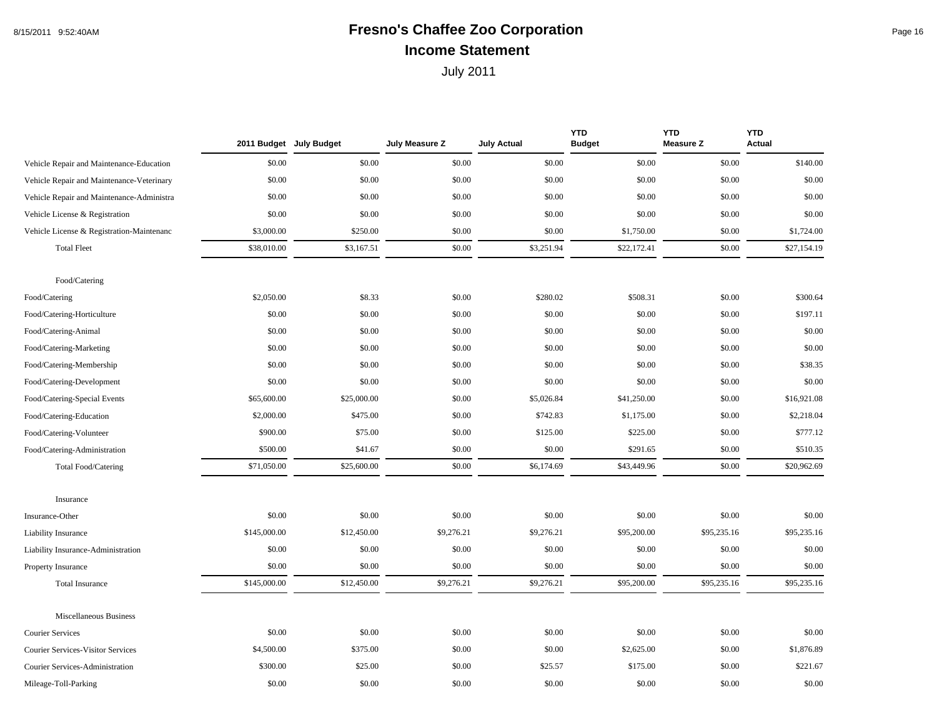## 8/15/2011 9:52:40AM **Fresno's Chaffee Zoo Corporation Fresno's Chaffee 200 Fresno's** Page 16 **Income Statement**

|                                           |              | 2011 Budget July Budget | July Measure Z | <b>July Actual</b> | <b>YTD</b><br><b>Budget</b> | <b>YTD</b><br><b>Measure Z</b> | <b>YTD</b><br><b>Actual</b> |
|-------------------------------------------|--------------|-------------------------|----------------|--------------------|-----------------------------|--------------------------------|-----------------------------|
| Vehicle Repair and Maintenance-Education  | \$0.00       | \$0.00                  | \$0.00         | \$0.00             | \$0.00                      | \$0.00                         | \$140.00                    |
| Vehicle Repair and Maintenance-Veterinary | \$0.00       | \$0.00                  | \$0.00         | \$0.00             | \$0.00                      | \$0.00                         | \$0.00                      |
| Vehicle Repair and Maintenance-Administra | \$0.00       | \$0.00                  | \$0.00         | \$0.00             | \$0.00                      | \$0.00                         | \$0.00                      |
| Vehicle License & Registration            | \$0.00       | \$0.00                  | \$0.00         | \$0.00             | \$0.00                      | \$0.00                         | \$0.00                      |
| Vehicle License & Registration-Maintenanc | \$3,000.00   | \$250.00                | \$0.00         | \$0.00             | \$1,750.00                  | \$0.00                         | \$1,724.00                  |
| <b>Total Fleet</b>                        | \$38,010.00  | \$3,167.51              | \$0.00         | \$3,251.94         | \$22,172.41                 | \$0.00                         | \$27,154.19                 |
| Food/Catering                             |              |                         |                |                    |                             |                                |                             |
| Food/Catering                             | \$2,050.00   | \$8.33                  | \$0.00         | \$280.02           | \$508.31                    | \$0.00                         | \$300.64                    |
| Food/Catering-Horticulture                | \$0.00       | \$0.00                  | \$0.00         | \$0.00             | \$0.00                      | \$0.00                         | \$197.11                    |
| Food/Catering-Animal                      | \$0.00       | \$0.00                  | \$0.00         | \$0.00             | \$0.00                      | \$0.00                         | \$0.00                      |
| Food/Catering-Marketing                   | \$0.00       | \$0.00                  | \$0.00         | \$0.00             | \$0.00                      | \$0.00                         | \$0.00                      |
| Food/Catering-Membership                  | \$0.00       | \$0.00                  | \$0.00         | \$0.00             | \$0.00                      | \$0.00                         | \$38.35                     |
| Food/Catering-Development                 | \$0.00       | \$0.00                  | \$0.00         | \$0.00             | \$0.00                      | \$0.00                         | \$0.00                      |
| Food/Catering-Special Events              | \$65,600.00  | \$25,000.00             | \$0.00         | \$5,026.84         | \$41,250.00                 | \$0.00                         | \$16,921.08                 |
| Food/Catering-Education                   | \$2,000.00   | \$475.00                | \$0.00         | \$742.83           | \$1,175.00                  | \$0.00                         | \$2,218.04                  |
| Food/Catering-Volunteer                   | \$900.00     | \$75.00                 | \$0.00         | \$125.00           | \$225.00                    | \$0.00                         | \$777.12                    |
| Food/Catering-Administration              | \$500.00     | \$41.67                 | \$0.00         | \$0.00             | \$291.65                    | \$0.00                         | \$510.35                    |
| Total Food/Catering                       | \$71,050.00  | \$25,600.00             | \$0.00         | \$6,174.69         | \$43,449.96                 | \$0.00                         | \$20,962.69                 |
| Insurance                                 |              |                         |                |                    |                             |                                |                             |
| Insurance-Other                           | \$0.00       | \$0.00                  | \$0.00         | \$0.00             | \$0.00                      | \$0.00                         | \$0.00                      |
| Liability Insurance                       | \$145,000.00 | \$12,450.00             | \$9,276.21     | \$9,276.21         | \$95,200.00                 | \$95,235.16                    | \$95,235.16                 |
| Liability Insurance-Administration        | \$0.00       | \$0.00                  | \$0.00         | \$0.00             | \$0.00                      | \$0.00                         | \$0.00                      |
| Property Insurance                        | \$0.00       | \$0.00                  | \$0.00         | \$0.00             | \$0.00                      | \$0.00                         | \$0.00                      |
| <b>Total Insurance</b>                    | \$145,000.00 | \$12,450.00             | \$9,276.21     | \$9,276.21         | \$95,200.00                 | \$95,235.16                    | \$95,235.16                 |
| Miscellaneous Business                    |              |                         |                |                    |                             |                                |                             |
| <b>Courier Services</b>                   | \$0.00       | \$0.00                  | \$0.00         | \$0.00             | \$0.00                      | \$0.00                         | \$0.00                      |
| <b>Courier Services-Visitor Services</b>  | \$4,500.00   | \$375.00                | \$0.00         | \$0.00             | \$2,625.00                  | \$0.00                         | \$1,876.89                  |
| Courier Services-Administration           | \$300.00     | \$25.00                 | \$0.00         | \$25.57            | \$175.00                    | \$0.00                         | \$221.67                    |
| Mileage-Toll-Parking                      | \$0.00       | \$0.00                  | \$0.00         | \$0.00             | \$0.00                      | \$0.00                         | \$0.00                      |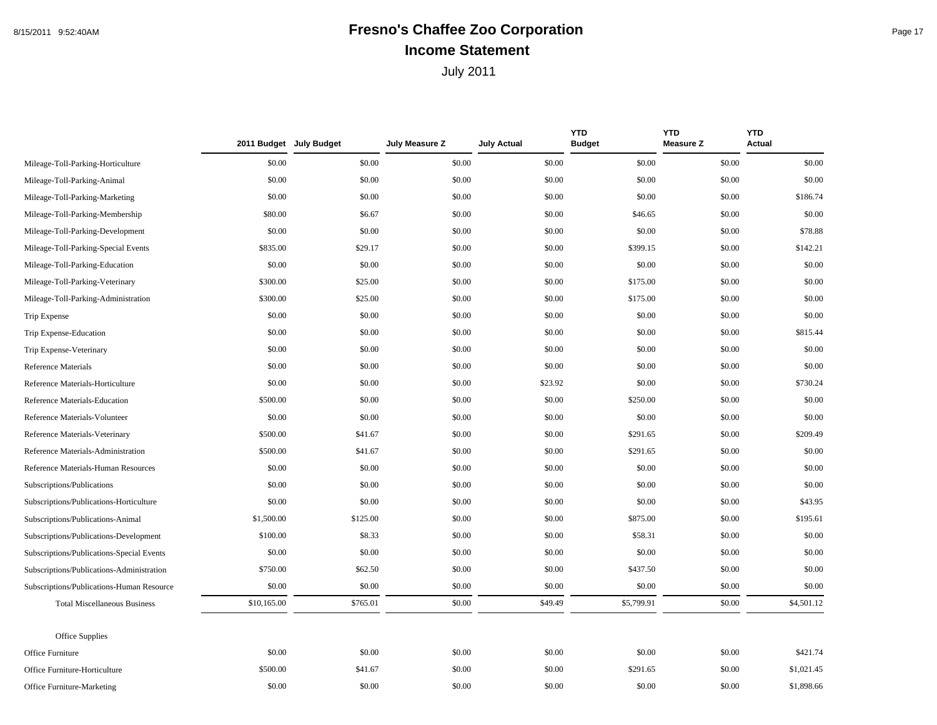## 8/15/2011 9:52:40AM **Fresno's Chaffee Zoo Corporation Fresno's Chaffee 200 Fresno's** Page 17 **Income Statement**

|                                           |             | 2011 Budget July Budget | July Measure Z | <b>July Actual</b> | <b>YTD</b><br><b>Budget</b> | <b>YTD</b><br><b>Measure Z</b> | <b>YTD</b><br><b>Actual</b> |
|-------------------------------------------|-------------|-------------------------|----------------|--------------------|-----------------------------|--------------------------------|-----------------------------|
| Mileage-Toll-Parking-Horticulture         | \$0.00      | \$0.00                  | \$0.00         | \$0.00             | \$0.00                      | \$0.00                         | \$0.00                      |
| Mileage-Toll-Parking-Animal               | \$0.00      | \$0.00                  | \$0.00         | \$0.00             | \$0.00                      | \$0.00                         | \$0.00                      |
| Mileage-Toll-Parking-Marketing            | \$0.00      | \$0.00                  | \$0.00         | \$0.00             | \$0.00                      | \$0.00                         | \$186.74                    |
| Mileage-Toll-Parking-Membership           | \$80.00     | \$6.67                  | \$0.00         | \$0.00             | \$46.65                     | \$0.00                         | \$0.00                      |
| Mileage-Toll-Parking-Development          | \$0.00      | \$0.00                  | \$0.00         | \$0.00             | \$0.00                      | \$0.00                         | \$78.88                     |
| Mileage-Toll-Parking-Special Events       | \$835.00    | \$29.17                 | \$0.00         | \$0.00             | \$399.15                    | \$0.00                         | \$142.21                    |
| Mileage-Toll-Parking-Education            | \$0.00      | \$0.00                  | \$0.00         | \$0.00             | \$0.00                      | \$0.00                         | \$0.00                      |
| Mileage-Toll-Parking-Veterinary           | \$300.00    | \$25.00                 | \$0.00         | \$0.00             | \$175.00                    | \$0.00                         | \$0.00                      |
| Mileage-Toll-Parking-Administration       | \$300.00    | \$25.00                 | \$0.00         | \$0.00             | \$175.00                    | \$0.00                         | \$0.00                      |
| Trip Expense                              | \$0.00      | \$0.00                  | \$0.00         | \$0.00             | \$0.00                      | \$0.00                         | \$0.00                      |
| Trip Expense-Education                    | \$0.00      | \$0.00                  | \$0.00         | \$0.00             | \$0.00                      | \$0.00                         | \$815.44                    |
| Trip Expense-Veterinary                   | \$0.00      | \$0.00                  | \$0.00         | \$0.00             | \$0.00                      | \$0.00                         | \$0.00                      |
| <b>Reference Materials</b>                | \$0.00      | \$0.00                  | \$0.00         | \$0.00             | \$0.00                      | \$0.00                         | \$0.00                      |
| Reference Materials-Horticulture          | \$0.00      | \$0.00                  | \$0.00         | \$23.92            | \$0.00                      | \$0.00                         | \$730.24                    |
| Reference Materials-Education             | \$500.00    | \$0.00                  | \$0.00         | \$0.00             | \$250.00                    | \$0.00                         | \$0.00                      |
| Reference Materials-Volunteer             | \$0.00      | \$0.00                  | \$0.00         | \$0.00             | \$0.00                      | \$0.00                         | \$0.00                      |
| Reference Materials-Veterinary            | \$500.00    | \$41.67                 | \$0.00         | \$0.00             | \$291.65                    | \$0.00                         | \$209.49                    |
| Reference Materials-Administration        | \$500.00    | \$41.67                 | \$0.00         | \$0.00             | \$291.65                    | \$0.00                         | \$0.00                      |
| Reference Materials-Human Resources       | \$0.00      | \$0.00                  | \$0.00         | \$0.00             | \$0.00                      | \$0.00                         | \$0.00                      |
| Subscriptions/Publications                | \$0.00      | \$0.00                  | \$0.00         | \$0.00             | \$0.00                      | \$0.00                         | \$0.00                      |
| Subscriptions/Publications-Horticulture   | \$0.00      | \$0.00                  | \$0.00         | \$0.00             | \$0.00                      | \$0.00                         | \$43.95                     |
| Subscriptions/Publications-Animal         | \$1,500.00  | \$125.00                | \$0.00         | \$0.00             | \$875.00                    | \$0.00                         | \$195.61                    |
| Subscriptions/Publications-Development    | \$100.00    | \$8.33                  | \$0.00         | \$0.00             | \$58.31                     | \$0.00                         | \$0.00                      |
| Subscriptions/Publications-Special Events | \$0.00      | \$0.00                  | \$0.00         | \$0.00             | \$0.00                      | \$0.00                         | \$0.00                      |
| Subscriptions/Publications-Administration | \$750.00    | \$62.50                 | \$0.00         | \$0.00             | \$437.50                    | \$0.00                         | \$0.00                      |
| Subscriptions/Publications-Human Resource | \$0.00      | \$0.00                  | \$0.00         | \$0.00             | \$0.00                      | \$0.00                         | \$0.00                      |
| <b>Total Miscellaneous Business</b>       | \$10,165.00 | \$765.01                | \$0.00         | \$49.49            | \$5,799.91                  | \$0.00                         | \$4,501.12                  |
| Office Supplies                           |             |                         |                |                    |                             |                                |                             |
| Office Furniture                          | \$0.00      | \$0.00                  | \$0.00         | \$0.00             | \$0.00                      | \$0.00                         | \$421.74                    |
| Office Furniture-Horticulture             | \$500.00    | \$41.67                 | \$0.00         | \$0.00             | \$291.65                    | \$0.00                         | \$1,021.45                  |
| <b>Office Furniture-Marketing</b>         | \$0.00      | \$0.00                  | \$0.00         | \$0.00             | \$0.00                      | \$0.00                         | \$1,898.66                  |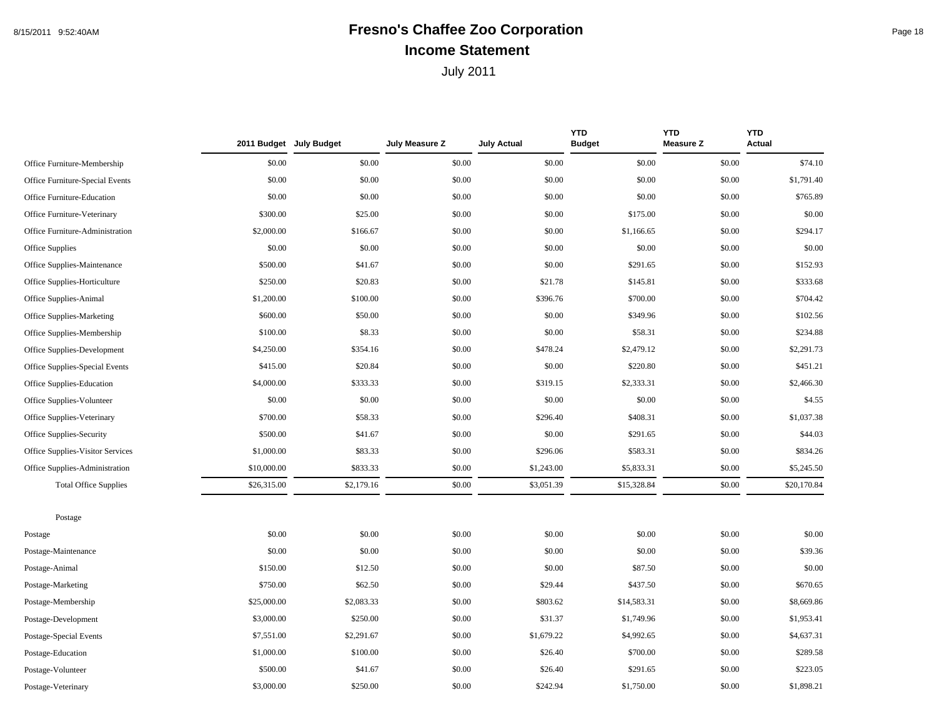## 8/15/2011 9:52:40AM **Fresno's Chaffee Zoo Corporation Fresno's Chaffee 200 Corporation Income Statement**

|                                  |             | 2011 Budget July Budget | July Measure Z | <b>July Actual</b> | <b>YTD</b><br><b>Budget</b> | <b>YTD</b><br><b>Measure Z</b> | <b>YTD</b><br><b>Actual</b> |
|----------------------------------|-------------|-------------------------|----------------|--------------------|-----------------------------|--------------------------------|-----------------------------|
| Office Furniture-Membership      | \$0.00      | \$0.00                  | \$0.00         | \$0.00             | \$0.00                      | \$0.00                         | \$74.10                     |
| Office Furniture-Special Events  | \$0.00      | \$0.00                  | \$0.00         | \$0.00             | \$0.00                      | \$0.00                         | \$1,791.40                  |
| Office Furniture-Education       | \$0.00      | \$0.00                  | \$0.00         | \$0.00             | \$0.00                      | \$0.00                         | \$765.89                    |
| Office Furniture-Veterinary      | \$300.00    | \$25.00                 | \$0.00         | \$0.00             | \$175.00                    | \$0.00                         | \$0.00                      |
| Office Furniture-Administration  | \$2,000.00  | \$166.67                | \$0.00         | \$0.00             | \$1,166.65                  | \$0.00                         | \$294.17                    |
| Office Supplies                  | \$0.00      | \$0.00                  | \$0.00         | \$0.00             | \$0.00                      | \$0.00                         | \$0.00                      |
| Office Supplies-Maintenance      | \$500.00    | \$41.67                 | \$0.00         | \$0.00             | \$291.65                    | \$0.00                         | \$152.93                    |
| Office Supplies-Horticulture     | \$250.00    | \$20.83                 | \$0.00         | \$21.78            | \$145.81                    | \$0.00                         | \$333.68                    |
| Office Supplies-Animal           | \$1,200.00  | \$100.00                | \$0.00         | \$396.76           | \$700.00                    | \$0.00                         | \$704.42                    |
| <b>Office Supplies-Marketing</b> | \$600.00    | \$50.00                 | \$0.00         | \$0.00             | \$349.96                    | \$0.00                         | \$102.56                    |
| Office Supplies-Membership       | \$100.00    | \$8.33                  | \$0.00         | \$0.00             | \$58.31                     | \$0.00                         | \$234.88                    |
| Office Supplies-Development      | \$4,250.00  | \$354.16                | \$0.00         | \$478.24           | \$2,479.12                  | \$0.00                         | \$2,291.73                  |
| Office Supplies-Special Events   | \$415.00    | \$20.84                 | \$0.00         | \$0.00             | \$220.80                    | \$0.00                         | \$451.21                    |
| Office Supplies-Education        | \$4,000.00  | \$333.33                | \$0.00         | \$319.15           | \$2,333.31                  | \$0.00                         | \$2,466.30                  |
| Office Supplies-Volunteer        | \$0.00      | \$0.00                  | \$0.00         | \$0.00             | \$0.00                      | \$0.00                         | \$4.55                      |
| Office Supplies-Veterinary       | \$700.00    | \$58.33                 | \$0.00         | \$296.40           | \$408.31                    | \$0.00                         | \$1,037.38                  |
| Office Supplies-Security         | \$500.00    | \$41.67                 | \$0.00         | \$0.00             | \$291.65                    | \$0.00                         | \$44.03                     |
| Office Supplies-Visitor Services | \$1,000.00  | \$83.33                 | \$0.00         | \$296.06           | \$583.31                    | \$0.00                         | \$834.26                    |
| Office Supplies-Administration   | \$10,000.00 | \$833.33                | \$0.00         | \$1,243.00         | \$5,833.31                  | \$0.00                         | \$5,245.50                  |
| <b>Total Office Supplies</b>     | \$26,315.00 | \$2,179.16              | \$0.00         | \$3,051.39         | \$15,328.84                 | \$0.00                         | \$20,170.84                 |
| Postage                          |             |                         |                |                    |                             |                                |                             |
| Postage                          | \$0.00      | \$0.00                  | \$0.00         | \$0.00             | \$0.00                      | \$0.00                         | \$0.00                      |
| Postage-Maintenance              | \$0.00      | \$0.00                  | \$0.00         | \$0.00             | \$0.00                      | \$0.00                         | \$39.36                     |
| Postage-Animal                   | \$150.00    | \$12.50                 | \$0.00         | \$0.00             | \$87.50                     | \$0.00                         | \$0.00                      |
| Postage-Marketing                | \$750.00    | \$62.50                 | \$0.00         | \$29.44            | \$437.50                    | \$0.00                         | \$670.65                    |
| Postage-Membership               | \$25,000.00 | \$2,083.33              | \$0.00         | \$803.62           | \$14,583.31                 | \$0.00                         | \$8,669.86                  |
| Postage-Development              | \$3,000.00  | \$250.00                | \$0.00         | \$31.37            | \$1,749.96                  | \$0.00                         | \$1,953.41                  |
| Postage-Special Events           | \$7,551.00  | \$2,291.67              | \$0.00         | \$1,679.22         | \$4,992.65                  | \$0.00                         | \$4,637.31                  |
| Postage-Education                | \$1,000.00  | \$100.00                | \$0.00         | \$26.40            | \$700.00                    | \$0.00                         | \$289.58                    |
| Postage-Volunteer                | \$500.00    | \$41.67                 | \$0.00         | \$26.40            | \$291.65                    | \$0.00                         | \$223.05                    |
| Postage-Veterinary               | \$3,000.00  | \$250.00                | \$0.00         | \$242.94           | \$1,750.00                  | \$0.00                         | \$1,898.21                  |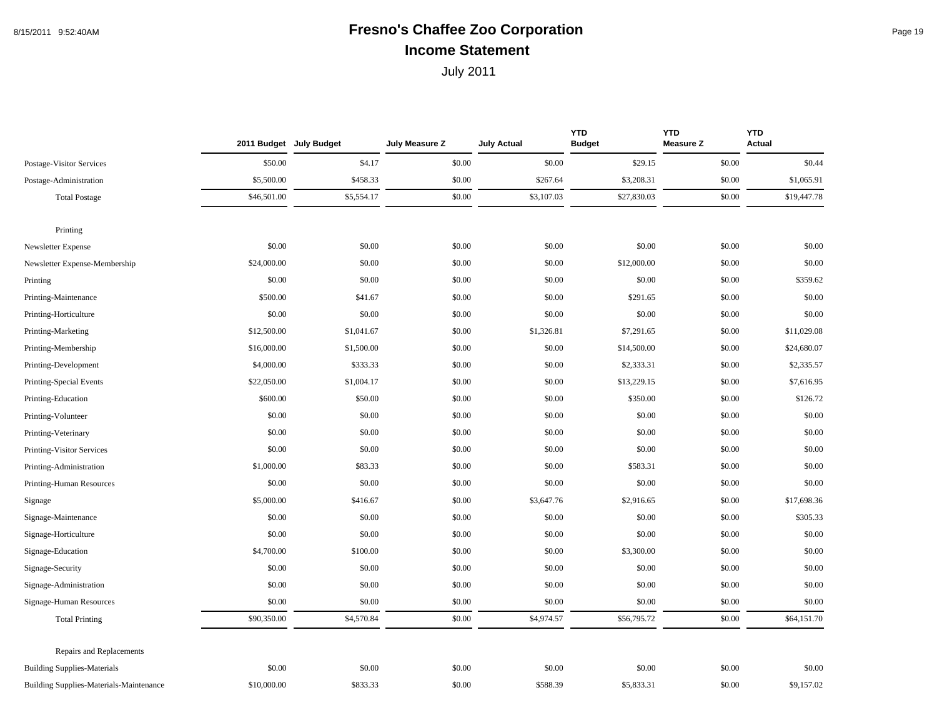# 8/15/2011 9:52:40AM **Fresno's Chaffee Zoo Corporation** Page 19 **Income Statement**

|                                                | 2011 Budget July Budget |            | July Measure Z | <b>July Actual</b> | <b>YTD</b><br><b>Budget</b> | <b>YTD</b><br><b>Measure Z</b> | <b>YTD</b><br><b>Actual</b> |
|------------------------------------------------|-------------------------|------------|----------------|--------------------|-----------------------------|--------------------------------|-----------------------------|
| Postage-Visitor Services                       | \$50.00                 | \$4.17     | \$0.00         | \$0.00             | \$29.15                     | \$0.00                         | \$0.44                      |
| Postage-Administration                         | \$5,500.00              | \$458.33   | \$0.00         | \$267.64           | \$3,208.31                  | \$0.00                         | \$1,065.91                  |
| <b>Total Postage</b>                           | \$46,501.00             | \$5,554.17 | \$0.00         | \$3,107.03         | \$27,830.03                 | \$0.00                         | \$19,447.78                 |
| Printing                                       |                         |            |                |                    |                             |                                |                             |
| Newsletter Expense                             | \$0.00                  | \$0.00     | \$0.00         | \$0.00             | \$0.00                      | \$0.00                         | \$0.00                      |
| Newsletter Expense-Membership                  | \$24,000.00             | \$0.00     | \$0.00         | \$0.00             | \$12,000.00                 | \$0.00                         | \$0.00                      |
| Printing                                       | \$0.00                  | \$0.00     | \$0.00         | \$0.00             | \$0.00                      | \$0.00                         | \$359.62                    |
| Printing-Maintenance                           | \$500.00                | \$41.67    | \$0.00         | \$0.00             | \$291.65                    | \$0.00                         | \$0.00                      |
| Printing-Horticulture                          | \$0.00                  | \$0.00     | \$0.00         | \$0.00             | \$0.00                      | \$0.00                         | \$0.00                      |
| Printing-Marketing                             | \$12,500.00             | \$1,041.67 | \$0.00         | \$1,326.81         | \$7,291.65                  | \$0.00                         | \$11,029.08                 |
| Printing-Membership                            | \$16,000.00             | \$1,500.00 | \$0.00         | \$0.00             | \$14,500.00                 | \$0.00                         | \$24,680.07                 |
| Printing-Development                           | \$4,000.00              | \$333.33   | \$0.00         | \$0.00             | \$2,333.31                  | \$0.00                         | \$2,335.57                  |
| Printing-Special Events                        | \$22,050.00             | \$1,004.17 | \$0.00         | \$0.00             | \$13,229.15                 | \$0.00                         | \$7,616.95                  |
| Printing-Education                             | \$600.00                | \$50.00    | \$0.00         | \$0.00             | \$350.00                    | \$0.00                         | \$126.72                    |
| Printing-Volunteer                             | \$0.00                  | \$0.00     | \$0.00         | \$0.00             | \$0.00                      | \$0.00                         | \$0.00                      |
| Printing-Veterinary                            | \$0.00                  | \$0.00     | \$0.00         | \$0.00             | \$0.00                      | \$0.00                         | \$0.00                      |
| Printing-Visitor Services                      | \$0.00                  | \$0.00     | \$0.00         | \$0.00             | \$0.00                      | \$0.00                         | \$0.00                      |
| Printing-Administration                        | \$1,000.00              | \$83.33    | \$0.00         | \$0.00             | \$583.31                    | \$0.00                         | \$0.00                      |
| Printing-Human Resources                       | \$0.00                  | \$0.00     | \$0.00         | \$0.00             | \$0.00                      | \$0.00                         | \$0.00                      |
| Signage                                        | \$5,000.00              | \$416.67   | \$0.00         | \$3,647.76         | \$2,916.65                  | \$0.00                         | \$17,698.36                 |
| Signage-Maintenance                            | \$0.00                  | \$0.00     | \$0.00         | \$0.00             | \$0.00                      | \$0.00                         | \$305.33                    |
| Signage-Horticulture                           | \$0.00                  | \$0.00     | \$0.00         | \$0.00             | \$0.00                      | \$0.00                         | \$0.00                      |
| Signage-Education                              | \$4,700.00              | \$100.00   | \$0.00         | \$0.00             | \$3,300.00                  | \$0.00                         | \$0.00                      |
| Signage-Security                               | \$0.00                  | \$0.00     | \$0.00         | \$0.00             | \$0.00                      | \$0.00                         | \$0.00                      |
| Signage-Administration                         | \$0.00                  | \$0.00     | \$0.00         | \$0.00             | \$0.00                      | \$0.00                         | \$0.00                      |
| Signage-Human Resources                        | \$0.00                  | \$0.00     | \$0.00         | \$0.00             | \$0.00                      | \$0.00                         | \$0.00                      |
| <b>Total Printing</b>                          | \$90,350.00             | \$4,570.84 | \$0.00         | \$4,974.57         | \$56,795.72                 | \$0.00                         | \$64,151.70                 |
| <b>Repairs and Replacements</b>                |                         |            |                |                    |                             |                                |                             |
| <b>Building Supplies-Materials</b>             | \$0.00                  | \$0.00     | \$0.00         | \$0.00             | \$0.00                      | \$0.00                         | \$0.00                      |
| <b>Building Supplies-Materials-Maintenance</b> | \$10,000.00             | \$833.33   | \$0.00         | \$588.39           | \$5,833.31                  | \$0.00                         | \$9,157.02                  |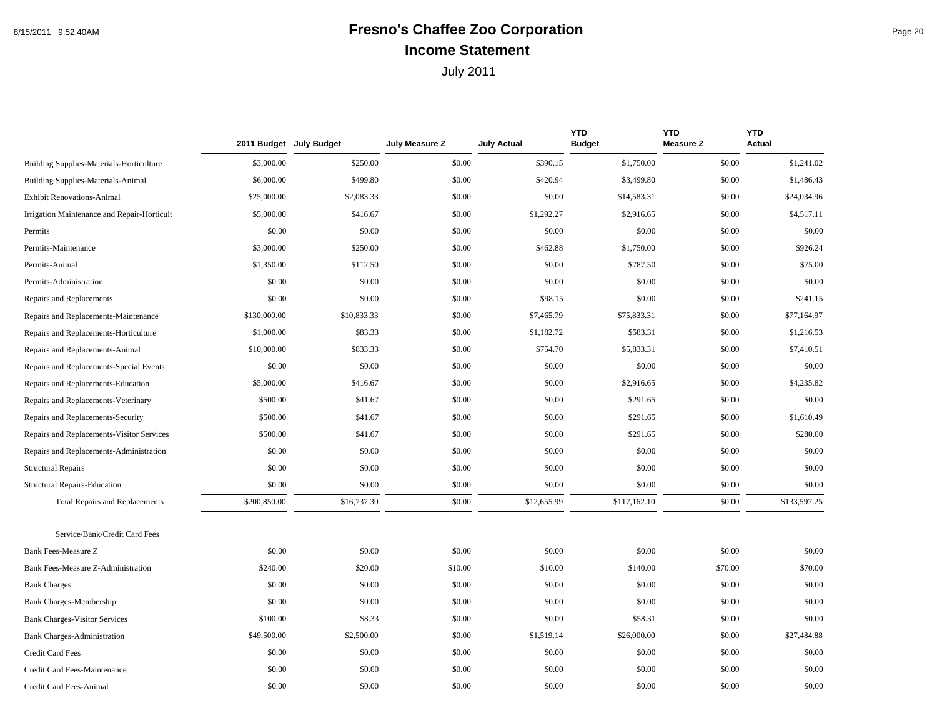## 8/15/2011 9:52:40AM **Fresno's Chaffee Zoo Corporation** Page 20 **Income Statement**

|                                                 |              | 2011 Budget July Budget | July Measure Z | <b>July Actual</b> | <b>YTD</b><br><b>Budget</b> | <b>YTD</b><br><b>Measure Z</b> | <b>YTD</b><br><b>Actual</b> |
|-------------------------------------------------|--------------|-------------------------|----------------|--------------------|-----------------------------|--------------------------------|-----------------------------|
| <b>Building Supplies-Materials-Horticulture</b> | \$3,000.00   | \$250.00                | \$0.00         | \$390.15           | \$1,750.00                  | \$0.00                         | \$1,241.02                  |
| <b>Building Supplies-Materials-Animal</b>       | \$6,000.00   | \$499.80                | \$0.00         | \$420.94           | \$3,499.80                  | \$0.00                         | \$1,486.43                  |
| <b>Exhibit Renovations-Animal</b>               | \$25,000.00  | \$2,083.33              | \$0.00         | \$0.00             | \$14,583.31                 | \$0.00                         | \$24,034.96                 |
| Irrigation Maintenance and Repair-Horticult     | \$5,000.00   | \$416.67                | \$0.00         | \$1,292.27         | \$2,916.65                  | \$0.00                         | \$4,517.11                  |
| Permits                                         | \$0.00       | \$0.00                  | \$0.00         | \$0.00             | \$0.00                      | \$0.00                         | \$0.00                      |
| Permits-Maintenance                             | \$3,000.00   | \$250.00                | \$0.00         | \$462.88           | \$1,750.00                  | \$0.00                         | \$926.24                    |
| Permits-Animal                                  | \$1,350.00   | \$112.50                | \$0.00         | \$0.00             | \$787.50                    | \$0.00                         | \$75.00                     |
| Permits-Administration                          | \$0.00       | \$0.00                  | \$0.00         | \$0.00             | \$0.00                      | \$0.00                         | \$0.00                      |
| Repairs and Replacements                        | \$0.00       | \$0.00                  | \$0.00         | \$98.15            | \$0.00                      | \$0.00                         | \$241.15                    |
| Repairs and Replacements-Maintenance            | \$130,000.00 | \$10,833.33             | \$0.00         | \$7,465.79         | \$75,833.31                 | \$0.00                         | \$77,164.97                 |
| Repairs and Replacements-Horticulture           | \$1,000.00   | \$83.33                 | \$0.00         | \$1,182.72         | \$583.31                    | \$0.00                         | \$1,216.53                  |
| Repairs and Replacements-Animal                 | \$10,000.00  | \$833.33                | \$0.00         | \$754.70           | \$5,833.31                  | \$0.00                         | \$7,410.51                  |
| Repairs and Replacements-Special Events         | \$0.00       | \$0.00                  | \$0.00         | \$0.00             | \$0.00                      | \$0.00                         | \$0.00                      |
| Repairs and Replacements-Education              | \$5,000.00   | \$416.67                | \$0.00         | \$0.00             | \$2,916.65                  | \$0.00                         | \$4,235.82                  |
| Repairs and Replacements-Veterinary             | \$500.00     | \$41.67                 | \$0.00         | \$0.00             | \$291.65                    | \$0.00                         | \$0.00                      |
| Repairs and Replacements-Security               | \$500.00     | \$41.67                 | \$0.00         | \$0.00             | \$291.65                    | \$0.00                         | \$1,610.49                  |
| Repairs and Replacements-Visitor Services       | \$500.00     | \$41.67                 | \$0.00         | \$0.00             | \$291.65                    | \$0.00                         | \$280.00                    |
| Repairs and Replacements-Administration         | \$0.00       | \$0.00                  | \$0.00         | \$0.00             | \$0.00                      | \$0.00                         | \$0.00                      |
| <b>Structural Repairs</b>                       | \$0.00       | \$0.00                  | \$0.00         | \$0.00             | \$0.00                      | \$0.00                         | \$0.00                      |
| <b>Structural Repairs-Education</b>             | \$0.00       | \$0.00                  | \$0.00         | \$0.00             | \$0.00                      | \$0.00                         | \$0.00                      |
| <b>Total Repairs and Replacements</b>           | \$200,850.00 | \$16,737.30             | \$0.00         | \$12,655.99        | \$117,162.10                | \$0.00                         | \$133,597.25                |
| Service/Bank/Credit Card Fees                   |              |                         |                |                    |                             |                                |                             |
| Bank Fees-Measure Z                             | \$0.00       | \$0.00                  | \$0.00         | \$0.00             | \$0.00                      | \$0.00                         | \$0.00                      |
| Bank Fees-Measure Z-Administration              | \$240.00     | \$20.00                 | \$10.00        | \$10.00            | \$140.00                    | \$70.00                        | \$70.00                     |
| <b>Bank Charges</b>                             | \$0.00       | \$0.00                  | \$0.00         | \$0.00             | \$0.00                      | \$0.00                         | \$0.00                      |
| Bank Charges-Membership                         | \$0.00       | \$0.00                  | \$0.00         | \$0.00             | \$0.00                      | \$0.00                         | \$0.00                      |
| <b>Bank Charges-Visitor Services</b>            | \$100.00     | \$8.33                  | \$0.00         | \$0.00             | \$58.31                     | \$0.00                         | \$0.00                      |
| <b>Bank Charges-Administration</b>              | \$49,500.00  | \$2,500.00              | \$0.00         | \$1,519.14         | \$26,000.00                 | \$0.00                         | \$27,484.88                 |
| <b>Credit Card Fees</b>                         | \$0.00       | \$0.00                  | \$0.00         | \$0.00             | \$0.00                      | \$0.00                         | \$0.00                      |
| Credit Card Fees-Maintenance                    | \$0.00       | \$0.00                  | \$0.00         | \$0.00             | \$0.00                      | \$0.00                         | \$0.00                      |
| Credit Card Fees-Animal                         | \$0.00       | \$0.00                  | \$0.00         | \$0.00             | \$0.00                      | \$0.00                         | \$0.00                      |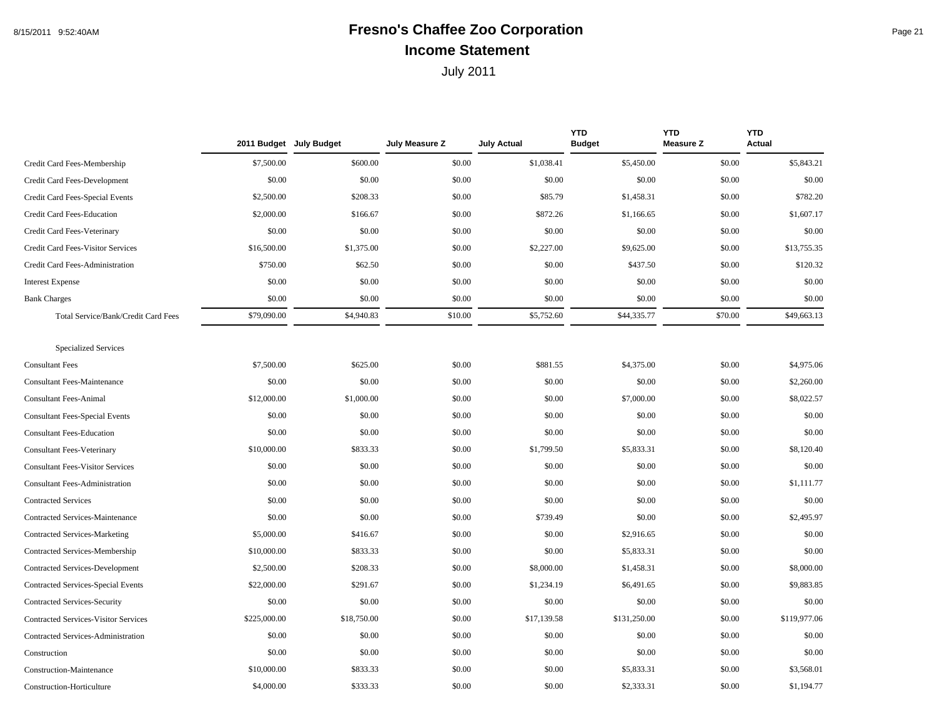## 8/15/2011 9:52:40AM **Fresno's Chaffee Zoo Corporation** Page 21 **Income Statement**

|                                             |              | 2011 Budget July Budget | July Measure Z | <b>July Actual</b> | <b>YTD</b><br><b>Budget</b> | <b>YTD</b><br><b>Measure Z</b> | <b>YTD</b><br><b>Actual</b> |
|---------------------------------------------|--------------|-------------------------|----------------|--------------------|-----------------------------|--------------------------------|-----------------------------|
| Credit Card Fees-Membership                 | \$7,500.00   | \$600.00                | \$0.00         | \$1,038.41         | \$5,450.00                  | \$0.00                         | \$5,843.21                  |
| Credit Card Fees-Development                | \$0.00       | \$0.00                  | \$0.00         | \$0.00             | \$0.00                      | \$0.00                         | \$0.00                      |
| Credit Card Fees-Special Events             | \$2,500.00   | \$208.33                | \$0.00         | \$85.79            | \$1,458.31                  | \$0.00                         | \$782.20                    |
| Credit Card Fees-Education                  | \$2,000.00   | \$166.67                | \$0.00         | \$872.26           | \$1,166.65                  | \$0.00                         | \$1,607.17                  |
| Credit Card Fees-Veterinary                 | \$0.00       | \$0.00                  | \$0.00         | \$0.00             | \$0.00                      | \$0.00                         | \$0.00                      |
| Credit Card Fees-Visitor Services           | \$16,500.00  | \$1,375.00              | \$0.00         | \$2,227.00         | \$9,625.00                  | \$0.00                         | \$13,755.35                 |
| Credit Card Fees-Administration             | \$750.00     | \$62.50                 | \$0.00         | \$0.00             | \$437.50                    | \$0.00                         | \$120.32                    |
| <b>Interest Expense</b>                     | \$0.00       | \$0.00                  | \$0.00         | \$0.00             | \$0.00                      | \$0.00                         | \$0.00                      |
| <b>Bank Charges</b>                         | \$0.00       | \$0.00                  | \$0.00         | \$0.00             | \$0.00                      | \$0.00                         | \$0.00                      |
| Total Service/Bank/Credit Card Fees         | \$79,090.00  | \$4,940.83              | \$10.00        | \$5,752.60         | \$44,335.77                 | \$70.00                        | \$49,663.13                 |
| <b>Specialized Services</b>                 |              |                         |                |                    |                             |                                |                             |
| <b>Consultant Fees</b>                      | \$7,500.00   | \$625.00                | \$0.00         | \$881.55           | \$4,375.00                  | \$0.00                         | \$4,975.06                  |
| <b>Consultant Fees-Maintenance</b>          | \$0.00       | \$0.00                  | \$0.00         | \$0.00             | \$0.00                      | \$0.00                         | \$2,260.00                  |
| <b>Consultant Fees-Animal</b>               | \$12,000.00  | \$1,000.00              | \$0.00         | \$0.00             | \$7,000.00                  | \$0.00                         | \$8,022.57                  |
| <b>Consultant Fees-Special Events</b>       | \$0.00       | \$0.00                  | \$0.00         | \$0.00             | \$0.00                      | \$0.00                         | \$0.00                      |
| <b>Consultant Fees-Education</b>            | \$0.00       | \$0.00                  | \$0.00         | \$0.00             | \$0.00                      | \$0.00                         | \$0.00                      |
| <b>Consultant Fees-Veterinary</b>           | \$10,000.00  | \$833.33                | \$0.00         | \$1,799.50         | \$5,833.31                  | \$0.00                         | \$8,120.40                  |
| <b>Consultant Fees-Visitor Services</b>     | \$0.00       | \$0.00                  | \$0.00         | \$0.00             | \$0.00                      | \$0.00                         | \$0.00                      |
| <b>Consultant Fees-Administration</b>       | \$0.00       | \$0.00                  | \$0.00         | \$0.00             | \$0.00                      | \$0.00                         | \$1,111.77                  |
| <b>Contracted Services</b>                  | \$0.00       | \$0.00                  | \$0.00         | \$0.00             | \$0.00                      | \$0.00                         | \$0.00                      |
| <b>Contracted Services-Maintenance</b>      | \$0.00       | \$0.00                  | \$0.00         | \$739.49           | \$0.00                      | \$0.00                         | \$2,495.97                  |
| <b>Contracted Services-Marketing</b>        | \$5,000.00   | \$416.67                | \$0.00         | \$0.00             | \$2,916.65                  | \$0.00                         | \$0.00                      |
| Contracted Services-Membership              | \$10,000.00  | \$833.33                | \$0.00         | \$0.00             | \$5,833.31                  | \$0.00                         | \$0.00                      |
| Contracted Services-Development             | \$2,500.00   | \$208.33                | \$0.00         | \$8,000.00         | \$1,458.31                  | \$0.00                         | \$8,000.00                  |
| Contracted Services-Special Events          | \$22,000.00  | \$291.67                | \$0.00         | \$1,234.19         | \$6,491.65                  | \$0.00                         | \$9,883.85                  |
| Contracted Services-Security                | \$0.00       | \$0.00                  | \$0.00         | \$0.00             | \$0.00                      | \$0.00                         | \$0.00                      |
| <b>Contracted Services-Visitor Services</b> | \$225,000.00 | \$18,750.00             | \$0.00         | \$17,139.58        | \$131,250.00                | \$0.00                         | \$119,977.06                |
| Contracted Services-Administration          | \$0.00       | \$0.00                  | \$0.00         | \$0.00             | \$0.00                      | \$0.00                         | \$0.00                      |
| Construction                                | \$0.00       | \$0.00                  | \$0.00         | \$0.00             | \$0.00                      | \$0.00                         | \$0.00                      |
| Construction-Maintenance                    | \$10,000.00  | \$833.33                | \$0.00         | \$0.00             | \$5,833.31                  | \$0.00                         | \$3,568.01                  |
| Construction-Horticulture                   | \$4,000.00   | \$333.33                | \$0.00         | \$0.00             | \$2,333.31                  | \$0.00                         | \$1,194.77                  |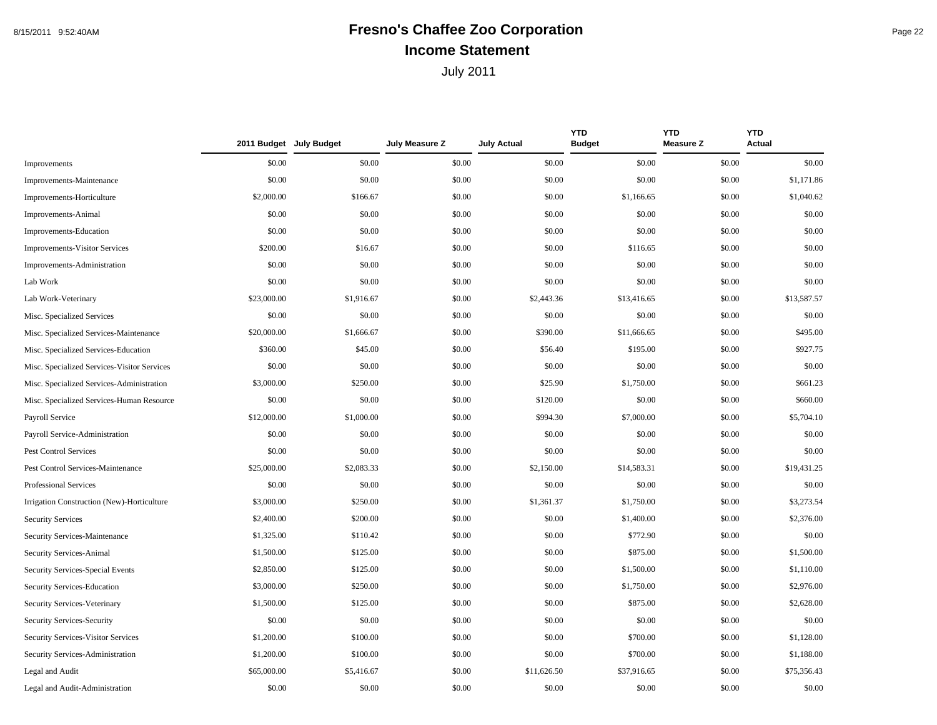## 8/15/2011 9:52:40AM **Fresno's Chaffee Zoo Corporation** Page 22 **Income Statement**

|                                             |             | 2011 Budget July Budget | July Measure Z | <b>July Actual</b> | <b>YTD</b><br><b>Budget</b> | <b>YTD</b><br><b>Measure Z</b> | <b>YTD</b><br><b>Actual</b> |
|---------------------------------------------|-------------|-------------------------|----------------|--------------------|-----------------------------|--------------------------------|-----------------------------|
| Improvements                                | \$0.00      | \$0.00                  | \$0.00         | \$0.00             | \$0.00                      | \$0.00                         | \$0.00                      |
| Improvements-Maintenance                    | \$0.00      | \$0.00                  | \$0.00         | \$0.00             | \$0.00                      | \$0.00                         | \$1,171.86                  |
| Improvements-Horticulture                   | \$2,000.00  | \$166.67                | \$0.00         | \$0.00             | \$1,166.65                  | \$0.00                         | \$1,040.62                  |
| Improvements-Animal                         | \$0.00      | \$0.00                  | \$0.00         | \$0.00             | \$0.00                      | \$0.00                         | \$0.00                      |
| Improvements-Education                      | \$0.00      | \$0.00                  | \$0.00         | \$0.00             | \$0.00                      | \$0.00                         | \$0.00                      |
| <b>Improvements-Visitor Services</b>        | \$200.00    | \$16.67                 | \$0.00         | \$0.00             | \$116.65                    | \$0.00                         | \$0.00                      |
| Improvements-Administration                 | \$0.00      | \$0.00                  | \$0.00         | \$0.00             | \$0.00                      | \$0.00                         | \$0.00                      |
| Lab Work                                    | \$0.00      | \$0.00                  | \$0.00         | \$0.00             | \$0.00                      | \$0.00                         | \$0.00                      |
| Lab Work-Veterinary                         | \$23,000.00 | \$1,916.67              | \$0.00         | \$2,443.36         | \$13,416.65                 | \$0.00                         | \$13,587.57                 |
| Misc. Specialized Services                  | \$0.00      | \$0.00                  | \$0.00         | \$0.00             | \$0.00                      | \$0.00                         | \$0.00                      |
| Misc. Specialized Services-Maintenance      | \$20,000.00 | \$1,666.67              | \$0.00         | \$390.00           | \$11,666.65                 | \$0.00                         | \$495.00                    |
| Misc. Specialized Services-Education        | \$360.00    | \$45.00                 | \$0.00         | \$56.40            | \$195.00                    | \$0.00                         | \$927.75                    |
| Misc. Specialized Services-Visitor Services | \$0.00      | \$0.00                  | \$0.00         | \$0.00             | \$0.00                      | \$0.00                         | \$0.00                      |
| Misc. Specialized Services-Administration   | \$3,000.00  | \$250.00                | \$0.00         | \$25.90            | \$1,750.00                  | \$0.00                         | \$661.23                    |
| Misc. Specialized Services-Human Resource   | \$0.00      | \$0.00                  | \$0.00         | \$120.00           | \$0.00                      | \$0.00                         | \$660.00                    |
| Payroll Service                             | \$12,000.00 | \$1,000.00              | \$0.00         | \$994.30           | \$7,000.00                  | \$0.00                         | \$5,704.10                  |
| Payroll Service-Administration              | \$0.00      | \$0.00                  | \$0.00         | \$0.00             | \$0.00                      | \$0.00                         | \$0.00                      |
| <b>Pest Control Services</b>                | \$0.00      | \$0.00                  | \$0.00         | \$0.00             | \$0.00                      | \$0.00                         | \$0.00                      |
| Pest Control Services-Maintenance           | \$25,000.00 | \$2,083.33              | \$0.00         | \$2,150.00         | \$14,583.31                 | \$0.00                         | \$19,431.25                 |
| Professional Services                       | \$0.00      | \$0.00                  | \$0.00         | \$0.00             | \$0.00                      | \$0.00                         | \$0.00                      |
| Irrigation Construction (New)-Horticulture  | \$3,000.00  | \$250.00                | \$0.00         | \$1,361.37         | \$1,750.00                  | \$0.00                         | \$3,273.54                  |
| <b>Security Services</b>                    | \$2,400.00  | \$200.00                | \$0.00         | \$0.00             | \$1,400.00                  | \$0.00                         | \$2,376.00                  |
| Security Services-Maintenance               | \$1,325.00  | \$110.42                | \$0.00         | \$0.00             | \$772.90                    | \$0.00                         | \$0.00                      |
| Security Services-Animal                    | \$1,500.00  | \$125.00                | \$0.00         | \$0.00             | \$875.00                    | \$0.00                         | \$1,500.00                  |
| Security Services-Special Events            | \$2,850.00  | \$125.00                | \$0.00         | \$0.00             | \$1,500.00                  | \$0.00                         | \$1,110.00                  |
| Security Services-Education                 | \$3,000.00  | \$250.00                | \$0.00         | \$0.00             | \$1,750.00                  | \$0.00                         | \$2,976.00                  |
| Security Services-Veterinary                | \$1,500.00  | \$125.00                | \$0.00         | \$0.00             | \$875.00                    | \$0.00                         | \$2,628.00                  |
| Security Services-Security                  | \$0.00      | \$0.00                  | \$0.00         | \$0.00             | \$0.00                      | \$0.00                         | \$0.00                      |
| Security Services-Visitor Services          | \$1,200.00  | \$100.00                | \$0.00         | \$0.00             | \$700.00                    | \$0.00                         | \$1,128.00                  |
| Security Services-Administration            | \$1,200.00  | \$100.00                | \$0.00         | \$0.00             | \$700.00                    | \$0.00                         | \$1,188.00                  |
| Legal and Audit                             | \$65,000.00 | \$5,416.67              | \$0.00         | \$11,626.50        | \$37,916.65                 | \$0.00                         | \$75,356.43                 |
| Legal and Audit-Administration              | \$0.00      | \$0.00                  | \$0.00         | \$0.00             | \$0.00                      | \$0.00                         | \$0.00                      |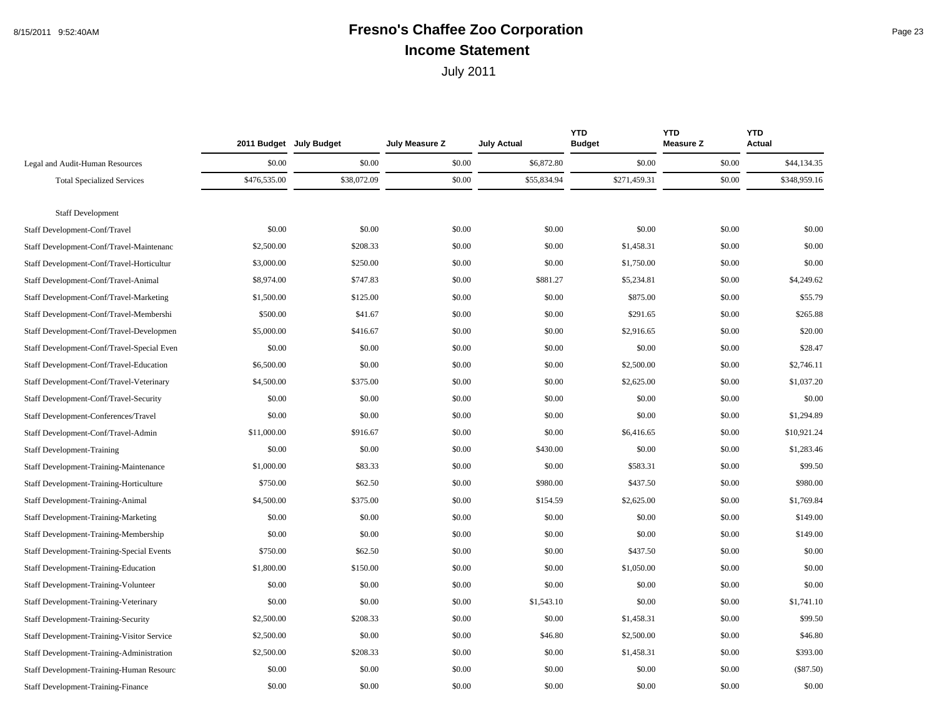## 8/15/2011 9:52:40AM **Fresno's Chaffee Zoo Corporation** Page 23 **Income Statement**

|                                                  | 2011 Budget July Budget |             | July Measure Z | <b>July Actual</b> | <b>YTD</b><br><b>Budget</b> | <b>YTD</b><br><b>Measure Z</b> | <b>YTD</b><br>Actual |
|--------------------------------------------------|-------------------------|-------------|----------------|--------------------|-----------------------------|--------------------------------|----------------------|
| Legal and Audit-Human Resources                  | \$0.00                  | \$0.00      | \$0.00         | \$6,872.80         | \$0.00                      | \$0.00                         | \$44,134.35          |
| <b>Total Specialized Services</b>                | \$476,535.00            | \$38,072.09 | \$0.00         | \$55,834.94        | \$271,459.31                | \$0.00                         | \$348,959.16         |
|                                                  |                         |             |                |                    |                             |                                |                      |
| <b>Staff Development</b>                         |                         |             |                |                    |                             |                                |                      |
| Staff Development-Conf/Travel                    | \$0.00                  | \$0.00      | \$0.00         | \$0.00             | \$0.00                      | \$0.00                         | \$0.00               |
| Staff Development-Conf/Travel-Maintenanc         | \$2,500.00              | \$208.33    | \$0.00         | \$0.00             | \$1,458.31                  | \$0.00                         | \$0.00               |
| Staff Development-Conf/Travel-Horticultur        | \$3,000.00              | \$250.00    | \$0.00         | \$0.00             | \$1,750.00                  | \$0.00                         | \$0.00               |
| Staff Development-Conf/Travel-Animal             | \$8,974.00              | \$747.83    | \$0.00         | \$881.27           | \$5,234.81                  | \$0.00                         | \$4,249.62           |
| Staff Development-Conf/Travel-Marketing          | \$1,500.00              | \$125.00    | \$0.00         | \$0.00             | \$875.00                    | \$0.00                         | \$55.79              |
| Staff Development-Conf/Travel-Membershi          | \$500.00                | \$41.67     | \$0.00         | \$0.00             | \$291.65                    | \$0.00                         | \$265.88             |
| Staff Development-Conf/Travel-Developmen         | \$5,000.00              | \$416.67    | \$0.00         | \$0.00             | \$2,916.65                  | \$0.00                         | \$20.00              |
| Staff Development-Conf/Travel-Special Even       | \$0.00                  | \$0.00      | \$0.00         | \$0.00             | \$0.00                      | \$0.00                         | \$28.47              |
| Staff Development-Conf/Travel-Education          | \$6,500.00              | \$0.00      | \$0.00         | \$0.00             | \$2,500.00                  | \$0.00                         | \$2,746.11           |
| Staff Development-Conf/Travel-Veterinary         | \$4,500.00              | \$375.00    | \$0.00         | \$0.00             | \$2,625.00                  | \$0.00                         | \$1,037.20           |
| Staff Development-Conf/Travel-Security           | \$0.00                  | \$0.00      | \$0.00         | \$0.00             | \$0.00                      | \$0.00                         | \$0.00               |
| Staff Development-Conferences/Travel             | \$0.00                  | \$0.00      | \$0.00         | \$0.00             | \$0.00                      | \$0.00                         | \$1,294.89           |
| Staff Development-Conf/Travel-Admin              | \$11,000.00             | \$916.67    | \$0.00         | \$0.00             | \$6,416.65                  | \$0.00                         | \$10,921.24          |
| <b>Staff Development-Training</b>                | \$0.00                  | \$0.00      | \$0.00         | \$430.00           | \$0.00                      | \$0.00                         | \$1,283.46           |
| <b>Staff Development-Training-Maintenance</b>    | \$1,000.00              | \$83.33     | \$0.00         | \$0.00             | \$583.31                    | \$0.00                         | \$99.50              |
| Staff Development-Training-Horticulture          | \$750.00                | \$62.50     | \$0.00         | \$980.00           | \$437.50                    | \$0.00                         | \$980.00             |
| Staff Development-Training-Animal                | \$4,500.00              | \$375.00    | \$0.00         | \$154.59           | \$2,625.00                  | \$0.00                         | \$1,769.84           |
| Staff Development-Training-Marketing             | \$0.00                  | \$0.00      | \$0.00         | \$0.00             | \$0.00                      | \$0.00                         | \$149.00             |
| Staff Development-Training-Membership            | \$0.00                  | \$0.00      | \$0.00         | \$0.00             | \$0.00                      | \$0.00                         | \$149.00             |
| <b>Staff Development-Training-Special Events</b> | \$750.00                | \$62.50     | \$0.00         | \$0.00             | \$437.50                    | \$0.00                         | \$0.00               |
| Staff Development-Training-Education             | \$1,800.00              | \$150.00    | \$0.00         | \$0.00             | \$1,050.00                  | \$0.00                         | \$0.00               |
| Staff Development-Training-Volunteer             | \$0.00                  | \$0.00      | \$0.00         | \$0.00             | \$0.00                      | \$0.00                         | \$0.00               |
| Staff Development-Training-Veterinary            | \$0.00                  | \$0.00      | \$0.00         | \$1,543.10         | \$0.00                      | \$0.00                         | \$1,741.10           |
| Staff Development-Training-Security              | \$2,500.00              | \$208.33    | \$0.00         | \$0.00             | \$1,458.31                  | \$0.00                         | \$99.50              |
| Staff Development-Training-Visitor Service       | \$2,500.00              | \$0.00      | \$0.00         | \$46.80            | \$2,500.00                  | \$0.00                         | \$46.80              |
| Staff Development-Training-Administration        | \$2,500.00              | \$208.33    | \$0.00         | \$0.00             | \$1,458.31                  | \$0.00                         | \$393.00             |
| Staff Development-Training-Human Resourc         | \$0.00                  | \$0.00      | \$0.00         | \$0.00             | \$0.00                      | \$0.00                         | $(\$87.50)$          |
| <b>Staff Development-Training-Finance</b>        | \$0.00                  | \$0.00      | \$0.00         | \$0.00             | \$0.00                      | \$0.00                         | \$0.00               |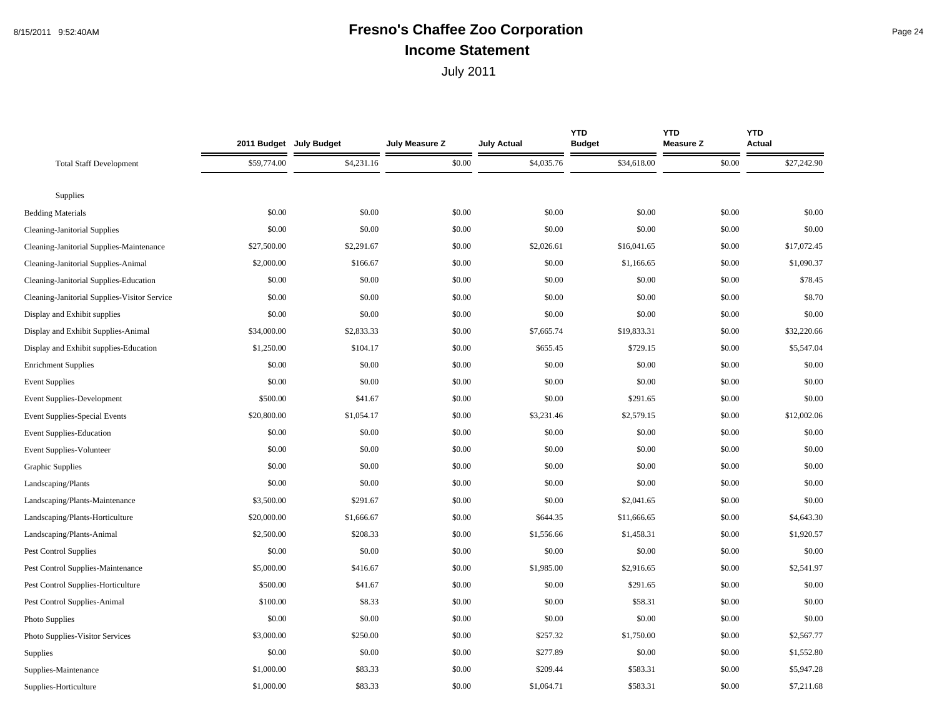## 8/15/2011 9:52:40AM **Fresno's Chaffee Zoo Corporation** Page 24 **Income Statement**

|                                              | 2011 Budget July Budget |            | July Measure Z | <b>July Actual</b> | <b>YTD</b><br><b>Budget</b> | <b>YTD</b><br><b>Measure Z</b> | <b>YTD</b><br>Actual |
|----------------------------------------------|-------------------------|------------|----------------|--------------------|-----------------------------|--------------------------------|----------------------|
| <b>Total Staff Development</b>               | \$59,774.00             | \$4,231.16 | \$0.00         | \$4,035.76         | \$34,618.00                 | \$0.00                         | \$27,242.90          |
|                                              |                         |            |                |                    |                             |                                |                      |
| Supplies                                     |                         |            |                |                    |                             |                                |                      |
| <b>Bedding Materials</b>                     | \$0.00                  | \$0.00     | \$0.00         | \$0.00             | \$0.00                      | \$0.00                         | \$0.00               |
| <b>Cleaning-Janitorial Supplies</b>          | \$0.00                  | \$0.00     | \$0.00         | \$0.00             | \$0.00                      | \$0.00                         | \$0.00               |
| Cleaning-Janitorial Supplies-Maintenance     | \$27,500.00             | \$2,291.67 | \$0.00         | \$2,026.61         | \$16,041.65                 | \$0.00                         | \$17,072.45          |
| Cleaning-Janitorial Supplies-Animal          | \$2,000.00              | \$166.67   | \$0.00         | \$0.00             | \$1,166.65                  | \$0.00                         | \$1,090.37           |
| Cleaning-Janitorial Supplies-Education       | \$0.00                  | \$0.00     | \$0.00         | \$0.00             | \$0.00                      | \$0.00                         | \$78.45              |
| Cleaning-Janitorial Supplies-Visitor Service | \$0.00                  | \$0.00     | \$0.00         | \$0.00             | \$0.00                      | \$0.00                         | \$8.70               |
| Display and Exhibit supplies                 | \$0.00                  | \$0.00     | \$0.00         | \$0.00             | \$0.00                      | \$0.00                         | \$0.00               |
| Display and Exhibit Supplies-Animal          | \$34,000.00             | \$2,833.33 | \$0.00         | \$7,665.74         | \$19,833.31                 | \$0.00                         | \$32,220.66          |
| Display and Exhibit supplies-Education       | \$1,250.00              | \$104.17   | \$0.00         | \$655.45           | \$729.15                    | \$0.00                         | \$5,547.04           |
| <b>Enrichment Supplies</b>                   | \$0.00                  | \$0.00     | \$0.00         | \$0.00             | \$0.00                      | \$0.00                         | \$0.00               |
| <b>Event Supplies</b>                        | \$0.00                  | \$0.00     | \$0.00         | \$0.00             | \$0.00                      | \$0.00                         | \$0.00               |
| Event Supplies-Development                   | \$500.00                | \$41.67    | \$0.00         | \$0.00             | \$291.65                    | \$0.00                         | \$0.00               |
| Event Supplies-Special Events                | \$20,800.00             | \$1,054.17 | \$0.00         | \$3,231.46         | \$2,579.15                  | \$0.00                         | \$12,002.06          |
| <b>Event Supplies-Education</b>              | \$0.00                  | \$0.00     | \$0.00         | \$0.00             | \$0.00                      | \$0.00                         | \$0.00               |
| Event Supplies-Volunteer                     | \$0.00                  | \$0.00     | \$0.00         | \$0.00             | \$0.00                      | \$0.00                         | \$0.00               |
| Graphic Supplies                             | \$0.00                  | \$0.00     | \$0.00         | \$0.00             | \$0.00                      | \$0.00                         | \$0.00               |
| Landscaping/Plants                           | \$0.00                  | \$0.00     | \$0.00         | \$0.00             | \$0.00                      | \$0.00                         | \$0.00               |
| Landscaping/Plants-Maintenance               | \$3,500.00              | \$291.67   | \$0.00         | \$0.00             | \$2,041.65                  | \$0.00                         | \$0.00               |
| Landscaping/Plants-Horticulture              | \$20,000.00             | \$1,666.67 | \$0.00         | \$644.35           | \$11,666.65                 | \$0.00                         | \$4,643.30           |
| Landscaping/Plants-Animal                    | \$2,500.00              | \$208.33   | \$0.00         | \$1,556.66         | \$1,458.31                  | \$0.00                         | \$1,920.57           |
| Pest Control Supplies                        | \$0.00                  | \$0.00     | \$0.00         | \$0.00             | \$0.00                      | \$0.00                         | \$0.00               |
| Pest Control Supplies-Maintenance            | \$5,000.00              | \$416.67   | \$0.00         | \$1,985.00         | \$2,916.65                  | \$0.00                         | \$2,541.97           |
| Pest Control Supplies-Horticulture           | \$500.00                | \$41.67    | \$0.00         | \$0.00             | \$291.65                    | \$0.00                         | \$0.00               |
| Pest Control Supplies-Animal                 | \$100.00                | \$8.33     | \$0.00         | \$0.00             | \$58.31                     | \$0.00                         | \$0.00               |
| Photo Supplies                               | \$0.00                  | \$0.00     | \$0.00         | \$0.00             | \$0.00                      | \$0.00                         | \$0.00               |
| Photo Supplies-Visitor Services              | \$3,000.00              | \$250.00   | \$0.00         | \$257.32           | \$1,750.00                  | \$0.00                         | \$2,567.77           |
| Supplies                                     | \$0.00                  | \$0.00     | \$0.00         | \$277.89           | \$0.00                      | \$0.00                         | \$1,552.80           |
| Supplies-Maintenance                         | \$1,000.00              | \$83.33    | \$0.00         | \$209.44           | \$583.31                    | \$0.00                         | \$5,947.28           |
| Supplies-Horticulture                        | \$1,000.00              | \$83.33    | \$0.00         | \$1,064.71         | \$583.31                    | \$0.00                         | \$7,211.68           |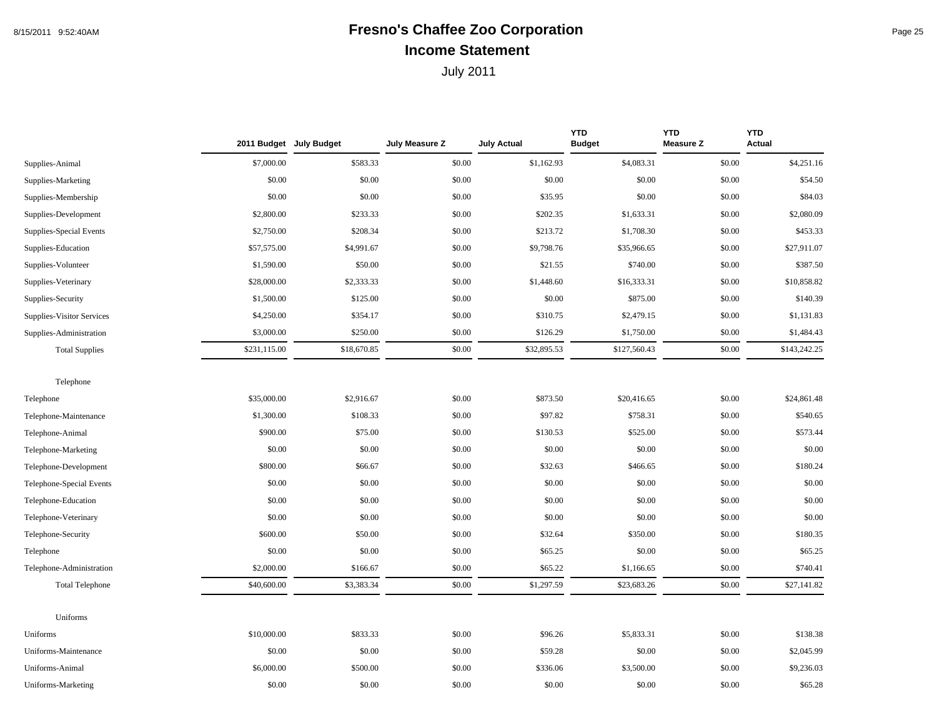## 8/15/2011 9:52:40AM **Fresno's Chaffee Zoo Corporation** Page 25 **Income Statement**

|                           |              | 2011 Budget July Budget | July Measure Z | <b>July Actual</b> | <b>YTD</b><br><b>Budget</b> | <b>YTD</b><br><b>Measure Z</b> | <b>YTD</b><br>Actual |
|---------------------------|--------------|-------------------------|----------------|--------------------|-----------------------------|--------------------------------|----------------------|
| Supplies-Animal           | \$7,000.00   | \$583.33                | \$0.00         | \$1,162.93         | \$4,083.31                  | \$0.00                         | \$4,251.16           |
| Supplies-Marketing        | \$0.00       | \$0.00                  | \$0.00         | \$0.00             | \$0.00                      | \$0.00                         | \$54.50              |
| Supplies-Membership       | \$0.00       | \$0.00                  | \$0.00         | \$35.95            | \$0.00                      | \$0.00                         | \$84.03              |
| Supplies-Development      | \$2,800.00   | \$233.33                | \$0.00         | \$202.35           | \$1,633.31                  | \$0.00                         | \$2,080.09           |
| Supplies-Special Events   | \$2,750.00   | \$208.34                | \$0.00         | \$213.72           | \$1,708.30                  | \$0.00                         | \$453.33             |
| Supplies-Education        | \$57,575.00  | \$4,991.67              | \$0.00         | \$9,798.76         | \$35,966.65                 | \$0.00                         | \$27,911.07          |
| Supplies-Volunteer        | \$1,590.00   | \$50.00                 | \$0.00         | \$21.55            | \$740.00                    | \$0.00                         | \$387.50             |
| Supplies-Veterinary       | \$28,000.00  | \$2,333.33              | \$0.00         | \$1,448.60         | \$16,333.31                 | \$0.00                         | \$10,858.82          |
| Supplies-Security         | \$1,500.00   | \$125.00                | \$0.00         | \$0.00             | \$875.00                    | \$0.00                         | \$140.39             |
| Supplies-Visitor Services | \$4,250.00   | \$354.17                | \$0.00         | \$310.75           | \$2,479.15                  | \$0.00                         | \$1,131.83           |
| Supplies-Administration   | \$3,000.00   | \$250.00                | \$0.00         | \$126.29           | \$1,750.00                  | \$0.00                         | \$1,484.43           |
| <b>Total Supplies</b>     | \$231,115.00 | \$18,670.85             | \$0.00         | \$32,895.53        | \$127,560.43                | \$0.00                         | \$143,242.25         |
| Telephone                 |              |                         |                |                    |                             |                                |                      |
| Telephone                 | \$35,000.00  | \$2,916.67              | \$0.00         | \$873.50           | \$20,416.65                 | \$0.00                         | \$24,861.48          |
| Telephone-Maintenance     | \$1,300.00   | \$108.33                | \$0.00         | \$97.82            | \$758.31                    | \$0.00                         | \$540.65             |
| Telephone-Animal          | \$900.00     | \$75.00                 | \$0.00         | \$130.53           | \$525.00                    | \$0.00                         | \$573.44             |
| Telephone-Marketing       | \$0.00       | \$0.00                  | \$0.00         | \$0.00             | \$0.00                      | \$0.00                         | \$0.00               |
| Telephone-Development     | \$800.00     | \$66.67                 | \$0.00         | \$32.63            | \$466.65                    | \$0.00                         | \$180.24             |
| Telephone-Special Events  | \$0.00       | \$0.00                  | \$0.00         | \$0.00             | \$0.00                      | \$0.00                         | \$0.00               |
| Telephone-Education       | \$0.00       | \$0.00                  | \$0.00         | \$0.00             | \$0.00                      | \$0.00                         | \$0.00               |
| Telephone-Veterinary      | \$0.00       | \$0.00                  | \$0.00         | \$0.00             | \$0.00                      | \$0.00                         | \$0.00               |
| Telephone-Security        | \$600.00     | \$50.00                 | \$0.00         | \$32.64            | \$350.00                    | \$0.00                         | \$180.35             |
| Telephone                 | \$0.00       | \$0.00                  | \$0.00         | \$65.25            | \$0.00                      | \$0.00                         | \$65.25              |
| Telephone-Administration  | \$2,000.00   | \$166.67                | \$0.00         | \$65.22            | \$1,166.65                  | \$0.00                         | \$740.41             |
| <b>Total Telephone</b>    | \$40,600.00  | \$3,383.34              | \$0.00         | \$1,297.59         | \$23,683.26                 | \$0.00                         | \$27,141.82          |
| Uniforms                  |              |                         |                |                    |                             |                                |                      |
| Uniforms                  | \$10,000.00  | \$833.33                | \$0.00         | \$96.26            | \$5,833.31                  | \$0.00                         | \$138.38             |
| Uniforms-Maintenance      | \$0.00       | \$0.00                  | \$0.00         | \$59.28            | \$0.00                      | \$0.00                         | \$2,045.99           |
| Uniforms-Animal           | \$6,000.00   | \$500.00                | \$0.00         | \$336.06           | \$3,500.00                  | \$0.00                         | \$9,236.03           |
| Uniforms-Marketing        | \$0.00       | \$0.00                  | \$0.00         | \$0.00             | \$0.00                      | \$0.00                         | \$65.28              |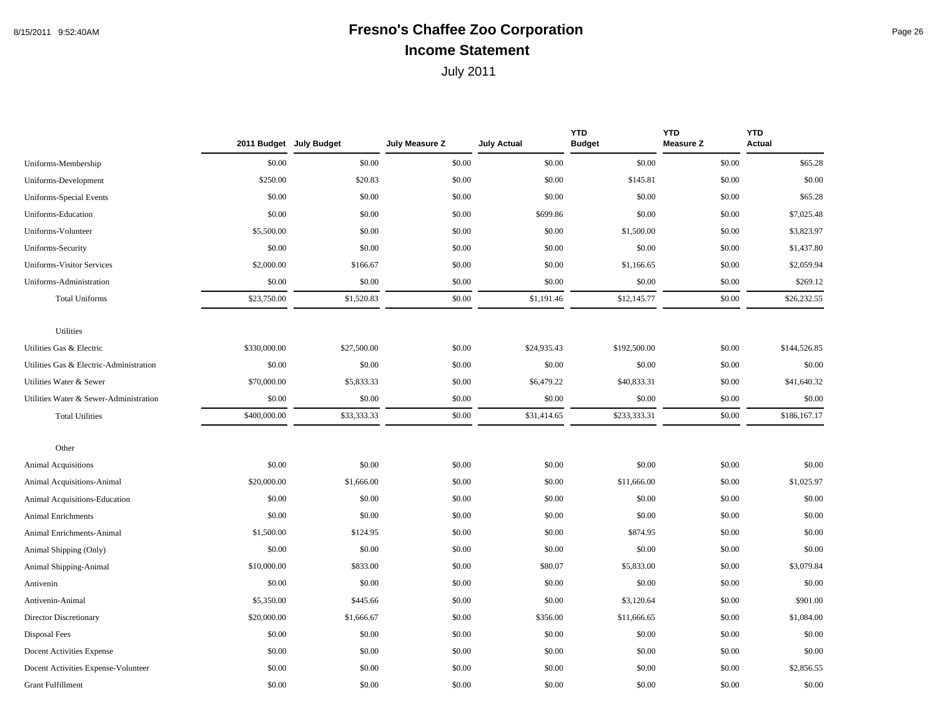#### 8/15/2011 9:52:40AM **Fresno's Chaffee Zoo Corporation** Page 26 **Income Statement**

|                                         |              | 2011 Budget July Budget | July Measure Z | <b>July Actual</b> | <b>YTD</b><br><b>Budget</b> | <b>YTD</b><br><b>Measure Z</b> | <b>YTD</b><br><b>Actual</b> |
|-----------------------------------------|--------------|-------------------------|----------------|--------------------|-----------------------------|--------------------------------|-----------------------------|
| Uniforms-Membership                     | \$0.00       | \$0.00                  | \$0.00         | \$0.00             | \$0.00                      | \$0.00                         | \$65.28                     |
| Uniforms-Development                    | \$250.00     | \$20.83                 | \$0.00         | \$0.00             | \$145.81                    | \$0.00                         | \$0.00                      |
| Uniforms-Special Events                 | \$0.00       | \$0.00                  | \$0.00         | \$0.00             | \$0.00                      | \$0.00                         | \$65.28                     |
| Uniforms-Education                      | \$0.00       | \$0.00                  | \$0.00         | \$699.86           | \$0.00                      | \$0.00                         | \$7,025.48                  |
| Uniforms-Volunteer                      | \$5,500.00   | \$0.00                  | \$0.00         | \$0.00             | \$1,500.00                  | \$0.00                         | \$3,823.97                  |
| Uniforms-Security                       | \$0.00       | \$0.00                  | \$0.00         | \$0.00             | \$0.00                      | \$0.00                         | \$1,437.80                  |
| <b>Uniforms-Visitor Services</b>        | \$2,000.00   | \$166.67                | \$0.00         | \$0.00             | \$1,166.65                  | \$0.00                         | \$2,059.94                  |
| Uniforms-Administration                 | \$0.00       | \$0.00                  | \$0.00         | \$0.00             | \$0.00                      | \$0.00                         | \$269.12                    |
| <b>Total Uniforms</b>                   | \$23,750.00  | \$1,520.83              | \$0.00         | \$1,191.46         | \$12,145.77                 | \$0.00                         | \$26,232.55                 |
| Utilities                               |              |                         |                |                    |                             |                                |                             |
| Utilities Gas & Electric                | \$330,000.00 | \$27,500.00             | \$0.00         | \$24,935.43        | \$192,500.00                | \$0.00                         | \$144,526.85                |
| Utilities Gas & Electric-Administration | \$0.00       | \$0.00                  | \$0.00         | \$0.00             | \$0.00                      | \$0.00                         | \$0.00                      |
| Utilities Water & Sewer                 | \$70,000.00  | \$5,833.33              | \$0.00         | \$6,479.22         | \$40,833.31                 | \$0.00                         | \$41,640.32                 |
| Utilities Water & Sewer-Administration  | \$0.00       | \$0.00                  | \$0.00         | \$0.00             | \$0.00                      | \$0.00                         | \$0.00                      |
| <b>Total Utilities</b>                  | \$400,000.00 | \$33,333.33             | \$0.00         | \$31,414.65        | \$233,333.31                | \$0.00                         | \$186,167.17                |
| Other                                   |              |                         |                |                    |                             |                                |                             |
| Animal Acquisitions                     | \$0.00       | \$0.00                  | \$0.00         | \$0.00             | \$0.00                      | \$0.00                         | \$0.00                      |
| Animal Acquisitions-Animal              | \$20,000.00  | \$1,666.00              | \$0.00         | \$0.00             | \$11,666.00                 | \$0.00                         | \$1,025.97                  |
| Animal Acquisitions-Education           | \$0.00       | \$0.00                  | \$0.00         | \$0.00             | \$0.00                      | \$0.00                         | \$0.00                      |
| <b>Animal Enrichments</b>               | \$0.00       | \$0.00                  | \$0.00         | \$0.00             | \$0.00                      | \$0.00                         | \$0.00                      |
| Animal Enrichments-Animal               | \$1,500.00   | \$124.95                | \$0.00         | \$0.00             | \$874.95                    | \$0.00                         | \$0.00                      |
| Animal Shipping (Only)                  | \$0.00       | \$0.00                  | \$0.00         | \$0.00             | \$0.00                      | \$0.00                         | \$0.00                      |
| Animal Shipping-Animal                  | \$10,000.00  | \$833.00                | \$0.00         | \$80.07            | \$5,833.00                  | \$0.00                         | \$3,079.84                  |
| Antivenin                               | \$0.00       | \$0.00                  | \$0.00         | \$0.00             | \$0.00                      | \$0.00                         | \$0.00                      |
| Antivenin-Animal                        | \$5,350.00   | \$445.66                | \$0.00         | \$0.00             | \$3,120.64                  | \$0.00                         | \$901.00                    |
| Director Discretionary                  | \$20,000.00  | \$1,666.67              | \$0.00         | \$356.00           | \$11,666.65                 | \$0.00                         | \$1,084.00                  |
| Disposal Fees                           | \$0.00       | \$0.00                  | \$0.00         | \$0.00             | \$0.00                      | \$0.00                         | \$0.00                      |
| Docent Activities Expense               | \$0.00       | \$0.00                  | \$0.00         | \$0.00             | \$0.00                      | \$0.00                         | \$0.00                      |
| Docent Activities Expense-Volunteer     | \$0.00       | \$0.00                  | \$0.00         | \$0.00             | \$0.00                      | \$0.00                         | \$2,856.55                  |
| <b>Grant Fulfillment</b>                | \$0.00       | \$0.00                  | \$0.00         | \$0.00             | \$0.00                      | \$0.00                         | \$0.00                      |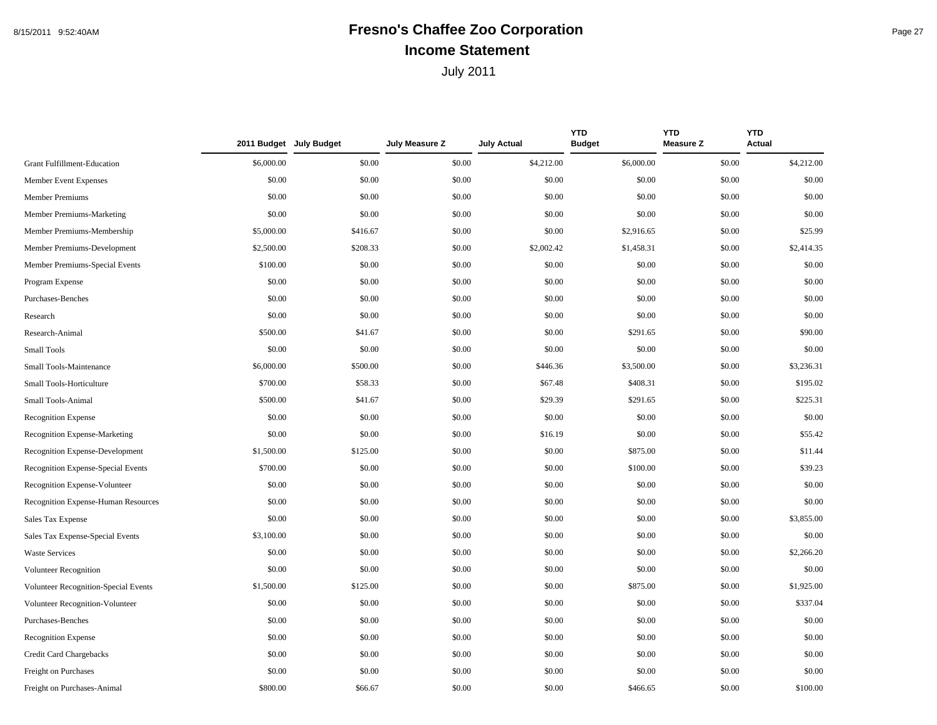## 8/15/2011 9:52:40AM **Fresno's Chaffee Zoo Corporation** Page 27 **Income Statement**

|                                      |            | 2011 Budget July Budget | July Measure Z | <b>July Actual</b> | <b>YTD</b><br><b>Budget</b> | <b>YTD</b><br><b>Measure Z</b> | <b>YTD</b><br><b>Actual</b> |
|--------------------------------------|------------|-------------------------|----------------|--------------------|-----------------------------|--------------------------------|-----------------------------|
| Grant Fulfillment-Education          | \$6,000.00 | \$0.00                  | \$0.00         | \$4,212.00         | \$6,000.00                  | \$0.00                         | \$4,212.00                  |
| Member Event Expenses                | \$0.00     | \$0.00                  | \$0.00         | \$0.00             | \$0.00                      | \$0.00                         | \$0.00                      |
| Member Premiums                      | \$0.00     | \$0.00                  | \$0.00         | \$0.00             | \$0.00                      | \$0.00                         | \$0.00                      |
| Member Premiums-Marketing            | \$0.00     | \$0.00                  | \$0.00         | \$0.00             | \$0.00                      | \$0.00                         | \$0.00                      |
| Member Premiums-Membership           | \$5,000.00 | \$416.67                | \$0.00         | \$0.00             | \$2,916.65                  | \$0.00                         | \$25.99                     |
| Member Premiums-Development          | \$2,500.00 | \$208.33                | \$0.00         | \$2,002.42         | \$1,458.31                  | \$0.00                         | \$2,414.35                  |
| Member Premiums-Special Events       | \$100.00   | \$0.00                  | \$0.00         | \$0.00             | \$0.00                      | \$0.00                         | \$0.00                      |
| Program Expense                      | \$0.00     | \$0.00                  | \$0.00         | \$0.00             | \$0.00                      | \$0.00                         | \$0.00                      |
| Purchases-Benches                    | \$0.00     | \$0.00                  | \$0.00         | \$0.00             | \$0.00                      | \$0.00                         | \$0.00                      |
| Research                             | \$0.00     | \$0.00                  | \$0.00         | \$0.00             | \$0.00                      | \$0.00                         | \$0.00                      |
| Research-Animal                      | \$500.00   | \$41.67                 | \$0.00         | \$0.00             | \$291.65                    | \$0.00                         | \$90.00                     |
| <b>Small Tools</b>                   | \$0.00     | \$0.00                  | \$0.00         | \$0.00             | \$0.00                      | \$0.00                         | \$0.00                      |
| Small Tools-Maintenance              | \$6,000.00 | \$500.00                | \$0.00         | \$446.36           | \$3,500.00                  | \$0.00                         | \$3,236.31                  |
| Small Tools-Horticulture             | \$700.00   | \$58.33                 | \$0.00         | \$67.48            | \$408.31                    | \$0.00                         | \$195.02                    |
| Small Tools-Animal                   | \$500.00   | \$41.67                 | \$0.00         | \$29.39            | \$291.65                    | \$0.00                         | \$225.31                    |
| <b>Recognition Expense</b>           | \$0.00     | \$0.00                  | \$0.00         | \$0.00             | \$0.00                      | \$0.00                         | \$0.00                      |
| Recognition Expense-Marketing        | \$0.00     | \$0.00                  | \$0.00         | \$16.19            | \$0.00                      | \$0.00                         | \$55.42                     |
| Recognition Expense-Development      | \$1,500.00 | \$125.00                | \$0.00         | \$0.00             | \$875.00                    | \$0.00                         | \$11.44                     |
| Recognition Expense-Special Events   | \$700.00   | \$0.00                  | \$0.00         | \$0.00             | \$100.00                    | \$0.00                         | \$39.23                     |
| Recognition Expense-Volunteer        | \$0.00     | \$0.00                  | \$0.00         | \$0.00             | \$0.00                      | \$0.00                         | \$0.00                      |
| Recognition Expense-Human Resources  | \$0.00     | \$0.00                  | \$0.00         | \$0.00             | \$0.00                      | \$0.00                         | \$0.00                      |
| Sales Tax Expense                    | \$0.00     | \$0.00                  | \$0.00         | \$0.00             | \$0.00                      | \$0.00                         | \$3,855.00                  |
| Sales Tax Expense-Special Events     | \$3,100.00 | \$0.00                  | \$0.00         | \$0.00             | \$0.00                      | \$0.00                         | \$0.00                      |
| <b>Waste Services</b>                | \$0.00     | \$0.00                  | \$0.00         | \$0.00             | \$0.00                      | \$0.00                         | \$2,266.20                  |
| <b>Volunteer Recognition</b>         | \$0.00     | \$0.00                  | \$0.00         | \$0.00             | \$0.00                      | \$0.00                         | \$0.00                      |
| Volunteer Recognition-Special Events | \$1,500.00 | \$125.00                | \$0.00         | \$0.00             | \$875.00                    | \$0.00                         | \$1,925.00                  |
| Volunteer Recognition-Volunteer      | \$0.00     | \$0.00                  | \$0.00         | \$0.00             | \$0.00                      | \$0.00                         | \$337.04                    |
| Purchases-Benches                    | \$0.00     | \$0.00                  | \$0.00         | \$0.00             | \$0.00                      | \$0.00                         | \$0.00                      |
| Recognition Expense                  | \$0.00     | \$0.00                  | \$0.00         | \$0.00             | \$0.00                      | \$0.00                         | \$0.00                      |
| Credit Card Chargebacks              | \$0.00     | \$0.00                  | \$0.00         | \$0.00             | \$0.00                      | \$0.00                         | \$0.00                      |
| Freight on Purchases                 | \$0.00     | \$0.00                  | \$0.00         | \$0.00             | \$0.00                      | \$0.00                         | \$0.00                      |
| Freight on Purchases-Animal          | \$800.00   | \$66.67                 | \$0.00         | \$0.00             | \$466.65                    | \$0.00                         | \$100.00                    |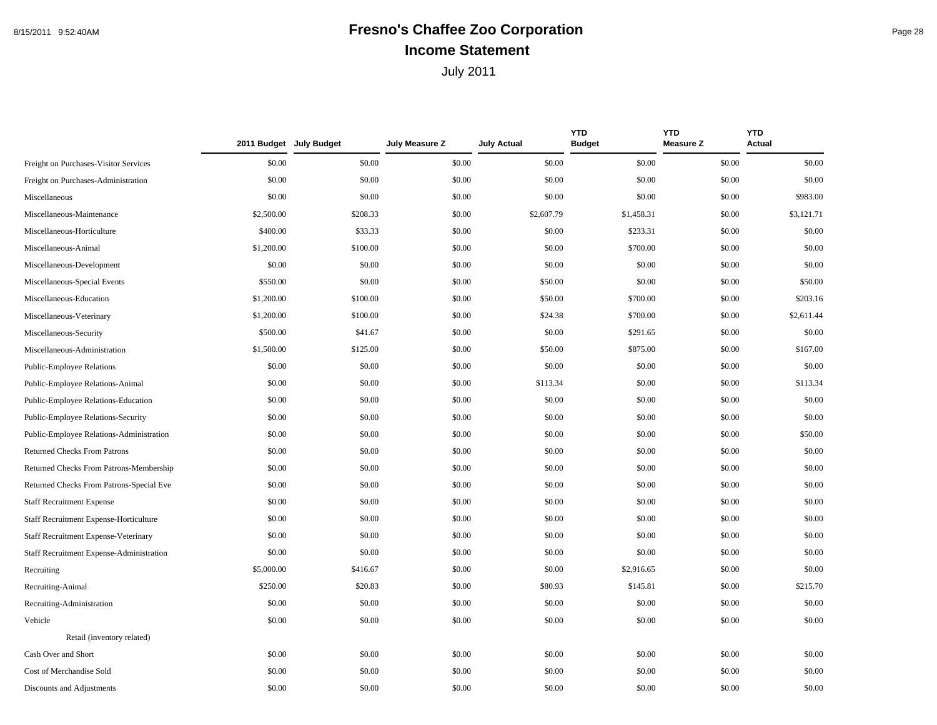## 8/15/2011 9:52:40AM **Fresno's Chaffee Zoo Corporation** Page 28 **Income Statement**

|                                          |            | 2011 Budget July Budget | July Measure Z | <b>July Actual</b> | <b>YTD</b><br><b>Budget</b> | <b>YTD</b><br><b>Measure Z</b> | <b>YTD</b><br><b>Actual</b> |
|------------------------------------------|------------|-------------------------|----------------|--------------------|-----------------------------|--------------------------------|-----------------------------|
| Freight on Purchases-Visitor Services    | \$0.00     | \$0.00                  | \$0.00         | \$0.00             | \$0.00                      | \$0.00                         | \$0.00                      |
| Freight on Purchases-Administration      | \$0.00     | \$0.00                  | \$0.00         | \$0.00             | \$0.00                      | \$0.00                         | \$0.00                      |
| Miscellaneous                            | \$0.00     | \$0.00                  | \$0.00         | \$0.00             | \$0.00                      | \$0.00                         | \$983.00                    |
| Miscellaneous-Maintenance                | \$2,500.00 | \$208.33                | \$0.00         | \$2,607.79         | \$1,458.31                  | \$0.00                         | \$3,121.71                  |
| Miscellaneous-Horticulture               | \$400.00   | \$33.33                 | \$0.00         | \$0.00             | \$233.31                    | \$0.00                         | \$0.00                      |
| Miscellaneous-Animal                     | \$1,200.00 | \$100.00                | \$0.00         | \$0.00             | \$700.00                    | \$0.00                         | \$0.00                      |
| Miscellaneous-Development                | \$0.00     | \$0.00                  | \$0.00         | \$0.00             | \$0.00                      | \$0.00                         | \$0.00                      |
| Miscellaneous-Special Events             | \$550.00   | \$0.00                  | \$0.00         | \$50.00            | \$0.00                      | \$0.00                         | \$50.00                     |
| Miscellaneous-Education                  | \$1,200.00 | \$100.00                | \$0.00         | \$50.00            | \$700.00                    | \$0.00                         | \$203.16                    |
| Miscellaneous-Veterinary                 | \$1,200.00 | \$100.00                | \$0.00         | \$24.38            | \$700.00                    | \$0.00                         | \$2,611.44                  |
| Miscellaneous-Security                   | \$500.00   | \$41.67                 | \$0.00         | \$0.00             | \$291.65                    | \$0.00                         | \$0.00                      |
| Miscellaneous-Administration             | \$1,500.00 | \$125.00                | \$0.00         | \$50.00            | \$875.00                    | \$0.00                         | \$167.00                    |
| <b>Public-Employee Relations</b>         | \$0.00     | \$0.00                  | \$0.00         | \$0.00             | \$0.00                      | \$0.00                         | \$0.00                      |
| Public-Employee Relations-Animal         | \$0.00     | \$0.00                  | \$0.00         | \$113.34           | \$0.00                      | \$0.00                         | \$113.34                    |
| Public-Employee Relations-Education      | \$0.00     | \$0.00                  | \$0.00         | \$0.00             | \$0.00                      | \$0.00                         | \$0.00                      |
| Public-Employee Relations-Security       | \$0.00     | \$0.00                  | \$0.00         | \$0.00             | \$0.00                      | \$0.00                         | \$0.00                      |
| Public-Employee Relations-Administration | \$0.00     | \$0.00                  | \$0.00         | \$0.00             | \$0.00                      | \$0.00                         | \$50.00                     |
| Returned Checks From Patrons             | \$0.00     | \$0.00                  | \$0.00         | \$0.00             | \$0.00                      | \$0.00                         | \$0.00                      |
| Returned Checks From Patrons-Membership  | \$0.00     | \$0.00                  | \$0.00         | \$0.00             | \$0.00                      | \$0.00                         | \$0.00                      |
| Returned Checks From Patrons-Special Eve | \$0.00     | \$0.00                  | \$0.00         | \$0.00             | \$0.00                      | \$0.00                         | \$0.00                      |
| <b>Staff Recruitment Expense</b>         | \$0.00     | \$0.00                  | \$0.00         | \$0.00             | \$0.00                      | \$0.00                         | \$0.00                      |
| Staff Recruitment Expense-Horticulture   | \$0.00     | \$0.00                  | \$0.00         | \$0.00             | \$0.00                      | \$0.00                         | \$0.00                      |
| Staff Recruitment Expense-Veterinary     | \$0.00     | \$0.00                  | \$0.00         | \$0.00             | \$0.00                      | \$0.00                         | \$0.00                      |
| Staff Recruitment Expense-Administration | \$0.00     | \$0.00                  | \$0.00         | \$0.00             | \$0.00                      | \$0.00                         | \$0.00                      |
| Recruiting                               | \$5,000.00 | \$416.67                | \$0.00         | \$0.00             | \$2,916.65                  | \$0.00                         | \$0.00                      |
| Recruiting-Animal                        | \$250.00   | \$20.83                 | \$0.00         | \$80.93            | \$145.81                    | \$0.00                         | \$215.70                    |
| Recruiting-Administration                | \$0.00     | \$0.00                  | \$0.00         | \$0.00             | \$0.00                      | \$0.00                         | \$0.00                      |
| Vehicle                                  | \$0.00     | \$0.00                  | \$0.00         | \$0.00             | \$0.00                      | \$0.00                         | \$0.00                      |
| Retail (inventory related)               |            |                         |                |                    |                             |                                |                             |
| Cash Over and Short                      | \$0.00     | \$0.00                  | \$0.00         | \$0.00             | \$0.00                      | \$0.00                         | \$0.00                      |
| Cost of Merchandise Sold                 | \$0.00     | \$0.00                  | \$0.00         | \$0.00             | \$0.00                      | \$0.00                         | \$0.00                      |
| Discounts and Adjustments                | \$0.00     | \$0.00                  | \$0.00         | \$0.00             | \$0.00                      | \$0.00                         | \$0.00                      |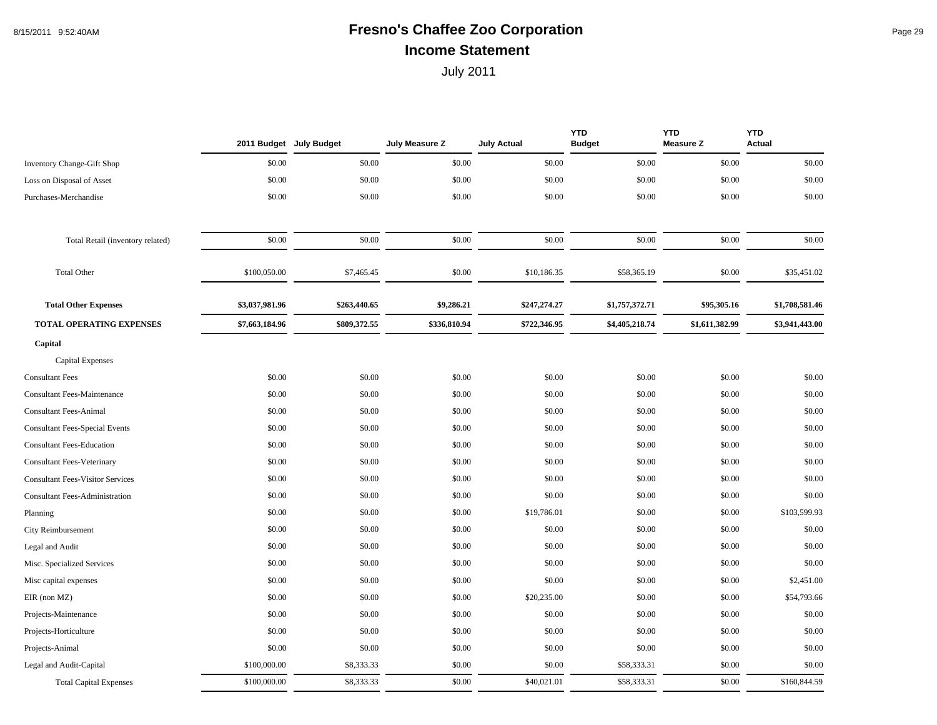## 8/15/2011 9:52:40AM **Fresno's Chaffee Zoo Corporation** Page 29 **Income Statement**

|                                         | 2011 Budget July Budget |              | July Measure Z | <b>July Actual</b> | <b>YTD</b><br><b>Budget</b> | <b>YTD</b><br><b>Measure Z</b> | <b>YTD</b><br><b>Actual</b> |
|-----------------------------------------|-------------------------|--------------|----------------|--------------------|-----------------------------|--------------------------------|-----------------------------|
| <b>Inventory Change-Gift Shop</b>       | \$0.00                  | \$0.00       | \$0.00         | \$0.00             | \$0.00                      | \$0.00                         | \$0.00                      |
| Loss on Disposal of Asset               | \$0.00                  | \$0.00       | \$0.00         | \$0.00             | \$0.00                      | \$0.00                         | \$0.00                      |
| Purchases-Merchandise                   | \$0.00                  | \$0.00       | \$0.00         | \$0.00             | \$0.00                      | \$0.00                         | \$0.00                      |
| Total Retail (inventory related)        | \$0.00                  | \$0.00       | \$0.00         | \$0.00             | \$0.00                      | \$0.00                         | \$0.00                      |
| <b>Total Other</b>                      | \$100,050.00            | \$7,465.45   | \$0.00         | \$10,186.35        | \$58,365.19                 | \$0.00                         | \$35,451.02                 |
| <b>Total Other Expenses</b>             | \$3,037,981.96          | \$263,440.65 | \$9,286.21     | \$247,274.27       | \$1,757,372.71              | \$95,305.16                    | \$1,708,581.46              |
| <b>TOTAL OPERATING EXPENSES</b>         | \$7,663,184.96          | \$809,372.55 | \$336,810.94   | \$722,346.95       | \$4,405,218.74              | \$1,611,382.99                 | \$3,941,443.00              |
| Capital                                 |                         |              |                |                    |                             |                                |                             |
| <b>Capital Expenses</b>                 |                         |              |                |                    |                             |                                |                             |
| <b>Consultant Fees</b>                  | \$0.00                  | \$0.00       | \$0.00         | \$0.00             | \$0.00                      | \$0.00                         | \$0.00                      |
| <b>Consultant Fees-Maintenance</b>      | \$0.00                  | \$0.00       | \$0.00         | \$0.00             | \$0.00                      | \$0.00                         | \$0.00                      |
| <b>Consultant Fees-Animal</b>           | \$0.00                  | \$0.00       | \$0.00         | \$0.00             | \$0.00                      | \$0.00                         | \$0.00                      |
| <b>Consultant Fees-Special Events</b>   | \$0.00                  | \$0.00       | \$0.00         | \$0.00             | \$0.00                      | \$0.00                         | \$0.00                      |
| <b>Consultant Fees-Education</b>        | \$0.00                  | \$0.00       | \$0.00         | \$0.00             | \$0.00                      | \$0.00                         | \$0.00                      |
| <b>Consultant Fees-Veterinary</b>       | \$0.00                  | \$0.00       | \$0.00         | \$0.00             | \$0.00                      | \$0.00                         | \$0.00                      |
| <b>Consultant Fees-Visitor Services</b> | \$0.00                  | \$0.00       | \$0.00         | \$0.00             | \$0.00                      | \$0.00                         | \$0.00                      |
| <b>Consultant Fees-Administration</b>   | \$0.00                  | \$0.00       | \$0.00         | \$0.00             | \$0.00                      | \$0.00                         | \$0.00                      |
| Planning                                | \$0.00                  | \$0.00       | \$0.00         | \$19,786.01        | \$0.00                      | \$0.00                         | \$103,599.93                |
| City Reimbursement                      | \$0.00                  | \$0.00       | \$0.00         | \$0.00             | \$0.00                      | \$0.00                         | \$0.00                      |
| Legal and Audit                         | \$0.00                  | \$0.00       | \$0.00         | \$0.00             | \$0.00                      | \$0.00                         | \$0.00                      |
| Misc. Specialized Services              | \$0.00                  | \$0.00       | \$0.00         | \$0.00             | \$0.00                      | \$0.00                         | \$0.00                      |
| Misc capital expenses                   | \$0.00                  | \$0.00       | \$0.00         | \$0.00             | \$0.00                      | \$0.00                         | \$2,451.00                  |
| $EIR$ (non $MZ$ )                       | \$0.00                  | \$0.00       | \$0.00         | \$20,235.00        | \$0.00                      | \$0.00                         | \$54,793.66                 |
| Projects-Maintenance                    | \$0.00                  | \$0.00       | \$0.00         | \$0.00             | \$0.00                      | \$0.00                         | \$0.00                      |
| Projects-Horticulture                   | \$0.00                  | \$0.00       | \$0.00         | \$0.00             | \$0.00                      | \$0.00                         | \$0.00                      |
| Projects-Animal                         | \$0.00                  | \$0.00       | \$0.00         | \$0.00             | \$0.00                      | \$0.00                         | \$0.00                      |
| Legal and Audit-Capital                 | \$100,000.00            | \$8,333.33   | \$0.00         | \$0.00             | \$58,333.31                 | \$0.00                         | \$0.00                      |
| <b>Total Capital Expenses</b>           | \$100,000.00            | \$8,333.33   | \$0.00         | \$40,021.01        | \$58,333.31                 | \$0.00                         | \$160,844.59                |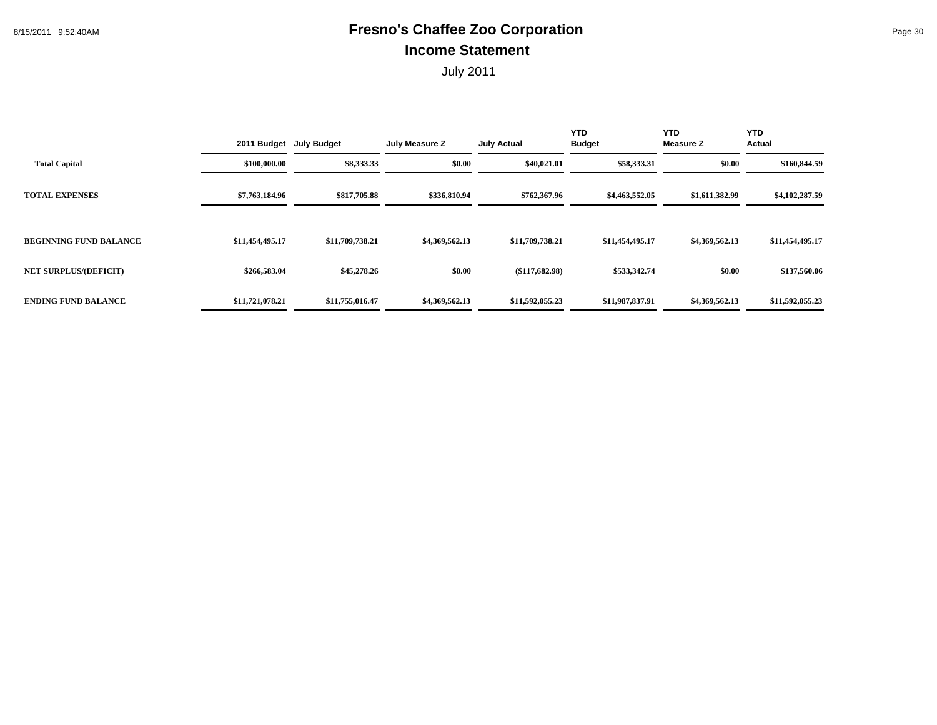## 8/15/2011 9:52:40AM **Fresno's Chaffee Zoo Corporation** Page 30 **Income Statement**

|                               |                 | 2011 Budget July Budget | July Measure Z | <b>July Actual</b> | <b>YTD</b><br><b>Budget</b> | <b>YTD</b><br><b>Measure Z</b> | <b>YTD</b><br>Actual |
|-------------------------------|-----------------|-------------------------|----------------|--------------------|-----------------------------|--------------------------------|----------------------|
| <b>Total Capital</b>          | \$100,000.00    | \$8,333.33              | \$0.00         | \$40,021.01        | \$58,333.31                 | \$0.00                         | \$160,844.59         |
| <b>TOTAL EXPENSES</b>         | \$7,763,184.96  | \$817,705.88            | \$336,810.94   | \$762,367.96       | \$4,463,552.05              | \$1,611,382.99                 | \$4,102,287.59       |
| <b>BEGINNING FUND BALANCE</b> | \$11,454,495.17 | \$11,709,738.21         | \$4,369,562.13 | \$11,709,738.21    | \$11,454,495.17             | \$4,369,562.13                 | \$11,454,495.17      |
| <b>NET SURPLUS/(DEFICIT)</b>  | \$266,583.04    | \$45,278.26             | \$0.00         | $(\$117,682.98)$   | \$533,342.74                | \$0.00                         | \$137,560.06         |
| <b>ENDING FUND BALANCE</b>    | \$11,721,078.21 | \$11,755,016.47         | \$4,369,562.13 | \$11,592,055.23    | \$11,987,837.91             | \$4,369,562.13                 | \$11,592,055.23      |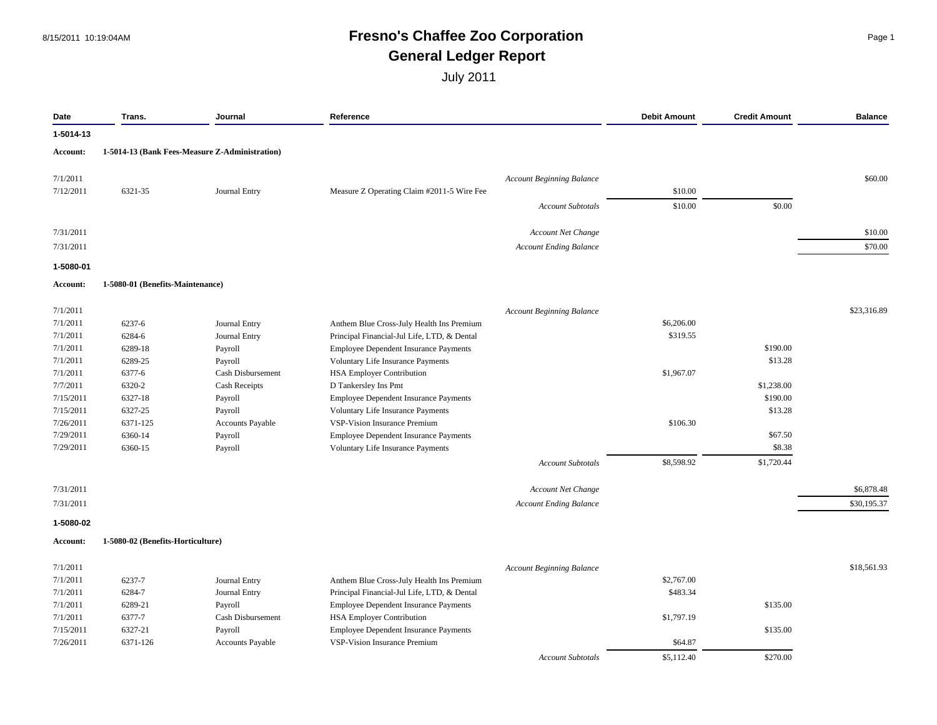#### 8/15/2011 10:19:04AM **Fresno's Chaffee Zoo Corporation** Page 1 **General Ledger Report**

| 1-5014-13 (Bank Fees-Measure Z-Administration)<br><b>Account Beginning Balance</b><br>6321-35<br>Journal Entry<br>Measure Z Operating Claim #2011-5 Wire Fee<br>\$10.00<br>\$0.00<br>\$10.00<br><b>Account Subtotals</b><br>Account Net Change<br><b>Account Ending Balance</b><br>1-5080-01 (Benefits-Maintenance)<br><b>Account Beginning Balance</b><br>6237-6<br>\$6,206.00<br><b>Journal Entry</b><br>Anthem Blue Cross-July Health Ins Premium<br>\$319.55<br>6284-6<br><b>Journal Entry</b><br>Principal Financial-Jul Life, LTD, & Dental<br>\$190.00<br>6289-18<br>Payroll<br><b>Employee Dependent Insurance Payments</b><br>\$13.28<br>6289-25<br>Voluntary Life Insurance Payments<br>Payroll<br>\$1,967.07<br>6377-6<br>Cash Disbursement<br><b>HSA Employer Contribution</b><br>\$1,238.00<br>6320-2<br><b>Cash Receipts</b><br>D Tankersley Ins Pmt<br>\$190.00<br>6327-18<br>Employee Dependent Insurance Payments<br>Payroll<br>\$13.28<br>6327-25<br>Voluntary Life Insurance Payments<br>Payroll<br>6371-125<br>\$106.30<br>Accounts Payable<br><b>VSP-Vision Insurance Premium</b><br>\$67.50<br>6360-14<br>Employee Dependent Insurance Payments<br>Payroll<br>\$8.38<br>6360-15<br>Payroll<br>Voluntary Life Insurance Payments<br>\$8,598.92<br>\$1,720.44<br><b>Account Subtotals</b><br>Account Net Change<br><b>Account Ending Balance</b><br>1-5080-02 (Benefits-Horticulture)<br><b>Account Beginning Balance</b><br>\$2,767.00<br>6237-7<br><b>Journal Entry</b><br>Anthem Blue Cross-July Health Ins Premium<br>\$483.34<br>6284-7<br><b>Journal Entry</b><br>Principal Financial-Jul Life, LTD, & Dental<br>\$135.00<br>6289-21<br>Payroll<br>Employee Dependent Insurance Payments<br>6377-7<br>\$1,797.19<br>Cash Disbursement<br><b>HSA Employer Contribution</b><br>\$135.00<br>6327-21<br>Payroll<br><b>Employee Dependent Insurance Payments</b><br>\$64.87<br><b>VSP-Vision Insurance Premium</b><br>6371-126<br>Accounts Payable<br>\$5,112.40<br>\$270.00<br><b>Account Subtotals</b> | Date            | Trans. | Journal | Reference | <b>Debit Amount</b> | <b>Credit Amount</b> | <b>Balance</b> |
|-------------------------------------------------------------------------------------------------------------------------------------------------------------------------------------------------------------------------------------------------------------------------------------------------------------------------------------------------------------------------------------------------------------------------------------------------------------------------------------------------------------------------------------------------------------------------------------------------------------------------------------------------------------------------------------------------------------------------------------------------------------------------------------------------------------------------------------------------------------------------------------------------------------------------------------------------------------------------------------------------------------------------------------------------------------------------------------------------------------------------------------------------------------------------------------------------------------------------------------------------------------------------------------------------------------------------------------------------------------------------------------------------------------------------------------------------------------------------------------------------------------------------------------------------------------------------------------------------------------------------------------------------------------------------------------------------------------------------------------------------------------------------------------------------------------------------------------------------------------------------------------------------------------------------------------------------------------------------------------------------------------------------------|-----------------|--------|---------|-----------|---------------------|----------------------|----------------|
|                                                                                                                                                                                                                                                                                                                                                                                                                                                                                                                                                                                                                                                                                                                                                                                                                                                                                                                                                                                                                                                                                                                                                                                                                                                                                                                                                                                                                                                                                                                                                                                                                                                                                                                                                                                                                                                                                                                                                                                                                               | 1-5014-13       |        |         |           |                     |                      |                |
|                                                                                                                                                                                                                                                                                                                                                                                                                                                                                                                                                                                                                                                                                                                                                                                                                                                                                                                                                                                                                                                                                                                                                                                                                                                                                                                                                                                                                                                                                                                                                                                                                                                                                                                                                                                                                                                                                                                                                                                                                               | Account:        |        |         |           |                     |                      |                |
|                                                                                                                                                                                                                                                                                                                                                                                                                                                                                                                                                                                                                                                                                                                                                                                                                                                                                                                                                                                                                                                                                                                                                                                                                                                                                                                                                                                                                                                                                                                                                                                                                                                                                                                                                                                                                                                                                                                                                                                                                               | 7/1/2011        |        |         |           |                     |                      | \$60.00        |
|                                                                                                                                                                                                                                                                                                                                                                                                                                                                                                                                                                                                                                                                                                                                                                                                                                                                                                                                                                                                                                                                                                                                                                                                                                                                                                                                                                                                                                                                                                                                                                                                                                                                                                                                                                                                                                                                                                                                                                                                                               | 7/12/2011       |        |         |           |                     |                      |                |
|                                                                                                                                                                                                                                                                                                                                                                                                                                                                                                                                                                                                                                                                                                                                                                                                                                                                                                                                                                                                                                                                                                                                                                                                                                                                                                                                                                                                                                                                                                                                                                                                                                                                                                                                                                                                                                                                                                                                                                                                                               |                 |        |         |           |                     |                      |                |
|                                                                                                                                                                                                                                                                                                                                                                                                                                                                                                                                                                                                                                                                                                                                                                                                                                                                                                                                                                                                                                                                                                                                                                                                                                                                                                                                                                                                                                                                                                                                                                                                                                                                                                                                                                                                                                                                                                                                                                                                                               | 7/31/2011       |        |         |           |                     |                      | \$10.00        |
|                                                                                                                                                                                                                                                                                                                                                                                                                                                                                                                                                                                                                                                                                                                                                                                                                                                                                                                                                                                                                                                                                                                                                                                                                                                                                                                                                                                                                                                                                                                                                                                                                                                                                                                                                                                                                                                                                                                                                                                                                               | 7/31/2011       |        |         |           |                     |                      | \$70.00        |
|                                                                                                                                                                                                                                                                                                                                                                                                                                                                                                                                                                                                                                                                                                                                                                                                                                                                                                                                                                                                                                                                                                                                                                                                                                                                                                                                                                                                                                                                                                                                                                                                                                                                                                                                                                                                                                                                                                                                                                                                                               | 1-5080-01       |        |         |           |                     |                      |                |
|                                                                                                                                                                                                                                                                                                                                                                                                                                                                                                                                                                                                                                                                                                                                                                                                                                                                                                                                                                                                                                                                                                                                                                                                                                                                                                                                                                                                                                                                                                                                                                                                                                                                                                                                                                                                                                                                                                                                                                                                                               | <b>Account:</b> |        |         |           |                     |                      |                |
|                                                                                                                                                                                                                                                                                                                                                                                                                                                                                                                                                                                                                                                                                                                                                                                                                                                                                                                                                                                                                                                                                                                                                                                                                                                                                                                                                                                                                                                                                                                                                                                                                                                                                                                                                                                                                                                                                                                                                                                                                               | 7/1/2011        |        |         |           |                     |                      | \$23,316.89    |
|                                                                                                                                                                                                                                                                                                                                                                                                                                                                                                                                                                                                                                                                                                                                                                                                                                                                                                                                                                                                                                                                                                                                                                                                                                                                                                                                                                                                                                                                                                                                                                                                                                                                                                                                                                                                                                                                                                                                                                                                                               | 7/1/2011        |        |         |           |                     |                      |                |
|                                                                                                                                                                                                                                                                                                                                                                                                                                                                                                                                                                                                                                                                                                                                                                                                                                                                                                                                                                                                                                                                                                                                                                                                                                                                                                                                                                                                                                                                                                                                                                                                                                                                                                                                                                                                                                                                                                                                                                                                                               | 7/1/2011        |        |         |           |                     |                      |                |
|                                                                                                                                                                                                                                                                                                                                                                                                                                                                                                                                                                                                                                                                                                                                                                                                                                                                                                                                                                                                                                                                                                                                                                                                                                                                                                                                                                                                                                                                                                                                                                                                                                                                                                                                                                                                                                                                                                                                                                                                                               | 7/1/2011        |        |         |           |                     |                      |                |
|                                                                                                                                                                                                                                                                                                                                                                                                                                                                                                                                                                                                                                                                                                                                                                                                                                                                                                                                                                                                                                                                                                                                                                                                                                                                                                                                                                                                                                                                                                                                                                                                                                                                                                                                                                                                                                                                                                                                                                                                                               | 7/1/2011        |        |         |           |                     |                      |                |
|                                                                                                                                                                                                                                                                                                                                                                                                                                                                                                                                                                                                                                                                                                                                                                                                                                                                                                                                                                                                                                                                                                                                                                                                                                                                                                                                                                                                                                                                                                                                                                                                                                                                                                                                                                                                                                                                                                                                                                                                                               | 7/1/2011        |        |         |           |                     |                      |                |
|                                                                                                                                                                                                                                                                                                                                                                                                                                                                                                                                                                                                                                                                                                                                                                                                                                                                                                                                                                                                                                                                                                                                                                                                                                                                                                                                                                                                                                                                                                                                                                                                                                                                                                                                                                                                                                                                                                                                                                                                                               | 7/7/2011        |        |         |           |                     |                      |                |
|                                                                                                                                                                                                                                                                                                                                                                                                                                                                                                                                                                                                                                                                                                                                                                                                                                                                                                                                                                                                                                                                                                                                                                                                                                                                                                                                                                                                                                                                                                                                                                                                                                                                                                                                                                                                                                                                                                                                                                                                                               | 7/15/2011       |        |         |           |                     |                      |                |
|                                                                                                                                                                                                                                                                                                                                                                                                                                                                                                                                                                                                                                                                                                                                                                                                                                                                                                                                                                                                                                                                                                                                                                                                                                                                                                                                                                                                                                                                                                                                                                                                                                                                                                                                                                                                                                                                                                                                                                                                                               | 7/15/2011       |        |         |           |                     |                      |                |
|                                                                                                                                                                                                                                                                                                                                                                                                                                                                                                                                                                                                                                                                                                                                                                                                                                                                                                                                                                                                                                                                                                                                                                                                                                                                                                                                                                                                                                                                                                                                                                                                                                                                                                                                                                                                                                                                                                                                                                                                                               | 7/26/2011       |        |         |           |                     |                      |                |
|                                                                                                                                                                                                                                                                                                                                                                                                                                                                                                                                                                                                                                                                                                                                                                                                                                                                                                                                                                                                                                                                                                                                                                                                                                                                                                                                                                                                                                                                                                                                                                                                                                                                                                                                                                                                                                                                                                                                                                                                                               | 7/29/2011       |        |         |           |                     |                      |                |
|                                                                                                                                                                                                                                                                                                                                                                                                                                                                                                                                                                                                                                                                                                                                                                                                                                                                                                                                                                                                                                                                                                                                                                                                                                                                                                                                                                                                                                                                                                                                                                                                                                                                                                                                                                                                                                                                                                                                                                                                                               | 7/29/2011       |        |         |           |                     |                      |                |
|                                                                                                                                                                                                                                                                                                                                                                                                                                                                                                                                                                                                                                                                                                                                                                                                                                                                                                                                                                                                                                                                                                                                                                                                                                                                                                                                                                                                                                                                                                                                                                                                                                                                                                                                                                                                                                                                                                                                                                                                                               |                 |        |         |           |                     |                      |                |
|                                                                                                                                                                                                                                                                                                                                                                                                                                                                                                                                                                                                                                                                                                                                                                                                                                                                                                                                                                                                                                                                                                                                                                                                                                                                                                                                                                                                                                                                                                                                                                                                                                                                                                                                                                                                                                                                                                                                                                                                                               | 7/31/2011       |        |         |           |                     |                      | \$6,878.48     |
|                                                                                                                                                                                                                                                                                                                                                                                                                                                                                                                                                                                                                                                                                                                                                                                                                                                                                                                                                                                                                                                                                                                                                                                                                                                                                                                                                                                                                                                                                                                                                                                                                                                                                                                                                                                                                                                                                                                                                                                                                               | 7/31/2011       |        |         |           |                     |                      | \$30,195.37    |
|                                                                                                                                                                                                                                                                                                                                                                                                                                                                                                                                                                                                                                                                                                                                                                                                                                                                                                                                                                                                                                                                                                                                                                                                                                                                                                                                                                                                                                                                                                                                                                                                                                                                                                                                                                                                                                                                                                                                                                                                                               | 1-5080-02       |        |         |           |                     |                      |                |
|                                                                                                                                                                                                                                                                                                                                                                                                                                                                                                                                                                                                                                                                                                                                                                                                                                                                                                                                                                                                                                                                                                                                                                                                                                                                                                                                                                                                                                                                                                                                                                                                                                                                                                                                                                                                                                                                                                                                                                                                                               | Account:        |        |         |           |                     |                      |                |
|                                                                                                                                                                                                                                                                                                                                                                                                                                                                                                                                                                                                                                                                                                                                                                                                                                                                                                                                                                                                                                                                                                                                                                                                                                                                                                                                                                                                                                                                                                                                                                                                                                                                                                                                                                                                                                                                                                                                                                                                                               | 7/1/2011        |        |         |           |                     |                      | \$18,561.93    |
|                                                                                                                                                                                                                                                                                                                                                                                                                                                                                                                                                                                                                                                                                                                                                                                                                                                                                                                                                                                                                                                                                                                                                                                                                                                                                                                                                                                                                                                                                                                                                                                                                                                                                                                                                                                                                                                                                                                                                                                                                               | 7/1/2011        |        |         |           |                     |                      |                |
|                                                                                                                                                                                                                                                                                                                                                                                                                                                                                                                                                                                                                                                                                                                                                                                                                                                                                                                                                                                                                                                                                                                                                                                                                                                                                                                                                                                                                                                                                                                                                                                                                                                                                                                                                                                                                                                                                                                                                                                                                               | 7/1/2011        |        |         |           |                     |                      |                |
|                                                                                                                                                                                                                                                                                                                                                                                                                                                                                                                                                                                                                                                                                                                                                                                                                                                                                                                                                                                                                                                                                                                                                                                                                                                                                                                                                                                                                                                                                                                                                                                                                                                                                                                                                                                                                                                                                                                                                                                                                               | 7/1/2011        |        |         |           |                     |                      |                |
|                                                                                                                                                                                                                                                                                                                                                                                                                                                                                                                                                                                                                                                                                                                                                                                                                                                                                                                                                                                                                                                                                                                                                                                                                                                                                                                                                                                                                                                                                                                                                                                                                                                                                                                                                                                                                                                                                                                                                                                                                               | 7/1/2011        |        |         |           |                     |                      |                |
|                                                                                                                                                                                                                                                                                                                                                                                                                                                                                                                                                                                                                                                                                                                                                                                                                                                                                                                                                                                                                                                                                                                                                                                                                                                                                                                                                                                                                                                                                                                                                                                                                                                                                                                                                                                                                                                                                                                                                                                                                               | 7/15/2011       |        |         |           |                     |                      |                |
|                                                                                                                                                                                                                                                                                                                                                                                                                                                                                                                                                                                                                                                                                                                                                                                                                                                                                                                                                                                                                                                                                                                                                                                                                                                                                                                                                                                                                                                                                                                                                                                                                                                                                                                                                                                                                                                                                                                                                                                                                               | 7/26/2011       |        |         |           |                     |                      |                |
|                                                                                                                                                                                                                                                                                                                                                                                                                                                                                                                                                                                                                                                                                                                                                                                                                                                                                                                                                                                                                                                                                                                                                                                                                                                                                                                                                                                                                                                                                                                                                                                                                                                                                                                                                                                                                                                                                                                                                                                                                               |                 |        |         |           |                     |                      |                |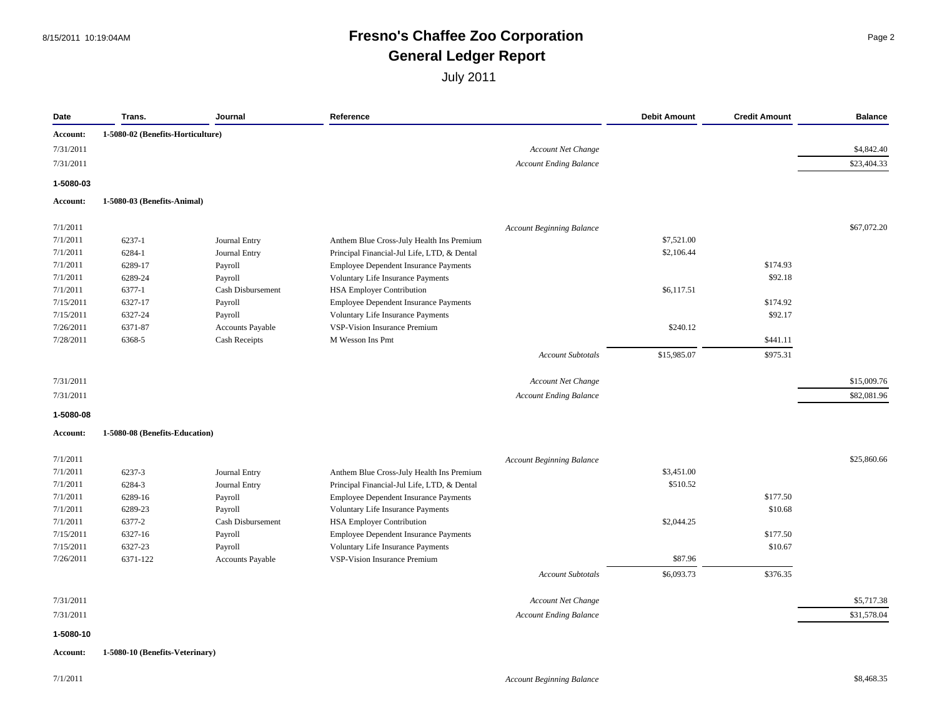#### 8/15/2011 10:19:04AM **Fresno's Chaffee Zoo Corporation** Page 2 **General Ledger Report**

| Date                   | Trans.                            | Journal                 | Reference                                   |                                                     | <b>Debit Amount</b> | <b>Credit Amount</b> | <b>Balance</b>            |
|------------------------|-----------------------------------|-------------------------|---------------------------------------------|-----------------------------------------------------|---------------------|----------------------|---------------------------|
| Account:               | 1-5080-02 (Benefits-Horticulture) |                         |                                             |                                                     |                     |                      |                           |
| 7/31/2011              |                                   |                         |                                             | <b>Account Net Change</b>                           |                     |                      | \$4,842.40                |
| 7/31/2011              |                                   |                         |                                             | <b>Account Ending Balance</b>                       |                     |                      | \$23,404.33               |
| 1-5080-03              |                                   |                         |                                             |                                                     |                     |                      |                           |
| Account:               | 1-5080-03 (Benefits-Animal)       |                         |                                             |                                                     |                     |                      |                           |
|                        |                                   |                         |                                             |                                                     |                     |                      |                           |
| 7/1/2011               |                                   |                         |                                             | <b>Account Beginning Balance</b>                    |                     |                      | \$67,072.20               |
| 7/1/2011               | 6237-1                            | Journal Entry           | Anthem Blue Cross-July Health Ins Premium   |                                                     | \$7,521.00          |                      |                           |
| 7/1/2011               | 6284-1                            | Journal Entry           | Principal Financial-Jul Life, LTD, & Dental |                                                     | \$2,106.44          |                      |                           |
| 7/1/2011               | 6289-17                           | Payroll                 | Employee Dependent Insurance Payments       |                                                     |                     | \$174.93             |                           |
| 7/1/2011               | 6289-24                           | Payroll                 | Voluntary Life Insurance Payments           |                                                     |                     | \$92.18              |                           |
| 7/1/2011               | 6377-1                            | Cash Disbursement       | <b>HSA Employer Contribution</b>            |                                                     | \$6,117.51          |                      |                           |
| 7/15/2011              | 6327-17                           | Payroll                 | Employee Dependent Insurance Payments       |                                                     |                     | \$174.92             |                           |
| 7/15/2011              | 6327-24                           | Payroll                 | Voluntary Life Insurance Payments           |                                                     |                     | \$92.17              |                           |
| 7/26/2011              | 6371-87                           | Accounts Payable        | VSP-Vision Insurance Premium                |                                                     | \$240.12            |                      |                           |
| 7/28/2011              | 6368-5                            | <b>Cash Receipts</b>    | M Wesson Ins Pmt                            |                                                     |                     | \$441.11             |                           |
|                        |                                   |                         |                                             | <b>Account Subtotals</b>                            | \$15,985.07         | \$975.31             |                           |
| 7/31/2011              |                                   |                         |                                             | <b>Account Net Change</b>                           |                     |                      | \$15,009.76               |
| 7/31/2011              |                                   |                         |                                             | <b>Account Ending Balance</b>                       |                     |                      | \$82,081.96               |
| 1-5080-08              |                                   |                         |                                             |                                                     |                     |                      |                           |
| Account:               | 1-5080-08 (Benefits-Education)    |                         |                                             |                                                     |                     |                      |                           |
| 7/1/2011               |                                   |                         |                                             | <b>Account Beginning Balance</b>                    |                     |                      | \$25,860.66               |
| 7/1/2011               | 6237-3                            | Journal Entry           | Anthem Blue Cross-July Health Ins Premium   |                                                     | \$3,451.00          |                      |                           |
| 7/1/2011               | 6284-3                            | Journal Entry           | Principal Financial-Jul Life, LTD, & Dental |                                                     | \$510.52            |                      |                           |
| 7/1/2011               | 6289-16                           | Payroll                 | Employee Dependent Insurance Payments       |                                                     |                     | \$177.50             |                           |
| 7/1/2011               | 6289-23                           | Payroll                 | Voluntary Life Insurance Payments           |                                                     |                     | \$10.68              |                           |
| 7/1/2011               | 6377-2                            | Cash Disbursement       | <b>HSA Employer Contribution</b>            |                                                     | \$2,044.25          |                      |                           |
| 7/15/2011              | 6327-16                           | Payroll                 | Employee Dependent Insurance Payments       |                                                     |                     | \$177.50             |                           |
| 7/15/2011              | 6327-23                           | Payroll                 | Voluntary Life Insurance Payments           |                                                     |                     | \$10.67              |                           |
|                        | 6371-122                          | <b>Accounts Payable</b> | <b>VSP-Vision Insurance Premium</b>         |                                                     | \$87.96             |                      |                           |
|                        |                                   |                         |                                             |                                                     | \$6,093.73          | \$376.35             |                           |
|                        |                                   |                         |                                             | <b>Account Subtotals</b>                            |                     |                      |                           |
| 7/26/2011              |                                   |                         |                                             |                                                     |                     |                      |                           |
| 7/31/2011<br>7/31/2011 |                                   |                         |                                             | Account Net Change<br><b>Account Ending Balance</b> |                     |                      | \$5,717.38<br>\$31,578.04 |

**Account: 1-5080-10 (Benefits-Veterinary)**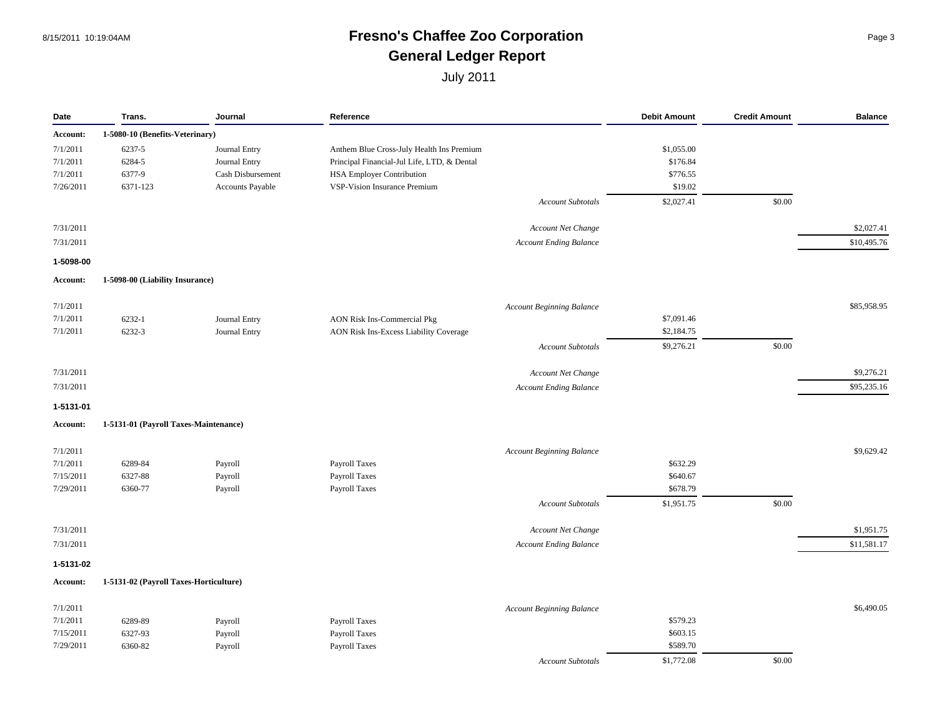#### 8/15/2011 10:19:04AM **Fresno's Chaffee Zoo Corporation** Page 3 **General Ledger Report**

| Date                  | Trans.                                 | Journal           | Reference                                   |                          | <b>Debit Amount</b>  | <b>Credit Amount</b> | <b>Balance</b> |
|-----------------------|----------------------------------------|-------------------|---------------------------------------------|--------------------------|----------------------|----------------------|----------------|
| Account:              | 1-5080-10 (Benefits-Veterinary)        |                   |                                             |                          |                      |                      |                |
| 7/1/2011              | 6237-5                                 | Journal Entry     | Anthem Blue Cross-July Health Ins Premium   |                          | \$1,055.00           |                      |                |
| 7/1/2011              | 6284-5                                 | Journal Entry     | Principal Financial-Jul Life, LTD, & Dental |                          | \$176.84             |                      |                |
| 7/1/2011              | 6377-9                                 | Cash Disbursement | <b>HSA Employer Contribution</b>            |                          | \$776.55             |                      |                |
| 7/26/2011             | 6371-123                               | Accounts Payable  | VSP-Vision Insurance Premium                |                          | \$19.02              |                      |                |
|                       |                                        |                   |                                             | <b>Account Subtotals</b> | \$2,027.41           | \$0.00               |                |
| 7/31/2011             |                                        |                   | Account Net Change                          |                          |                      |                      | \$2,027.41     |
| 7/31/2011             |                                        |                   | <b>Account Ending Balance</b>               |                          |                      |                      | \$10,495.76    |
|                       |                                        |                   |                                             |                          |                      |                      |                |
| 1-5098-00<br>Account: | 1-5098-00 (Liability Insurance)        |                   |                                             |                          |                      |                      |                |
|                       |                                        |                   |                                             |                          |                      |                      |                |
| 7/1/2011              |                                        |                   | <b>Account Beginning Balance</b>            |                          |                      |                      | \$85,958.95    |
| 7/1/2011              | 6232-1                                 | Journal Entry     | <b>AON Risk Ins-Commercial Pkg</b>          |                          | \$7,091.46           |                      |                |
| 7/1/2011              | 6232-3                                 | Journal Entry     | AON Risk Ins-Excess Liability Coverage      |                          | \$2,184.75           |                      |                |
|                       |                                        |                   |                                             | <b>Account Subtotals</b> | \$9,276.21           | \$0.00               |                |
| 7/31/2011             |                                        |                   | Account Net Change                          |                          |                      |                      | \$9,276.21     |
| 7/31/2011             |                                        |                   | <b>Account Ending Balance</b>               |                          |                      |                      | \$95,235.16    |
| 1-5131-01             |                                        |                   |                                             |                          |                      |                      |                |
| Account:              | 1-5131-01 (Payroll Taxes-Maintenance)  |                   |                                             |                          |                      |                      |                |
|                       |                                        |                   |                                             |                          |                      |                      |                |
| 7/1/2011              |                                        |                   | <b>Account Beginning Balance</b>            |                          |                      |                      | \$9,629.42     |
| 7/1/2011              | 6289-84                                | Payroll           | Payroll Taxes                               |                          | \$632.29             |                      |                |
| 7/15/2011             | 6327-88                                | Payroll           | Payroll Taxes                               |                          | \$640.67<br>\$678.79 |                      |                |
| 7/29/2011             | 6360-77                                | Payroll           | Payroll Taxes                               |                          |                      |                      |                |
|                       |                                        |                   |                                             | <b>Account Subtotals</b> | \$1,951.75           | \$0.00               |                |
| 7/31/2011             |                                        |                   | Account Net Change                          |                          |                      |                      | \$1,951.75     |
| 7/31/2011             |                                        |                   | <b>Account Ending Balance</b>               |                          |                      |                      | \$11,581.17    |
| 1-5131-02             |                                        |                   |                                             |                          |                      |                      |                |
| Account:              | 1-5131-02 (Payroll Taxes-Horticulture) |                   |                                             |                          |                      |                      |                |
| 7/1/2011              |                                        |                   | <b>Account Beginning Balance</b>            |                          |                      |                      | \$6,490.05     |
| 7/1/2011              | 6289-89                                | Payroll           | Payroll Taxes                               |                          | \$579.23             |                      |                |
| 7/15/2011             | 6327-93                                | Payroll           | Payroll Taxes                               |                          | \$603.15             |                      |                |
| 7/29/2011             | 6360-82                                | Payroll           | Payroll Taxes                               |                          | \$589.70             |                      |                |
|                       |                                        |                   |                                             | <b>Account Subtotals</b> | \$1,772.08           | \$0.00               |                |
|                       |                                        |                   |                                             |                          |                      |                      |                |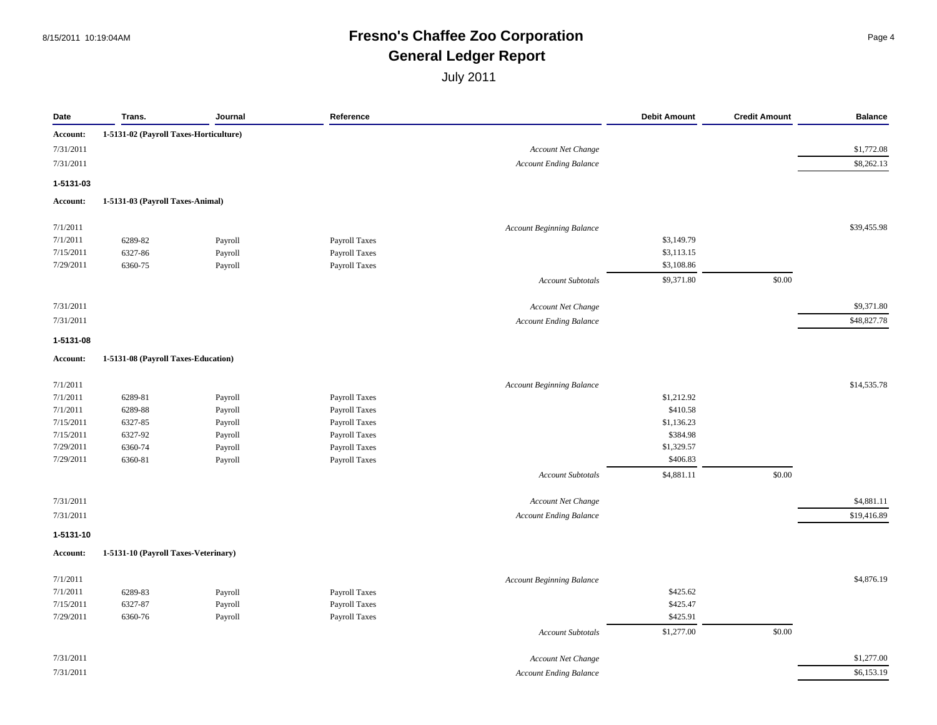#### 8/15/2011 10:19:04AM **Fresno's Chaffee Zoo Corporation** Page 4 **General Ledger Report**

| Date      | Trans.                                 | Journal | Reference     |                                  | <b>Debit Amount</b> | <b>Credit Amount</b> | <b>Balance</b> |
|-----------|----------------------------------------|---------|---------------|----------------------------------|---------------------|----------------------|----------------|
| Account:  | 1-5131-02 (Payroll Taxes-Horticulture) |         |               |                                  |                     |                      |                |
| 7/31/2011 |                                        |         |               | Account Net Change               |                     |                      | \$1,772.08     |
| 7/31/2011 |                                        |         |               | <b>Account Ending Balance</b>    |                     |                      | \$8,262.13     |
| 1-5131-03 |                                        |         |               |                                  |                     |                      |                |
| Account:  | 1-5131-03 (Payroll Taxes-Animal)       |         |               |                                  |                     |                      |                |
| 7/1/2011  |                                        |         |               | <b>Account Beginning Balance</b> |                     |                      | \$39,455.98    |
| 7/1/2011  | 6289-82                                | Payroll | Payroll Taxes |                                  | \$3,149.79          |                      |                |
| 7/15/2011 | 6327-86                                | Payroll | Payroll Taxes |                                  | \$3,113.15          |                      |                |
| 7/29/2011 | 6360-75                                | Payroll | Payroll Taxes |                                  | \$3,108.86          |                      |                |
|           |                                        |         |               | <b>Account Subtotals</b>         | \$9,371.80          | \$0.00               |                |
| 7/31/2011 |                                        |         |               | Account Net Change               |                     |                      | \$9,371.80     |
| 7/31/2011 |                                        |         |               | <b>Account Ending Balance</b>    |                     |                      | \$48,827.78    |
| 1-5131-08 |                                        |         |               |                                  |                     |                      |                |
| Account:  | 1-5131-08 (Payroll Taxes-Education)    |         |               |                                  |                     |                      |                |
| 7/1/2011  |                                        |         |               | Account Beginning Balance        |                     |                      | \$14,535.78    |
| 7/1/2011  | 6289-81                                | Payroll | Payroll Taxes |                                  | \$1,212.92          |                      |                |
| 7/1/2011  | 6289-88                                | Payroll | Payroll Taxes |                                  | \$410.58            |                      |                |
| 7/15/2011 | 6327-85                                | Payroll | Payroll Taxes |                                  | \$1,136.23          |                      |                |
| 7/15/2011 | 6327-92                                | Payroll | Payroll Taxes |                                  | \$384.98            |                      |                |
| 7/29/2011 | 6360-74                                | Payroll | Payroll Taxes |                                  | \$1,329.57          |                      |                |
| 7/29/2011 | 6360-81                                | Payroll | Payroll Taxes |                                  | \$406.83            |                      |                |
|           |                                        |         |               | <b>Account Subtotals</b>         | \$4,881.11          | \$0.00               |                |
| 7/31/2011 |                                        |         |               | Account Net Change               |                     |                      | \$4,881.11     |
| 7/31/2011 |                                        |         |               | <b>Account Ending Balance</b>    |                     |                      | \$19,416.89    |
| 1-5131-10 |                                        |         |               |                                  |                     |                      |                |
| Account:  | 1-5131-10 (Payroll Taxes-Veterinary)   |         |               |                                  |                     |                      |                |
| 7/1/2011  |                                        |         |               | <b>Account Beginning Balance</b> |                     |                      | \$4,876.19     |
| 7/1/2011  | 6289-83                                | Payroll | Payroll Taxes |                                  | \$425.62            |                      |                |
| 7/15/2011 | 6327-87                                | Payroll | Payroll Taxes |                                  | \$425.47            |                      |                |
| 7/29/2011 | 6360-76                                | Payroll | Payroll Taxes |                                  | \$425.91            |                      |                |
|           |                                        |         |               | <b>Account Subtotals</b>         | \$1,277.00          | \$0.00               |                |
| 7/31/2011 |                                        |         |               | <b>Account Net Change</b>        |                     |                      | \$1,277.00     |
| 7/31/2011 |                                        |         |               | <b>Account Ending Balance</b>    |                     |                      | \$6,153.19     |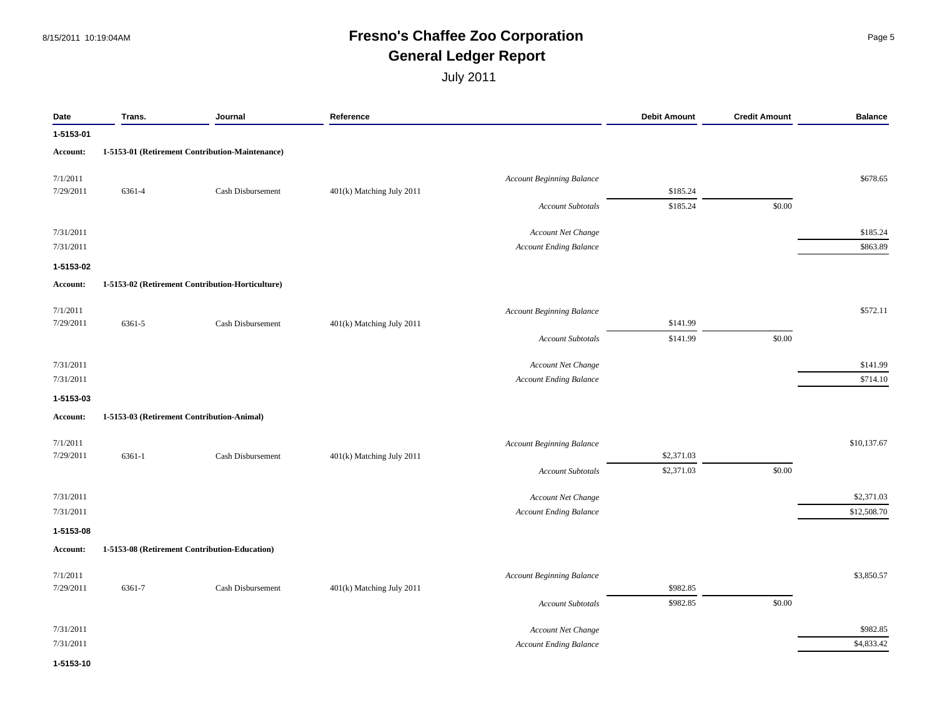#### 8/15/2011 10:19:04AM **Fresno's Chaffee Zoo Corporation** Page 5 **General Ledger Report**

| Date      | Trans. | Journal                                          | Reference                 |                                  | <b>Debit Amount</b> | <b>Credit Amount</b> | <b>Balance</b> |
|-----------|--------|--------------------------------------------------|---------------------------|----------------------------------|---------------------|----------------------|----------------|
| 1-5153-01 |        |                                                  |                           |                                  |                     |                      |                |
| Account:  |        | 1-5153-01 (Retirement Contribution-Maintenance)  |                           |                                  |                     |                      |                |
| 7/1/2011  |        |                                                  |                           | Account Beginning Balance        |                     |                      | \$678.65       |
| 7/29/2011 | 6361-4 | Cash Disbursement                                | 401(k) Matching July 2011 |                                  | \$185.24            |                      |                |
|           |        |                                                  |                           | <b>Account Subtotals</b>         | \$185.24            | \$0.00               |                |
| 7/31/2011 |        |                                                  |                           | Account Net Change               |                     |                      | \$185.24       |
| 7/31/2011 |        |                                                  |                           | <b>Account Ending Balance</b>    |                     |                      | \$863.89       |
| 1-5153-02 |        |                                                  |                           |                                  |                     |                      |                |
| Account:  |        | 1-5153-02 (Retirement Contribution-Horticulture) |                           |                                  |                     |                      |                |
| 7/1/2011  |        |                                                  |                           | <b>Account Beginning Balance</b> |                     |                      | \$572.11       |
| 7/29/2011 | 6361-5 | Cash Disbursement                                | 401(k) Matching July 2011 |                                  | \$141.99            |                      |                |
|           |        |                                                  |                           | <b>Account Subtotals</b>         | \$141.99            | \$0.00               |                |
| 7/31/2011 |        |                                                  |                           | Account Net Change               |                     |                      | \$141.99       |
| 7/31/2011 |        |                                                  |                           | <b>Account Ending Balance</b>    |                     |                      | \$714.10       |
| 1-5153-03 |        |                                                  |                           |                                  |                     |                      |                |
| Account:  |        | 1-5153-03 (Retirement Contribution-Animal)       |                           |                                  |                     |                      |                |
| 7/1/2011  |        |                                                  |                           | <b>Account Beginning Balance</b> |                     |                      | \$10,137.67    |
| 7/29/2011 | 6361-1 | Cash Disbursement                                | 401(k) Matching July 2011 |                                  | \$2,371.03          |                      |                |
|           |        |                                                  |                           | <b>Account Subtotals</b>         | \$2,371.03          | \$0.00               |                |
| 7/31/2011 |        |                                                  |                           | Account Net Change               |                     |                      | \$2,371.03     |
| 7/31/2011 |        |                                                  |                           | <b>Account Ending Balance</b>    |                     |                      | \$12,508.70    |
| 1-5153-08 |        |                                                  |                           |                                  |                     |                      |                |
| Account:  |        | 1-5153-08 (Retirement Contribution-Education)    |                           |                                  |                     |                      |                |
| 7/1/2011  |        |                                                  |                           | <b>Account Beginning Balance</b> |                     |                      | \$3,850.57     |
| 7/29/2011 | 6361-7 | Cash Disbursement                                | 401(k) Matching July 2011 |                                  | \$982.85            |                      |                |
|           |        |                                                  |                           | <b>Account Subtotals</b>         | \$982.85            | \$0.00               |                |
| 7/31/2011 |        |                                                  |                           | Account Net Change               |                     |                      | \$982.85       |
| 7/31/2011 |        |                                                  |                           | <b>Account Ending Balance</b>    |                     |                      | \$4,833.42     |
| 1-5153-10 |        |                                                  |                           |                                  |                     |                      |                |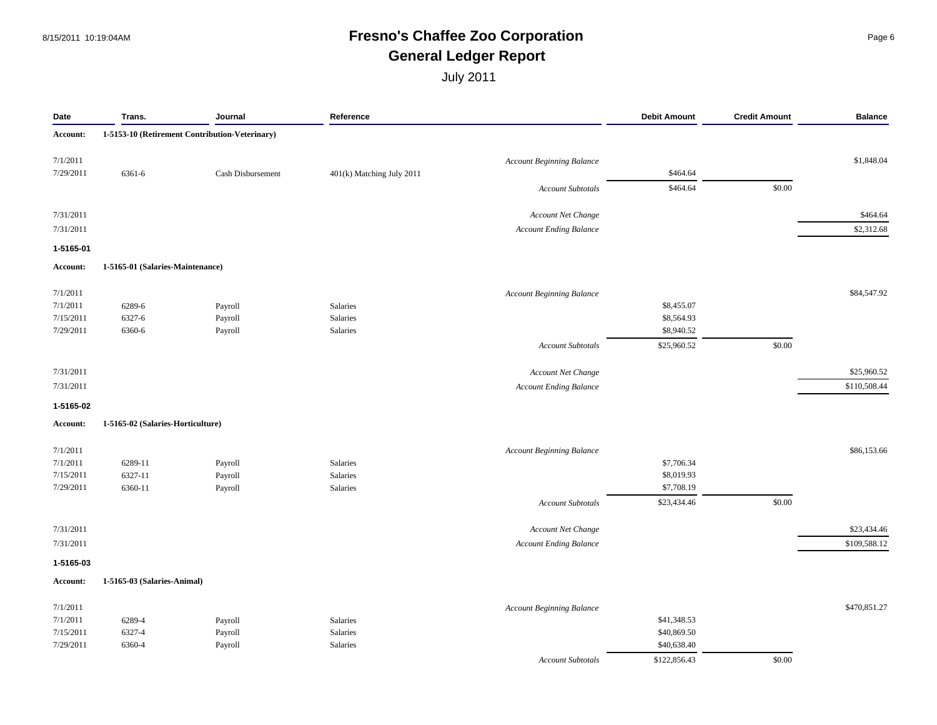#### 8/15/2011 10:19:04AM **Fresno's Chaffee Zoo Corporation** Page 6 **General Ledger Report**

| Date      | Trans.                            | Journal                                        | Reference                 |                                  | <b>Debit Amount</b> | <b>Credit Amount</b> | <b>Balance</b> |
|-----------|-----------------------------------|------------------------------------------------|---------------------------|----------------------------------|---------------------|----------------------|----------------|
| Account:  |                                   | 1-5153-10 (Retirement Contribution-Veterinary) |                           |                                  |                     |                      |                |
| 7/1/2011  |                                   |                                                |                           | <b>Account Beginning Balance</b> |                     |                      | \$1,848.04     |
| 7/29/2011 | 6361-6                            | Cash Disbursement                              | 401(k) Matching July 2011 |                                  | \$464.64            |                      |                |
|           |                                   |                                                |                           | <b>Account Subtotals</b>         | \$464.64            | \$0.00               |                |
| 7/31/2011 |                                   |                                                |                           | Account Net Change               |                     |                      | \$464.64       |
| 7/31/2011 |                                   |                                                |                           | <b>Account Ending Balance</b>    |                     |                      | \$2,312.68     |
| 1-5165-01 |                                   |                                                |                           |                                  |                     |                      |                |
| Account:  | 1-5165-01 (Salaries-Maintenance)  |                                                |                           |                                  |                     |                      |                |
| 7/1/2011  |                                   |                                                |                           | Account Beginning Balance        |                     |                      | \$84,547.92    |
| 7/1/2011  | 6289-6                            | Payroll                                        | Salaries                  |                                  | \$8,455.07          |                      |                |
| 7/15/2011 | 6327-6                            | Payroll                                        | Salaries                  |                                  | \$8,564.93          |                      |                |
| 7/29/2011 | 6360-6                            | Payroll                                        | Salaries                  |                                  | \$8,940.52          |                      |                |
|           |                                   |                                                |                           | <b>Account Subtotals</b>         | \$25,960.52         | \$0.00               |                |
| 7/31/2011 |                                   |                                                |                           | Account Net Change               |                     |                      | \$25,960.52    |
| 7/31/2011 |                                   |                                                |                           | <b>Account Ending Balance</b>    |                     |                      | \$110,508.44   |
| 1-5165-02 |                                   |                                                |                           |                                  |                     |                      |                |
| Account:  | 1-5165-02 (Salaries-Horticulture) |                                                |                           |                                  |                     |                      |                |
| 7/1/2011  |                                   |                                                |                           | <b>Account Beginning Balance</b> |                     |                      | \$86,153.66    |
| 7/1/2011  | 6289-11                           | Payroll                                        | Salaries                  |                                  | \$7,706.34          |                      |                |
| 7/15/2011 | 6327-11                           | Payroll                                        | Salaries                  |                                  | \$8,019.93          |                      |                |
| 7/29/2011 | 6360-11                           | Payroll                                        | Salaries                  |                                  | \$7,708.19          |                      |                |
|           |                                   |                                                |                           | Account Subtotals                | \$23,434.46         | \$0.00               |                |
| 7/31/2011 |                                   |                                                |                           | Account Net Change               |                     |                      | \$23,434.46    |
| 7/31/2011 |                                   |                                                |                           | <b>Account Ending Balance</b>    |                     |                      | \$109,588.12   |
| 1-5165-03 |                                   |                                                |                           |                                  |                     |                      |                |
| Account:  | 1-5165-03 (Salaries-Animal)       |                                                |                           |                                  |                     |                      |                |
| 7/1/2011  |                                   |                                                |                           | <b>Account Beginning Balance</b> |                     |                      | \$470,851.27   |
| 7/1/2011  | 6289-4                            | Payroll                                        | Salaries                  |                                  | \$41,348.53         |                      |                |
| 7/15/2011 | 6327-4                            | Payroll                                        | Salaries                  |                                  | \$40,869.50         |                      |                |
| 7/29/2011 | 6360-4                            | Payroll                                        | Salaries                  |                                  | \$40,638.40         |                      |                |
|           |                                   |                                                |                           | <b>Account Subtotals</b>         | \$122,856.43        | \$0.00               |                |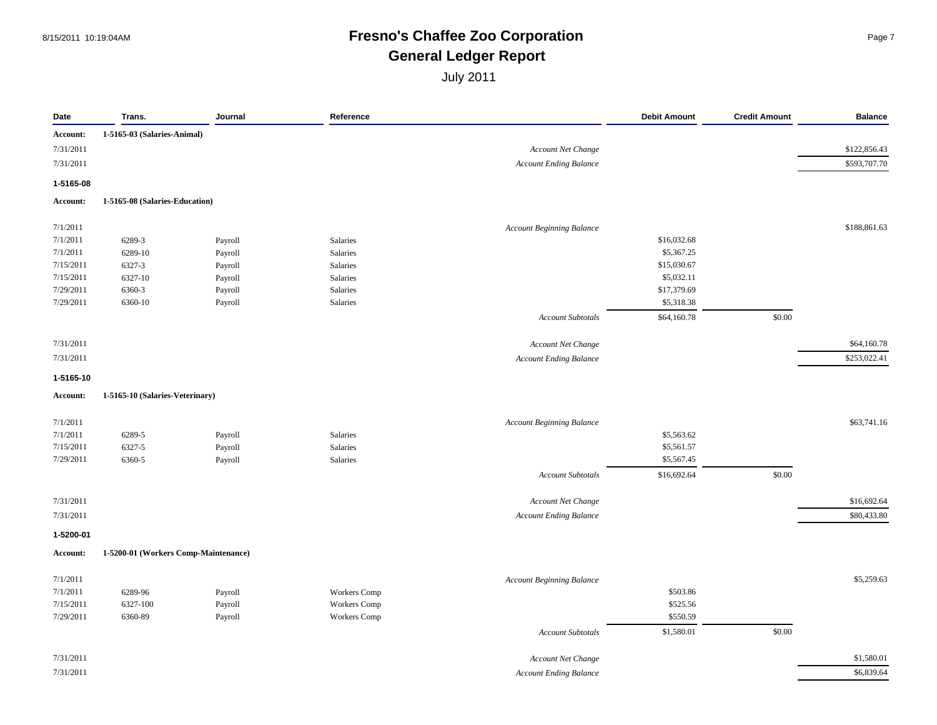#### 8/15/2011 10:19:04AM **Fresno's Chaffee Zoo Corporation** Page 7 **General Ledger Report**

| Date      | Trans.                               | Journal | Reference    |                                  | <b>Debit Amount</b> | <b>Credit Amount</b> | <b>Balance</b> |
|-----------|--------------------------------------|---------|--------------|----------------------------------|---------------------|----------------------|----------------|
| Account:  | 1-5165-03 (Salaries-Animal)          |         |              |                                  |                     |                      |                |
| 7/31/2011 |                                      |         |              | <b>Account Net Change</b>        |                     |                      | \$122,856.43   |
| 7/31/2011 |                                      |         |              | <b>Account Ending Balance</b>    |                     |                      | \$593,707.70   |
| 1-5165-08 |                                      |         |              |                                  |                     |                      |                |
| Account:  | 1-5165-08 (Salaries-Education)       |         |              |                                  |                     |                      |                |
| 7/1/2011  |                                      |         |              | <b>Account Beginning Balance</b> |                     |                      | \$188,861.63   |
| 7/1/2011  | 6289-3                               | Payroll | Salaries     |                                  | \$16,032.68         |                      |                |
| 7/1/2011  | 6289-10                              | Payroll | Salaries     |                                  | \$5,367.25          |                      |                |
| 7/15/2011 | 6327-3                               | Payroll | Salaries     |                                  | \$15,030.67         |                      |                |
| 7/15/2011 | 6327-10                              | Payroll | Salaries     |                                  | \$5,032.11          |                      |                |
| 7/29/2011 | 6360-3                               | Payroll | Salaries     |                                  | \$17,379.69         |                      |                |
| 7/29/2011 | 6360-10                              | Payroll | Salaries     |                                  | \$5,318.38          |                      |                |
|           |                                      |         |              | Account Subtotals                | \$64,160.78         | \$0.00               |                |
| 7/31/2011 |                                      |         |              | Account Net Change               |                     |                      | \$64,160.78    |
| 7/31/2011 |                                      |         |              | <b>Account Ending Balance</b>    |                     |                      | \$253,022.41   |
| 1-5165-10 |                                      |         |              |                                  |                     |                      |                |
| Account:  | 1-5165-10 (Salaries-Veterinary)      |         |              |                                  |                     |                      |                |
| 7/1/2011  |                                      |         |              | <b>Account Beginning Balance</b> |                     |                      | \$63,741.16    |
| 7/1/2011  | 6289-5                               | Payroll | Salaries     |                                  | \$5,563.62          |                      |                |
| 7/15/2011 | 6327-5                               | Payroll | Salaries     |                                  | \$5,561.57          |                      |                |
| 7/29/2011 | 6360-5                               | Payroll | Salaries     |                                  | \$5,567.45          |                      |                |
|           |                                      |         |              | Account Subtotals                | \$16,692.64         | \$0.00               |                |
| 7/31/2011 |                                      |         |              | Account Net Change               |                     |                      | \$16,692.64    |
| 7/31/2011 |                                      |         |              | <b>Account Ending Balance</b>    |                     |                      | \$80,433.80    |
| 1-5200-01 |                                      |         |              |                                  |                     |                      |                |
| Account:  | 1-5200-01 (Workers Comp-Maintenance) |         |              |                                  |                     |                      |                |
| 7/1/2011  |                                      |         |              | <b>Account Beginning Balance</b> |                     |                      | \$5,259.63     |
| 7/1/2011  | 6289-96                              | Payroll | Workers Comp |                                  | \$503.86            |                      |                |
| 7/15/2011 | 6327-100                             | Payroll | Workers Comp |                                  | \$525.56            |                      |                |
| 7/29/2011 | 6360-89                              | Payroll | Workers Comp |                                  | \$550.59            |                      |                |
|           |                                      |         |              | <b>Account Subtotals</b>         | \$1,580.01          | \$0.00               |                |
| 7/31/2011 |                                      |         |              | <b>Account Net Change</b>        |                     |                      | \$1,580.01     |
| 7/31/2011 |                                      |         |              | <b>Account Ending Balance</b>    |                     |                      | \$6,839.64     |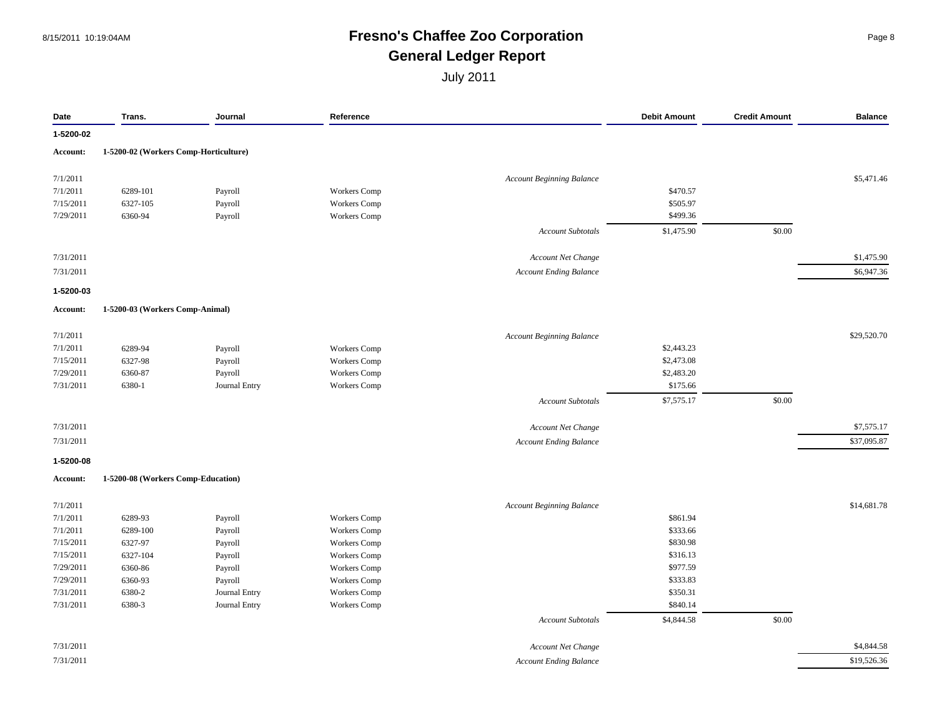#### 8/15/2011 10:19:04AM **Fresno's Chaffee Zoo Corporation** Page 8 **General Ledger Report**

| Date      | Trans.                                | Journal       | Reference           |                                  | <b>Debit Amount</b> | <b>Credit Amount</b> | <b>Balance</b> |
|-----------|---------------------------------------|---------------|---------------------|----------------------------------|---------------------|----------------------|----------------|
| 1-5200-02 |                                       |               |                     |                                  |                     |                      |                |
| Account:  | 1-5200-02 (Workers Comp-Horticulture) |               |                     |                                  |                     |                      |                |
| 7/1/2011  |                                       |               |                     | <b>Account Beginning Balance</b> |                     |                      | \$5,471.46     |
| 7/1/2011  | 6289-101                              | Payroll       | <b>Workers Comp</b> |                                  | \$470.57            |                      |                |
| 7/15/2011 | 6327-105                              | Payroll       | <b>Workers</b> Comp |                                  | \$505.97            |                      |                |
| 7/29/2011 | 6360-94                               | Payroll       | Workers Comp        |                                  | \$499.36            |                      |                |
|           |                                       |               |                     | Account Subtotals                | \$1,475.90          | \$0.00               |                |
| 7/31/2011 |                                       |               |                     |                                  |                     |                      | \$1,475.90     |
|           |                                       |               |                     | Account Net Change               |                     |                      |                |
| 7/31/2011 |                                       |               |                     | <b>Account Ending Balance</b>    |                     |                      | \$6,947.36     |
| 1-5200-03 |                                       |               |                     |                                  |                     |                      |                |
| Account:  | 1-5200-03 (Workers Comp-Animal)       |               |                     |                                  |                     |                      |                |
| 7/1/2011  |                                       |               |                     | <b>Account Beginning Balance</b> |                     |                      | \$29,520.70    |
| 7/1/2011  | 6289-94                               | Payroll       | Workers Comp        |                                  | \$2,443.23          |                      |                |
| 7/15/2011 | 6327-98                               | Payroll       | Workers Comp        |                                  | \$2,473.08          |                      |                |
| 7/29/2011 | 6360-87                               | Payroll       | <b>Workers</b> Comp |                                  | \$2,483.20          |                      |                |
| 7/31/2011 | 6380-1                                | Journal Entry | Workers Comp        |                                  | \$175.66            |                      |                |
|           |                                       |               |                     | <b>Account Subtotals</b>         | \$7,575.17          | \$0.00               |                |
| 7/31/2011 |                                       |               |                     | Account Net Change               |                     |                      | \$7,575.17     |
|           |                                       |               |                     |                                  |                     |                      |                |
| 7/31/2011 |                                       |               |                     | <b>Account Ending Balance</b>    |                     |                      | \$37,095.87    |
| 1-5200-08 |                                       |               |                     |                                  |                     |                      |                |
| Account:  | 1-5200-08 (Workers Comp-Education)    |               |                     |                                  |                     |                      |                |
| 7/1/2011  |                                       |               |                     | <b>Account Beginning Balance</b> |                     |                      | \$14,681.78    |
| 7/1/2011  | 6289-93                               | Payroll       | Workers Comp        |                                  | \$861.94            |                      |                |
| 7/1/2011  | 6289-100                              | Payroll       | <b>Workers Comp</b> |                                  | \$333.66            |                      |                |
| 7/15/2011 | 6327-97                               | Payroll       | <b>Workers</b> Comp |                                  | \$830.98            |                      |                |
| 7/15/2011 | 6327-104                              | Payroll       | Workers Comp        |                                  | \$316.13            |                      |                |
| 7/29/2011 | 6360-86                               | Payroll       | Workers Comp        |                                  | \$977.59            |                      |                |
| 7/29/2011 | 6360-93                               | Payroll       | <b>Workers</b> Comp |                                  | \$333.83            |                      |                |
| 7/31/2011 | 6380-2                                | Journal Entry | <b>Workers</b> Comp |                                  | \$350.31            |                      |                |
| 7/31/2011 | 6380-3                                | Journal Entry | Workers Comp        |                                  | \$840.14            |                      |                |
|           |                                       |               |                     | <b>Account Subtotals</b>         | \$4,844.58          | \$0.00               |                |
| 7/31/2011 |                                       |               |                     | Account Net Change               |                     |                      | \$4,844.58     |
| 7/31/2011 |                                       |               |                     | <b>Account Ending Balance</b>    |                     |                      | \$19,526.36    |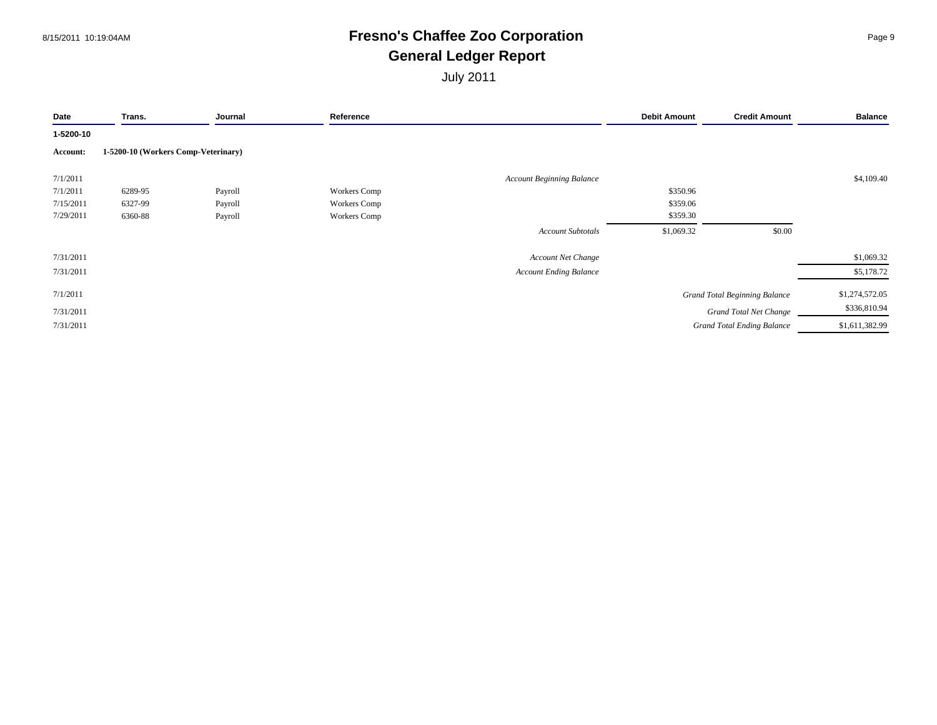#### 8/15/2011 10:19:04AM **Fresno's Chaffee Zoo Corporation** Page 9 **General Ledger Report**

| Date      | Trans.                              | Journal | Reference           |                                  | <b>Debit Amount</b> | <b>Credit Amount</b>                 | <b>Balance</b> |
|-----------|-------------------------------------|---------|---------------------|----------------------------------|---------------------|--------------------------------------|----------------|
| 1-5200-10 |                                     |         |                     |                                  |                     |                                      |                |
| Account:  | 1-5200-10 (Workers Comp-Veterinary) |         |                     |                                  |                     |                                      |                |
| 7/1/2011  |                                     |         |                     | <b>Account Beginning Balance</b> |                     |                                      | \$4,109.40     |
| 7/1/2011  | 6289-95                             | Payroll | <b>Workers Comp</b> |                                  | \$350.96            |                                      |                |
| 7/15/2011 | 6327-99                             | Payroll | <b>Workers Comp</b> |                                  | \$359.06            |                                      |                |
| 7/29/2011 | 6360-88                             | Payroll | Workers Comp        |                                  | \$359.30            |                                      |                |
|           |                                     |         |                     | <b>Account Subtotals</b>         | \$1,069.32          | \$0.00                               |                |
| 7/31/2011 |                                     |         |                     | Account Net Change               |                     |                                      | \$1,069.32     |
| 7/31/2011 |                                     |         |                     | <b>Account Ending Balance</b>    |                     |                                      | \$5,178.72     |
| 7/1/2011  |                                     |         |                     |                                  |                     | <b>Grand Total Beginning Balance</b> | \$1,274,572.05 |
| 7/31/2011 |                                     |         |                     |                                  |                     | <b>Grand Total Net Change</b>        | \$336,810.94   |
| 7/31/2011 |                                     |         |                     |                                  |                     | <b>Grand Total Ending Balance</b>    | \$1,611,382.99 |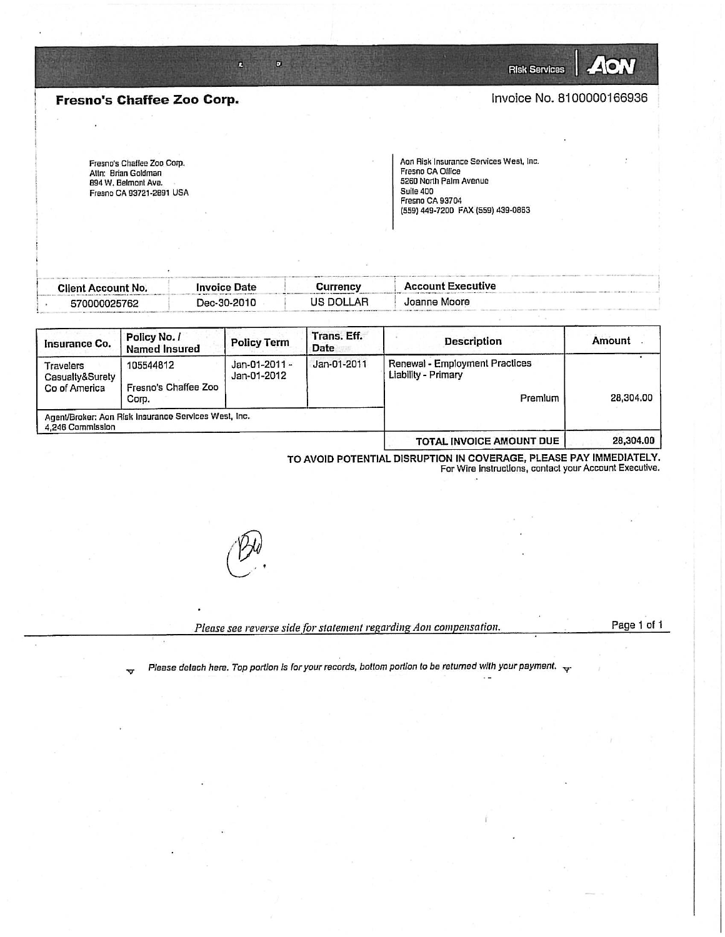**Risk Services** 

Invoice No. 8100000166936

ZAON

#### **Fresno's Chaffee Zoo Corp.**

Fresno's Chaffee Zoo Corp. Atln: Brian Goldman 894 W. Belmont Ave. Fresno CA 93721-2891 USA Aon Risk Insurance Services West, Inc. Fresno CA Office 5260 North Palm Avenue Suite 400

(559) 449-7200 FAX (559) 439-0863

Fresno CA 93704

| <b>Client Account No.</b> | <b>Invoice Date</b> | Currency  | <b>Account Executive</b> |
|---------------------------|---------------------|-----------|--------------------------|
| 570000025762              | Dec-30-2010         | US DOLLAR | Joanne Moore             |

 $\pmb{\mathsf{D}}$ 

 $\mathbf{z}$ 

| Insurance Co.                                 | Policy No. /<br><b>Named Insured</b>                 | <b>Policy Term</b>           | Trans. Eff.<br>Date | <b>Description</b>                                               | Amount    |
|-----------------------------------------------|------------------------------------------------------|------------------------------|---------------------|------------------------------------------------------------------|-----------|
| Travelers<br>Casualty&Surety<br>Co of America | 105544812<br>Fresno's Chaffee Zoo<br>Corp.           | Jan-01-2011 -<br>Jan-01-2012 | Jan-01-2011         | Renewal - Employment Practices<br>Liability - Primary<br>Premium | 28,304.00 |
| 4,246 Commission                              | Agent/Broker: Aon Risk Insurance Services West, Inc. |                              |                     |                                                                  |           |
|                                               |                                                      |                              |                     | TOTAL INVOICE AMOUNT DUE                                         | 28,304.00 |

TO AVOID POTENTIAL DISRUPTION IN COVERAGE, PLEASE PAY IMMEDIATELY. For Wire instructions, contact your Account Executive.



Please see reverse side for statement regarding Aon compensation.

Page 1 of 1

Please detach here. Top portion is for your records, bottom portion to be returned with your payment.  $\overline{\mathbf{v}}$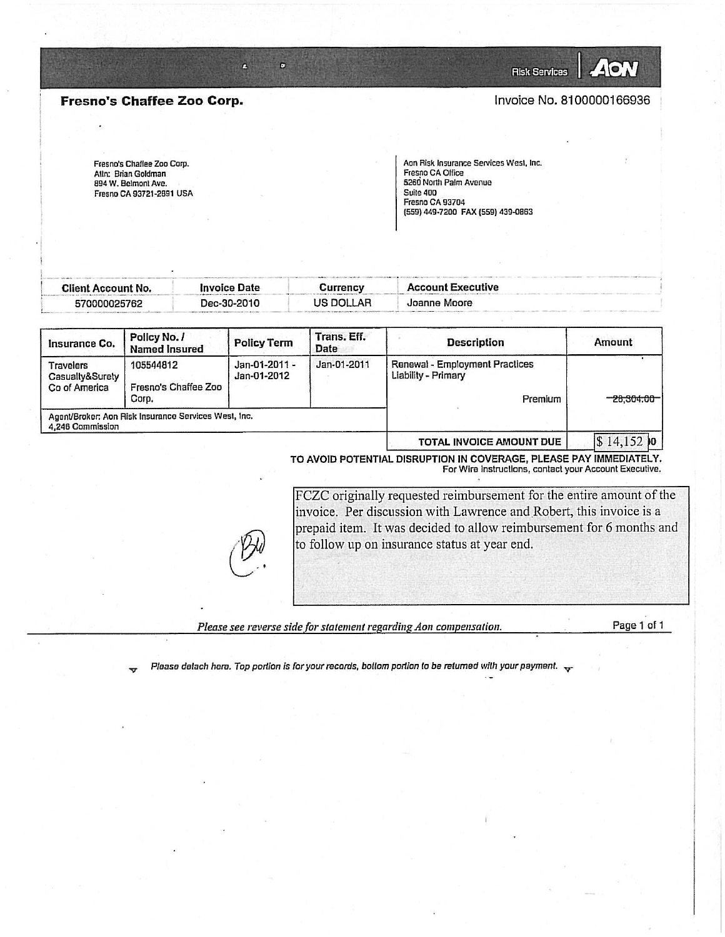Fresno's Chaffee Zoo Corp.

ß

 $\mathbf{D}$ 

Invoice No. 8100000166936

**Risk Services** 

**AO** 

Fresno's Chaflee Zoo Corp. Atln: Brian Goldman 894 W. Belmont Ave. Fresno CA 93721-2891 USA Aon Risk Insurance Services West, Inc. Fresno CA Office 5260 North Palm Avenue Suite 400 Fresno CA 93704 (559) 449-7200 FAX (559) 439-0863

| Client Account No. | Invoice Date | <b>Currency</b> | <b>Account Executive</b> |
|--------------------|--------------|-----------------|--------------------------|
| 570000025762       | Dec-30-2010  | US DOLLAR       | Joanne Moore             |

| Insurance Co.                                        | Trans, Eff.<br>Policy No. /<br><b>Description</b><br><b>Policy Term</b><br>Date<br><b>Named Insured</b> |                              |             | Amount                                                           |             |
|------------------------------------------------------|---------------------------------------------------------------------------------------------------------|------------------------------|-------------|------------------------------------------------------------------|-------------|
| <b>Travelers</b><br>Casualty&Surety<br>Co of America | 105544812<br>Fresno's Chaffee Zoo<br>Corp.                                                              | Jan-01-2011 -<br>Jan-01-2012 | Jan-01-2011 | Renewal - Employment Practices<br>Liability - Primary<br>Premium | -28.304.00- |
| 4.246 Commission                                     | Agent/Broker: Aon Risk Insurance Services West, Inc.                                                    |                              |             |                                                                  |             |

**TOTAL INVOICE AMOUNT DUE**  $\vert 14, 152 \vert 0 \vert$ 

TO AVOID POTENTIAL DISRUPTION IN COVERAGE, PLEASE PAY IMMEDIATELY. For Wire Instructions, contact your Account Executive.

FCZC originally requested reimbursement for the entire amount of the invoice. Per discussion with Lawrence and Robert, this invoice is a prepaid item. It was decided to allow reimbursement for 6 months and to follow up on insurance status at year end.

Please see reverse side for statement regarding Aon compensation.

Page 1 of 1

Please detach here. Top portion is for your records, bottom portion to be returned with your payment.